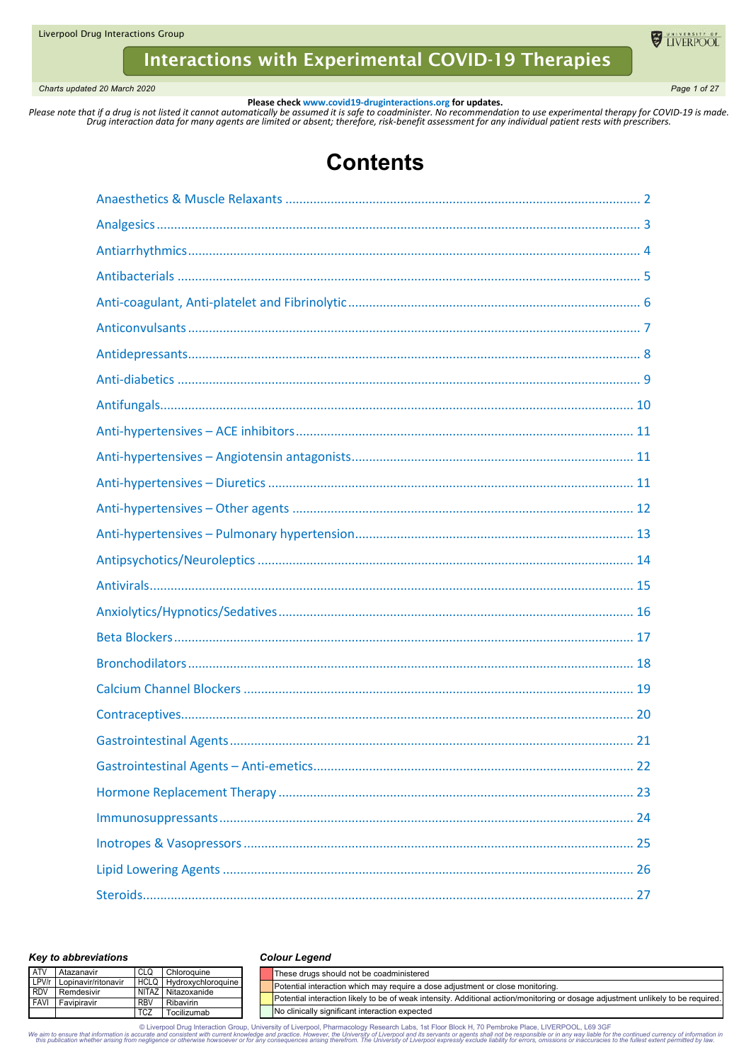Liverpool Drug Interactions Group

# **Interactions with Experimental COVID-19 Therapies**

*Charts updated 20 March 2020 Page 1 of 27*

**U** LIVERPOOL

**Please check www.covid19-druginteractions.org for updates.**<br>.Please note that if a drug is not listed it cannot automatically be assumed it is safe to coadminister. No recommendation to use experimental therapy for COVID-

# **Contents**

### *Key to abbreviations*

#### *Colour Legend*

| <b>ATV</b> | Atazanavir                |             | Chloroauine        | These drugs should not be coadministered                                                                                         |
|------------|---------------------------|-------------|--------------------|----------------------------------------------------------------------------------------------------------------------------------|
|            | LPV/r Lopinavir/ritonavir | <b>HCLQ</b> | Hydroxychloroquine | Potential interaction which may require a dose adjustment or close monitoring.                                                   |
| <b>RDV</b> | Remdesivir                |             | NITAZ Nitazoxanide |                                                                                                                                  |
|            | <b>FAVI</b> Favipiravir   | <b>RBV</b>  | Ribavirin          | Potential interaction likely to be of weak intensity. Additional action/monitoring or dosage adjustment unlikely to be required. |
|            |                           | <b>TCZ</b>  | Tocilizumab        | No clinically significant interaction expected                                                                                   |

© Liverpool Drug Interaction Group, University of Liverpool, Pharmacology Research Labs, 1st Floor Block H, 70 Pembroke Place, LIVERPOOL, L69 3GF the continued currency of information in Super and the University of Liverpo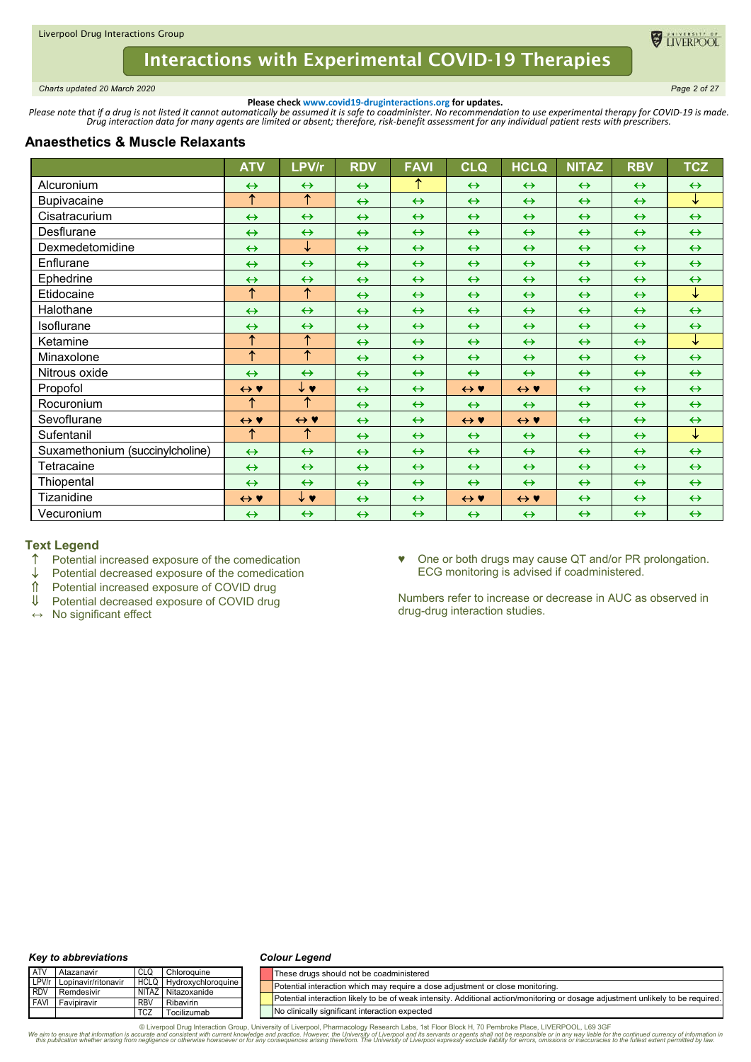

<span id="page-1-0"></span>*Charts updated 20 March 2020 Page 2 of 27*

**DE TIVERPOOL** 

**Please check www.covid19-druginteractions.org for updates.**<br>.Please note that if a drug is not listed it cannot automatically be assumed it is safe to coadminister. No recommendation to use experimental therapy for COVID-

# **Anaesthetics & Muscle Relaxants**

|                                 | <b>ATV</b>          | LPV/r                 | <b>RDV</b>        | <b>FAVI</b>       | <b>CLQ</b>          | <b>HCLQ</b>         | <b>NITAZ</b>      | <b>RBV</b>        | <b>TCZ</b>        |
|---------------------------------|---------------------|-----------------------|-------------------|-------------------|---------------------|---------------------|-------------------|-------------------|-------------------|
| Alcuronium                      | $\leftrightarrow$   | $\leftrightarrow$     | $\leftrightarrow$ | ↑                 | $\leftrightarrow$   | $\leftrightarrow$   | $\leftrightarrow$ | $\leftrightarrow$ | $\leftrightarrow$ |
| <b>Bupivacaine</b>              | ↑                   | $\uparrow$            | $\leftrightarrow$ | $\leftrightarrow$ | $\leftrightarrow$   | $\leftrightarrow$   | $\leftrightarrow$ | $\leftrightarrow$ | $\downarrow$      |
| Cisatracurium                   | $\leftrightarrow$   | $\leftrightarrow$     | $\leftrightarrow$ | $\leftrightarrow$ | $\leftrightarrow$   | $\leftrightarrow$   | $\leftrightarrow$ | $\leftrightarrow$ | $\leftrightarrow$ |
| Desflurane                      | $\leftrightarrow$   | $\leftrightarrow$     | $\leftrightarrow$ | $\leftrightarrow$ | $\leftrightarrow$   | $\leftrightarrow$   | $\leftrightarrow$ | $\leftrightarrow$ | $\leftrightarrow$ |
| Dexmedetomidine                 | $\leftrightarrow$   | ↓                     | $\leftrightarrow$ | $\leftrightarrow$ | $\leftrightarrow$   | $\leftrightarrow$   | $\leftrightarrow$ | $\leftrightarrow$ | $\leftrightarrow$ |
| Enflurane                       | $\leftrightarrow$   | $\leftrightarrow$     | $\leftrightarrow$ | $\leftrightarrow$ | $\leftrightarrow$   | $\leftrightarrow$   | $\leftrightarrow$ | $\leftrightarrow$ | $\leftrightarrow$ |
| Ephedrine                       | $\leftrightarrow$   | $\leftrightarrow$     | $\leftrightarrow$ | $\leftrightarrow$ | $\leftrightarrow$   | $\leftrightarrow$   | $\leftrightarrow$ | $\leftrightarrow$ | $\leftrightarrow$ |
| Etidocaine                      | $\uparrow$          | $\uparrow$            | $\leftrightarrow$ | $\leftrightarrow$ | $\leftrightarrow$   | $\leftrightarrow$   | $\leftrightarrow$ | $\leftrightarrow$ | $\downarrow$      |
| Halothane                       | $\leftrightarrow$   | $\leftrightarrow$     | $\leftrightarrow$ | $\leftrightarrow$ | $\leftrightarrow$   | $\leftrightarrow$   | $\leftrightarrow$ | $\leftrightarrow$ | $\leftrightarrow$ |
| <b>Isoflurane</b>               | $\leftrightarrow$   | $\leftrightarrow$     | $\leftrightarrow$ | $\leftrightarrow$ | $\leftrightarrow$   | $\leftrightarrow$   | $\leftrightarrow$ | $\leftrightarrow$ | $\leftrightarrow$ |
| Ketamine                        | ↑                   | ↑                     | $\leftrightarrow$ | $\leftrightarrow$ | $\leftrightarrow$   | $\leftrightarrow$   | $\leftrightarrow$ | $\leftrightarrow$ | ↓                 |
| Minaxolone                      | $\uparrow$          | $\overline{\uparrow}$ | $\leftrightarrow$ | $\leftrightarrow$ | $\leftrightarrow$   | $\leftrightarrow$   | $\leftrightarrow$ | $\leftrightarrow$ | $\leftrightarrow$ |
| Nitrous oxide                   | $\leftrightarrow$   | $\leftrightarrow$     | $\leftrightarrow$ | $\leftrightarrow$ | $\leftrightarrow$   | $\leftrightarrow$   | $\leftrightarrow$ | $\leftrightarrow$ | $\leftrightarrow$ |
| Propofol                        | $\leftrightarrow$ Y | $\downarrow \bullet$  | $\leftrightarrow$ | $\leftrightarrow$ | $\leftrightarrow$ Y | $\leftrightarrow$ Y | $\leftrightarrow$ | $\leftrightarrow$ | $\leftrightarrow$ |
| Rocuronium                      | ↑                   | $\uparrow$            | $\leftrightarrow$ | $\leftrightarrow$ | $\leftrightarrow$   | $\leftrightarrow$   | $\leftrightarrow$ | $\leftrightarrow$ | $\leftrightarrow$ |
| Sevoflurane                     | $\leftrightarrow$ Y | $\leftrightarrow$ Y   | $\leftrightarrow$ | $\leftrightarrow$ | $\leftrightarrow$ Y | $\leftrightarrow$ Y | $\leftrightarrow$ | $\leftrightarrow$ | $\leftrightarrow$ |
| Sufentanil                      | ↑                   | ↑                     | $\leftrightarrow$ | $\leftrightarrow$ | $\leftrightarrow$   | $\leftrightarrow$   | $\leftrightarrow$ | $\leftrightarrow$ | ↓                 |
| Suxamethonium (succinylcholine) | $\leftrightarrow$   | $\leftrightarrow$     | $\leftrightarrow$ | $\leftrightarrow$ | $\leftrightarrow$   | $\leftrightarrow$   | $\leftrightarrow$ | $\leftrightarrow$ | $\leftrightarrow$ |
| Tetracaine                      | $\leftrightarrow$   | $\leftrightarrow$     | $\leftrightarrow$ | $\leftrightarrow$ | $\leftrightarrow$   | $\leftrightarrow$   | $\leftrightarrow$ | $\leftrightarrow$ | $\leftrightarrow$ |
| Thiopental                      | $\leftrightarrow$   | $\leftrightarrow$     | $\leftrightarrow$ | $\leftrightarrow$ | $\leftrightarrow$   | $\leftrightarrow$   | $\leftrightarrow$ | $\leftrightarrow$ | $\leftrightarrow$ |
| Tizanidine                      | $\leftrightarrow$ Y | ↓♥                    | $\leftrightarrow$ | $\leftrightarrow$ | $\leftrightarrow$ Y | $\leftrightarrow$ Y | $\leftrightarrow$ | $\leftrightarrow$ | $\leftrightarrow$ |
| Vecuronium                      | $\leftrightarrow$   | $\leftrightarrow$     | $\leftrightarrow$ | $\leftrightarrow$ | $\leftrightarrow$   | $\leftrightarrow$   | $\leftrightarrow$ | $\leftrightarrow$ | $\leftrightarrow$ |

# **Text Legend**

- $\uparrow$  Potential increased exposure of the comedication  $\downarrow$  Potential decreased exposure of the comedication
- $\downarrow$  Potential decreased exposure of the comedication  $\hat{\parallel}$  Potential increased exposure of COVID drug
- $\hat{\parallel}$  Potential increased exposure of COVID drug<br>  $\downarrow$  Potential decreased exposure of COVID drug
- Potential decreased exposure of COVID drug
- **↔** No significant effect

♥ One or both drugs may cause QT and/or PR prolongation. ECG monitoring is advised if coadministered.

Numbers refer to increase or decrease in AUC as observed in drug-drug interaction studies.

#### *Key to abbreviations*

#### *Colour Legend*

| <b>ATV</b> | l Atazanavir              |                 | Chloroguine             | These drugs should not be coadministered                                                                                         |
|------------|---------------------------|-----------------|-------------------------|----------------------------------------------------------------------------------------------------------------------------------|
|            | LPV/r Lopinavir/ritonavir |                 | HCLQ Hydroxychloroquine | Potential interaction which may require a dose adjustment or close monitoring.                                                   |
|            | <b>RDV</b> Remdesivir     |                 | NITAZ Nitazoxanide      |                                                                                                                                  |
|            | <b>FAVI</b> Favipiravir   | RB <sub>V</sub> | Ribavirin               | Potential interaction likely to be of weak intensity. Additional action/monitoring or dosage adjustment unlikely to be required. |
|            |                           | <b>TCZ</b>      | Tocilizumab             | No clinically significant interaction expected                                                                                   |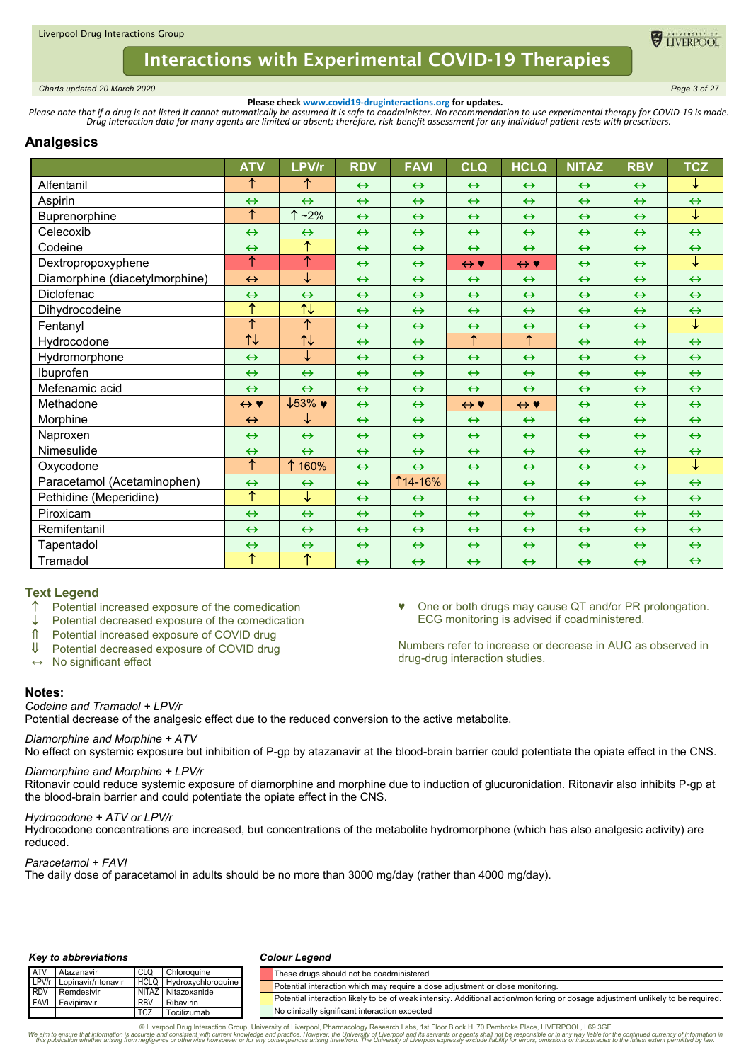

<span id="page-2-0"></span>*Charts updated 20 March 2020 Page 3 of 27*

**Please check www.covid19-druginteractions.org for updates.**<br>.Please note that if a drug is not listed it cannot automatically be assumed it is safe to coadminister. No recommendation to use experimental therapy for COVID-

# **Analgesics**

|                                | <b>ATV</b>                         | LPV/r                                 | <b>RDV</b>        | <b>FAVI</b>       | <b>CLQ</b>            | <b>HCLQ</b>           | <b>NITAZ</b>      | <b>RBV</b>        | <b>TCZ</b>        |
|--------------------------------|------------------------------------|---------------------------------------|-------------------|-------------------|-----------------------|-----------------------|-------------------|-------------------|-------------------|
| Alfentanil                     | ↑                                  | ↑                                     | $\leftrightarrow$ | $\leftrightarrow$ | $\leftrightarrow$     | $\leftrightarrow$     | $\leftrightarrow$ | $\leftrightarrow$ | ↓                 |
| Aspirin                        | $\leftrightarrow$                  | $\leftrightarrow$                     | $\leftrightarrow$ | $\leftrightarrow$ | $\leftrightarrow$     | $\leftrightarrow$     | $\leftrightarrow$ | $\leftrightarrow$ | $\leftrightarrow$ |
| Buprenorphine                  | $\uparrow$                         | ↑<br>$~2\%$                           | $\leftrightarrow$ | $\leftrightarrow$ | $\leftrightarrow$     | $\leftrightarrow$     | $\leftrightarrow$ | $\leftrightarrow$ | ↓                 |
| Celecoxib                      | $\leftrightarrow$                  | $\leftrightarrow$                     | $\leftrightarrow$ | $\leftrightarrow$ | $\leftrightarrow$     | $\leftrightarrow$     | $\leftrightarrow$ | $\leftrightarrow$ | $\leftrightarrow$ |
| Codeine                        | $\leftrightarrow$                  | $\uparrow$                            | $\leftrightarrow$ | $\leftrightarrow$ | $\leftrightarrow$     | $\leftrightarrow$     | $\leftrightarrow$ | $\leftrightarrow$ | $\leftrightarrow$ |
| Dextropropoxyphene             | ↑                                  | ↑                                     | $\leftrightarrow$ | $\leftrightarrow$ | $\leftrightarrow$ Y   | $\leftrightarrow$ Y   | $\leftrightarrow$ | $\leftrightarrow$ | ↓                 |
| Diamorphine (diacetylmorphine) | $\leftrightarrow$                  | ↓                                     | $\leftrightarrow$ | $\leftrightarrow$ | $\leftrightarrow$     | $\leftrightarrow$     | $\leftrightarrow$ | $\leftrightarrow$ | $\leftrightarrow$ |
| Diclofenac                     | $\leftrightarrow$                  | $\leftrightarrow$                     | $\leftrightarrow$ | $\leftrightarrow$ | $\leftrightarrow$     | $\leftrightarrow$     | $\leftrightarrow$ | $\leftrightarrow$ | $\leftrightarrow$ |
| Dihydrocodeine                 | ↑                                  | $\overline{\overline{\mathcal{F}}}$   | $\leftrightarrow$ | $\leftrightarrow$ | $\leftrightarrow$     | $\leftrightarrow$     | $\leftrightarrow$ | $\leftrightarrow$ | $\leftrightarrow$ |
| Fentanvl                       | $\overline{\uparrow}$              | $\overline{\uparrow}$                 | $\leftrightarrow$ | $\leftrightarrow$ | $\leftrightarrow$     | $\leftrightarrow$     | $\leftrightarrow$ | $\leftrightarrow$ | ↓                 |
| Hydrocodone                    | $\overline{\overline{\mathsf{t}}}$ | $\overline{\uparrow\downarrow}$       | $\leftrightarrow$ | $\leftrightarrow$ | $\overline{\uparrow}$ | $\overline{\uparrow}$ | $\leftrightarrow$ | $\leftrightarrow$ | $\leftrightarrow$ |
| Hydromorphone                  | $\leftrightarrow$                  | ↓                                     | $\leftrightarrow$ | $\leftrightarrow$ | $\leftrightarrow$     | $\leftrightarrow$     | $\leftrightarrow$ | $\leftrightarrow$ | $\leftrightarrow$ |
| Ibuprofen                      | $\leftrightarrow$                  | $\leftrightarrow$                     | $\leftrightarrow$ | $\leftrightarrow$ | $\leftrightarrow$     | $\leftrightarrow$     | $\leftrightarrow$ | $\leftrightarrow$ | $\leftrightarrow$ |
| Mefenamic acid                 | $\leftrightarrow$                  | $\leftrightarrow$                     | $\leftrightarrow$ | $\leftrightarrow$ | $\leftrightarrow$     | $\leftrightarrow$     | $\leftrightarrow$ | $\leftrightarrow$ | $\leftrightarrow$ |
| Methadone                      | $\leftrightarrow$ Y                | $\downarrow$ 53% $\blacktriangledown$ | $\leftrightarrow$ | $\leftrightarrow$ | $\leftrightarrow$ Y   | $\leftrightarrow$ Y   | $\leftrightarrow$ | $\leftrightarrow$ | $\leftrightarrow$ |
| Morphine                       | $\leftrightarrow$                  | ↓                                     | $\leftrightarrow$ | $\leftrightarrow$ | $\leftrightarrow$     | $\leftrightarrow$     | $\leftrightarrow$ | $\leftrightarrow$ | $\leftrightarrow$ |
| Naproxen                       | $\leftrightarrow$                  | $\leftrightarrow$                     | $\leftrightarrow$ | $\leftrightarrow$ | $\leftrightarrow$     | $\leftrightarrow$     | $\leftrightarrow$ | $\leftrightarrow$ | $\leftrightarrow$ |
| Nimesulide                     | $\leftrightarrow$                  | $\leftrightarrow$                     | $\leftrightarrow$ | $\leftrightarrow$ | $\leftrightarrow$     | $\leftrightarrow$     | $\leftrightarrow$ | $\leftrightarrow$ | $\leftrightarrow$ |
| Oxycodone                      | $\uparrow$                         | 1 160%                                | $\leftrightarrow$ | $\leftrightarrow$ | $\leftrightarrow$     | $\leftrightarrow$     | $\leftrightarrow$ | $\leftrightarrow$ | ↓                 |
| Paracetamol (Acetaminophen)    | $\leftrightarrow$                  | $\leftrightarrow$                     | $\leftrightarrow$ | <b>114-16%</b>    | $\leftrightarrow$     | $\leftrightarrow$     | $\leftrightarrow$ | $\leftrightarrow$ | $\leftrightarrow$ |
| Pethidine (Meperidine)         | ↑                                  | ↓                                     | $\leftrightarrow$ | $\leftrightarrow$ | $\leftrightarrow$     | $\leftrightarrow$     | $\leftrightarrow$ | $\leftrightarrow$ | $\leftrightarrow$ |
| Piroxicam                      | $\leftrightarrow$                  | $\leftrightarrow$                     | $\leftrightarrow$ | $\leftrightarrow$ | $\leftrightarrow$     | $\leftrightarrow$     | $\leftrightarrow$ | $\leftrightarrow$ | $\leftrightarrow$ |
| Remifentanil                   | $\leftrightarrow$                  | $\leftrightarrow$                     | $\leftrightarrow$ | $\leftrightarrow$ | $\leftrightarrow$     | $\leftrightarrow$     | $\leftrightarrow$ | $\leftrightarrow$ | $\leftrightarrow$ |
| Tapentadol                     | $\leftrightarrow$                  | $\leftrightarrow$                     | $\leftrightarrow$ | $\leftrightarrow$ | $\leftrightarrow$     | $\leftrightarrow$     | $\leftrightarrow$ | $\leftrightarrow$ | $\leftrightarrow$ |
| Tramadol                       | $\overline{\uparrow}$              | ↑                                     | $\leftrightarrow$ | $\leftrightarrow$ | $\leftrightarrow$     | $\leftrightarrow$     | $\leftrightarrow$ | $\leftrightarrow$ | $\leftrightarrow$ |

## **Text Legend**

- Potential increased exposure of the comedication
- Potential decreased exposure of the comedication
- Potential increased exposure of COVID drug
- ↓ Potential decreased exposure of COVID drug
- **↔** No significant effect
- **Notes:**

*Codeine and Tramadol + LPV/r*

Potential decrease of the analgesic effect due to the reduced conversion to the active metabolite.

### *Diamorphine and Morphine + ATV*

No effect on systemic exposure but inhibition of P-gp by atazanavir at the blood-brain barrier could potentiate the opiate effect in the CNS.

♥ One or both drugs may cause QT and/or PR prolongation.

Numbers refer to increase or decrease in AUC as observed in

ECG monitoring is advised if coadministered.

drug-drug interaction studies.

### *Diamorphine and Morphine + LPV/r*

Ritonavir could reduce systemic exposure of diamorphine and morphine due to induction of glucuronidation. Ritonavir also inhibits P-gp at the blood-brain barrier and could potentiate the opiate effect in the CNS.

### *Hydrocodone + ATV or LPV/r*

Hydrocodone concentrations are increased, but concentrations of the metabolite hydromorphone (which has also analgesic activity) are reduced.

*Paracetamol + FAVI*

The daily dose of paracetamol in adults should be no more than 3000 mg/day (rather than 4000 mg/day).

### *Key to abbreviations*

#### *Colour Legend*

| <b>LATV</b> | Atazanavir                |            | Chloroquine               |  | These drugs should not be coadministered                                                                                         |
|-------------|---------------------------|------------|---------------------------|--|----------------------------------------------------------------------------------------------------------------------------------|
|             | LPV/r Lopinavir/ritonavir |            | HCLQ   Hydroxychloroquine |  | Potential interaction which may require a dose adjustment or close monitoring.                                                   |
| <b>RDV</b>  | Remdesivir                |            | NITAZ Nitazoxanide        |  |                                                                                                                                  |
| <b>FAVI</b> | l Favipiravir             | <b>RBV</b> | Ribavirin                 |  | Potential interaction likely to be of weak intensity. Additional action/monitoring or dosage adjustment unlikely to be required. |
|             |                           | <b>TCZ</b> | Tocilizumab               |  | No clinically significant interaction expected                                                                                   |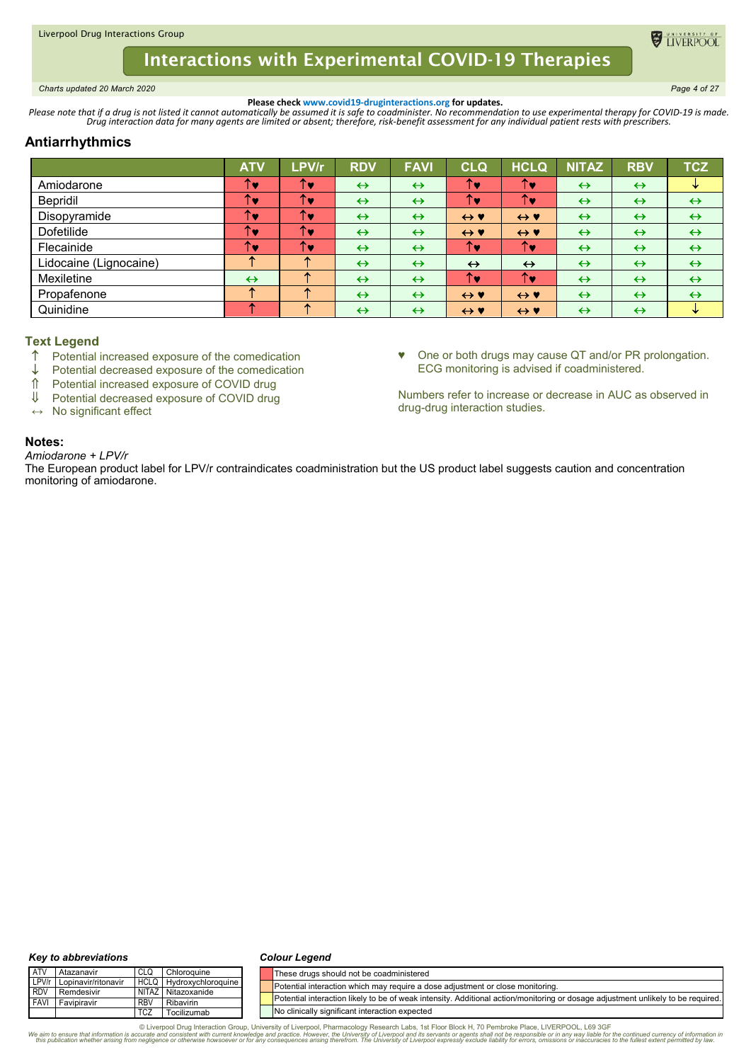<span id="page-3-0"></span>*Charts updated 20 March 2020 Page 4 of 27*

**ELIVERPOO** 

**Please check www.covid19-druginteractions.org for updates.**<br>.Please note that if a drug is not listed it cannot automatically be assumed it is safe to coadminister. No recommendation to use experimental therapy for COVID-

# **Antiarrhythmics**

|                        | <b>ATV</b>        | LPV/r | <b>RDV</b>        | <b>FAVI</b>       | <b>CLQ</b>          | <b>HCLQ</b>         | <b>NITAZ</b>      | <b>RBV</b>        | <b>TCZ</b>        |
|------------------------|-------------------|-------|-------------------|-------------------|---------------------|---------------------|-------------------|-------------------|-------------------|
| Amiodarone             | T.                | ↑♥    | $\leftrightarrow$ | $\leftrightarrow$ | ↑♥                  | ↑♥                  | $\leftrightarrow$ | $\leftrightarrow$ | ₩                 |
| Bepridil               | T.                | ↑♥    | $\leftrightarrow$ | $\leftrightarrow$ | ↑♥                  | ↑♥                  | $\leftrightarrow$ | $\leftrightarrow$ | $\leftrightarrow$ |
| Disopyramide           | TV.               | ↑♥    | $\leftrightarrow$ | $\leftrightarrow$ | $\leftrightarrow$ Y | $\leftrightarrow$ Y | $\leftrightarrow$ | $\leftrightarrow$ | $\leftrightarrow$ |
| Dofetilide             | ↑♥                | ↑♥    | $\leftrightarrow$ | $\leftrightarrow$ | $\leftrightarrow$ Y | $\leftrightarrow$ Y | $\leftrightarrow$ | $\leftrightarrow$ | $\leftrightarrow$ |
| Flecainide             | T.                | ↑♥    | $\leftrightarrow$ | $\leftrightarrow$ | ↑∙                  | ↑∙                  | $\leftrightarrow$ | $\leftrightarrow$ | $\leftrightarrow$ |
| Lidocaine (Lignocaine) | ́                 |       | $\leftrightarrow$ | $\leftrightarrow$ | $\leftrightarrow$   | $\leftrightarrow$   | $\leftrightarrow$ | $\leftrightarrow$ | $\leftrightarrow$ |
| Mexiletine             | $\leftrightarrow$ | 灬     | $\leftrightarrow$ | $\leftrightarrow$ | ↑♥                  | ↑♥                  | $\leftrightarrow$ | $\leftrightarrow$ | $\leftrightarrow$ |
| Propafenone            |                   |       | $\leftrightarrow$ | $\leftrightarrow$ | $\leftrightarrow$ Y | $\leftrightarrow$ Y | $\leftrightarrow$ | $\leftrightarrow$ | $\leftrightarrow$ |
| Quinidine              |                   |       | $\leftrightarrow$ | $\leftrightarrow$ | $\leftrightarrow$ Y | $\leftrightarrow$ Y | $\leftrightarrow$ | $\leftrightarrow$ | V                 |

# **Text Legend**

- $\uparrow$  Potential increased exposure of the comedication  $\downarrow$  Potential decreased exposure of the comedication
- Potential decreased exposure of the comedication
- ↑ Potential increased exposure of COVID drug<br>↓ Potential decreased exposure of COVID drug
- Potential decreased exposure of COVID drug
- **↔** No significant effect

♥ One or both drugs may cause QT and/or PR prolongation. ECG monitoring is advised if coadministered.

Numbers refer to increase or decrease in AUC as observed in drug-drug interaction studies.

# **Notes:**

*Amiodarone + LPV/r* The European product label for LPV/r contraindicates coadministration but the US product label suggests caution and concentration monitoring of amiodarone.

#### *Key to abbreviations*

#### *Colour Legend*

| <b>ATV</b>  | Atazanavir          | CLG                   | Chloroquine               | These drugs should not be coadministered                                                                                         |
|-------------|---------------------|-----------------------|---------------------------|----------------------------------------------------------------------------------------------------------------------------------|
| LPV/r       | Lopinavir/ritonavir | <b>HCLQ</b>           | <b>Hydroxychloroguine</b> | Potential interaction which may require a dose adiustment or close monitoring.                                                   |
| <b>RDV</b>  | Remdesivir          | <b>NITAZ</b>          | Nitazoxanide              |                                                                                                                                  |
| <b>FAVI</b> | Favipiravir         | <b>RBV</b>            | Ribavirin                 | Potential interaction likely to be of weak intensity. Additional action/monitoring or dosage adjustment unlikely to be required. |
|             |                     | <b>TC<sub>Z</sub></b> | Tocilizumab               | No clinically significant interaction expected                                                                                   |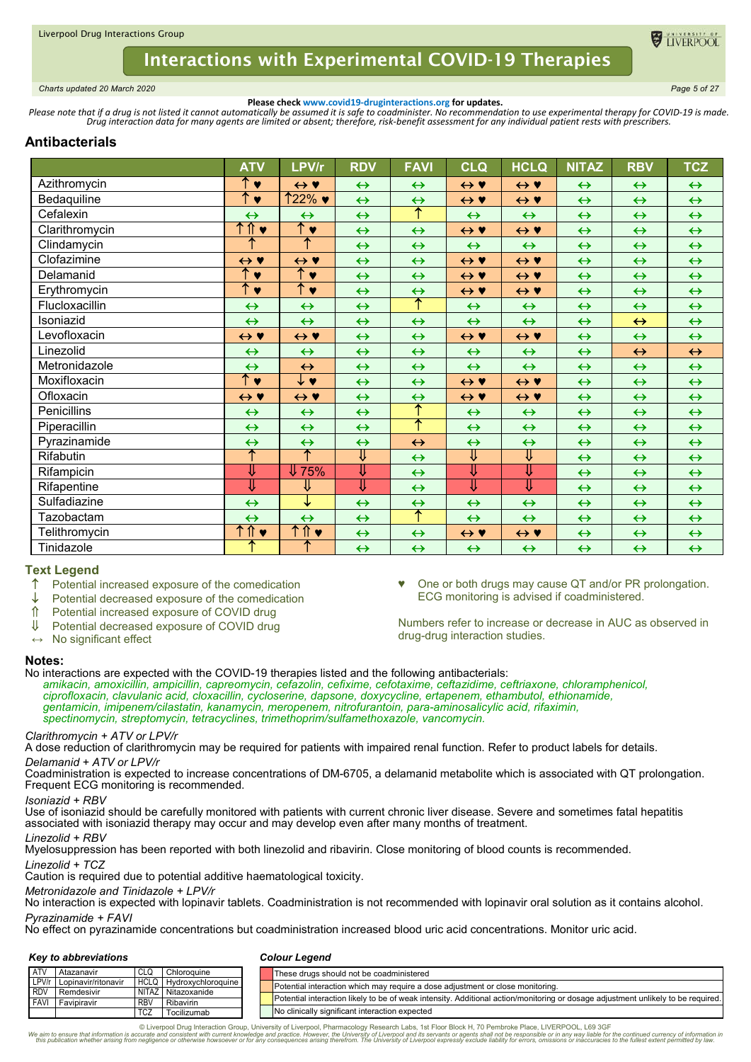

<span id="page-4-0"></span>*Charts updated 20 March 2020 Page 5 of 27*

**Please check www.covid19-druginteractions.org for updates.**<br>.Please note that if a drug is not listed it cannot automatically be assumed it is safe to coadminister. No recommendation to use experimental therapy for COVID-

# **Antibacterials**

|                | <b>ATV</b>          | LPV/r                     | <b>RDV</b>        | <b>FAVI</b>       | <b>CLQ</b>          | <b>HCLQ</b>         | <b>NITAZ</b>      | <b>RBV</b>        | <b>TCZ</b>        |
|----------------|---------------------|---------------------------|-------------------|-------------------|---------------------|---------------------|-------------------|-------------------|-------------------|
| Azithromycin   | ↑▼                  | $\leftrightarrow$ Y       | $\leftrightarrow$ | $\leftrightarrow$ | $\leftrightarrow$ Y | $\leftrightarrow$ Y | $\leftrightarrow$ | $\leftrightarrow$ | $\leftrightarrow$ |
| Bedaquiline    | ↑<br>$\bullet$      | $122\%$ ♥                 | $\leftrightarrow$ | $\leftrightarrow$ | $\leftrightarrow$ Y | $\leftrightarrow$ Y | $\leftrightarrow$ | $\leftrightarrow$ | $\leftrightarrow$ |
| Cefalexin      | $\leftrightarrow$   | $\leftrightarrow$         | $\leftrightarrow$ | $\uparrow$        | $\leftrightarrow$   | $\leftrightarrow$   | $\leftrightarrow$ | $\leftrightarrow$ | $\leftrightarrow$ |
| Clarithromycin | ተ ሰ<br>$\bullet$    | ↑♥                        | $\leftrightarrow$ | $\leftrightarrow$ | $\leftrightarrow$ Y | $\leftrightarrow$ Y | $\leftrightarrow$ | $\leftrightarrow$ | $\leftrightarrow$ |
| Clindamycin    | ↑                   | ↑                         | $\leftrightarrow$ | $\leftrightarrow$ | $\leftrightarrow$   | $\leftrightarrow$   | $\leftrightarrow$ | $\leftrightarrow$ | $\leftrightarrow$ |
| Clofazimine    | $\leftrightarrow$ Y | $\leftrightarrow \bullet$ | $\leftrightarrow$ | $\leftrightarrow$ | $\leftrightarrow$ Y | $\leftrightarrow$ Y | $\leftrightarrow$ | $\leftrightarrow$ | $\leftrightarrow$ |
| Delamanid      | ↑<br>$\bullet$      | ↑<br>$\bullet$            | $\leftrightarrow$ | $\leftrightarrow$ | $\leftrightarrow$ Y | $\leftrightarrow$ Y | $\leftrightarrow$ | $\leftrightarrow$ | $\leftrightarrow$ |
| Erythromycin   | ↑<br>$\bullet$      | 不了                        | $\leftrightarrow$ | $\leftrightarrow$ | $\leftrightarrow$ Y | $\leftrightarrow$ Y | $\leftrightarrow$ | $\leftrightarrow$ | $\leftrightarrow$ |
| Flucloxacillin | $\leftrightarrow$   | $\leftrightarrow$         | $\leftrightarrow$ | $\uparrow$        | $\leftrightarrow$   | $\leftrightarrow$   | $\leftrightarrow$ | $\leftrightarrow$ | $\leftrightarrow$ |
| Isoniazid      | $\leftrightarrow$   | $\leftrightarrow$         | $\leftrightarrow$ | $\leftrightarrow$ | $\leftrightarrow$   | $\leftrightarrow$   | $\leftrightarrow$ | $\leftrightarrow$ | $\leftrightarrow$ |
| Levofloxacin   | $\leftrightarrow$ Y | $\leftrightarrow$ Y       | $\leftrightarrow$ | $\leftrightarrow$ | $\leftrightarrow$ Y | $\leftrightarrow$ Y | $\leftrightarrow$ | $\leftrightarrow$ | $\leftrightarrow$ |
| Linezolid      | $\leftrightarrow$   | $\leftrightarrow$         | $\leftrightarrow$ | $\leftrightarrow$ | $\leftrightarrow$   | $\leftrightarrow$   | $\leftrightarrow$ | $\leftrightarrow$ | $\leftrightarrow$ |
| Metronidazole  | $\leftrightarrow$   | $\leftrightarrow$         | $\leftrightarrow$ | $\leftrightarrow$ | $\leftrightarrow$   | $\leftrightarrow$   | $\leftrightarrow$ | $\leftrightarrow$ | $\leftrightarrow$ |
| Moxifloxacin   | ↑▼                  | ↓♥                        | $\leftrightarrow$ | $\leftrightarrow$ | $\leftrightarrow$ Y | $\leftrightarrow$ Y | $\leftrightarrow$ | $\leftrightarrow$ | $\leftrightarrow$ |
| Ofloxacin      | $\leftrightarrow$ Y | $\leftrightarrow$ Y       | $\leftrightarrow$ | $\leftrightarrow$ | $\leftrightarrow$ Y | $\leftrightarrow$ Y | $\leftrightarrow$ | $\leftrightarrow$ | $\leftrightarrow$ |
| Penicillins    | $\leftrightarrow$   | $\leftrightarrow$         | $\leftrightarrow$ | ↑                 | $\leftrightarrow$   | $\leftrightarrow$   | $\leftrightarrow$ | $\leftrightarrow$ | $\leftrightarrow$ |
| Piperacillin   | $\leftrightarrow$   | $\leftrightarrow$         | $\leftrightarrow$ | ት                 | $\leftrightarrow$   | $\leftrightarrow$   | $\leftrightarrow$ | $\leftrightarrow$ | $\leftrightarrow$ |
| Pyrazinamide   | $\leftrightarrow$   | $\leftrightarrow$         | $\leftrightarrow$ | $\leftrightarrow$ | $\leftrightarrow$   | $\leftrightarrow$   | $\leftrightarrow$ | $\leftrightarrow$ | $\leftrightarrow$ |
| Rifabutin      | ↑                   | $\uparrow$                | ⇓                 | $\leftrightarrow$ | ⇓                   | ⇓                   | $\leftrightarrow$ | $\leftrightarrow$ | $\leftrightarrow$ |
| Rifampicin     | ⇓                   | $\sqrt{75\%}$             | ⇓                 | $\leftrightarrow$ | ⇓                   | ⇓                   | $\leftrightarrow$ | $\leftrightarrow$ | $\leftrightarrow$ |
| Rifapentine    | ⇓                   | ⇓                         | ⇓                 | $\leftrightarrow$ | ⇓                   | ⇓                   | $\leftrightarrow$ | $\leftrightarrow$ | $\leftrightarrow$ |
| Sulfadiazine   | $\leftrightarrow$   | ↓                         | $\leftrightarrow$ | $\leftrightarrow$ | $\leftrightarrow$   | $\leftrightarrow$   | $\leftrightarrow$ | $\leftrightarrow$ | $\leftrightarrow$ |
| Tazobactam     | $\leftrightarrow$   | $\leftrightarrow$         | $\leftrightarrow$ | $\uparrow$        | $\leftrightarrow$   | $\leftrightarrow$   | $\leftrightarrow$ | $\leftrightarrow$ | $\leftrightarrow$ |
| Telithromycin  | 个介<br>$\bullet$     | ↑⇑♥                       | $\leftrightarrow$ | $\leftrightarrow$ | $\leftrightarrow$ Y | $\leftrightarrow$ Y | $\leftrightarrow$ | $\leftrightarrow$ | $\leftrightarrow$ |
| Tinidazole     | ᠰ                   | ᠰ                         | $\leftrightarrow$ | $\leftrightarrow$ | $\leftrightarrow$   | $\leftrightarrow$   | $\leftrightarrow$ | $\leftrightarrow$ | $\leftrightarrow$ |

## **Text Legend**

- Potential increased exposure of the comedication
- $\downarrow$  Potential decreased exposure of the comedication<br>  $\hat{\mathbb{I}}$  Potential increased exposure of COVID drug
- Potential increased exposure of COVID drug
- ↓ Potential decreased exposure of COVID drug
- **↔** No significant effect

One or both drugs may cause QT and/or PR prolongation. ECG monitoring is advised if coadministered.

Numbers refer to increase or decrease in AUC as observed in drug-drug interaction studies.

# **Notes:**

No interactions are expected with the COVID-19 therapies listed and the following antibacterials: *amikacin, amoxicillin, ampicillin, capreomycin, cefazolin, cefixime, cefotaxime, ceftazidime, ceftriaxone, chloramphenicol, ciprofloxacin, clavulanic acid, cloxacillin, cycloserine, dapsone, doxycycline, ertapenem, ethambutol, ethionamide, gentamicin, imipenem/cilastatin, kanamycin, meropenem, nitrofurantoin, para-aminosalicylic acid, rifaximin, spectinomycin, streptomycin, tetracyclines, trimethoprim/sulfamethoxazole, vancomycin.*

# *Clarithromycin + ATV or LPV/r*

A dose reduction of clarithromycin may be required for patients with impaired renal function. Refer to product labels for details. *Delamanid + ATV or LPV/r*

Coadministration is expected to increase concentrations of DM-6705, a delamanid metabolite which is associated with QT prolongation. Frequent ECG monitoring is recommended.

### *Isoniazid + RBV*

Use of isoniazid should be carefully monitored with patients with current chronic liver disease. Severe and sometimes fatal hepatitis associated with isoniazid therapy may occur and may develop even after many months of treatment.

### *Linezolid + RBV*

Myelosuppression has been reported with both linezolid and ribavirin. Close monitoring of blood counts is recommended.

#### *Linezolid + TCZ*

Caution is required due to potential additive haematological toxicity.

#### *Metronidazole and Tinidazole + LPV/r*

No interaction is expected with lopinavir tablets. Coadministration is not recommended with lopinavir oral solution as it contains alcohol. *Pyrazinamide + FAVI*

No effect on pyrazinamide concentrations but coadministration increased blood uric acid concentrations. Monitor uric acid.

### *Key to abbreviations*

#### *Colour Legend*

| <b>ATV</b> | Atazanavir                |            | Chloroguine                    |  |  | These drugs should not be coadministered                                                                                         |  |  |  |  |  |  |
|------------|---------------------------|------------|--------------------------------|--|--|----------------------------------------------------------------------------------------------------------------------------------|--|--|--|--|--|--|
|            | LPV/r Lopinavir/ritonavir |            | <b>HCLQ Hydroxychloroquine</b> |  |  | Potential interaction which may require a dose adjustment or close monitoring.                                                   |  |  |  |  |  |  |
| <b>RDV</b> | Remdesivir                |            | NITAZ Nitazoxanide             |  |  |                                                                                                                                  |  |  |  |  |  |  |
| FAVI       | Favipiravir               | <b>RBV</b> | Ribavirin                      |  |  | Potential interaction likely to be of weak intensity. Additional action/monitoring or dosage adiustment unlikely to be required. |  |  |  |  |  |  |
|            |                           | <b>TCZ</b> | Tocilizumab                    |  |  | No clinically significant interaction expected                                                                                   |  |  |  |  |  |  |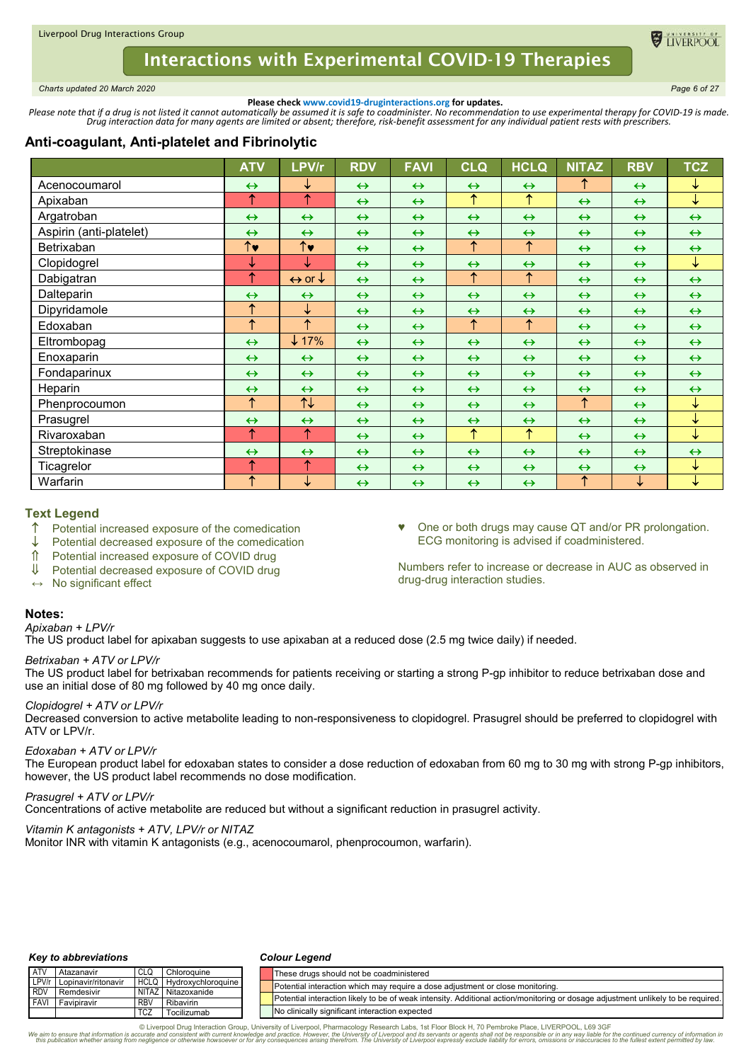<span id="page-5-0"></span>*Charts updated 20 March 2020 Page 6 of 27*

**ELIVERPOC** 

**Please check www.covid19-druginteractions.org for updates.**<br>.Please note that if a drug is not listed it cannot automatically be assumed it is safe to coadminister. No recommendation to use experimental therapy for COVID-

# **Anti-coagulant, Anti-platelet and Fibrinolytic**

|                         | <b>ATV</b>                              | LPV/r                             | <b>RDV</b>        | <b>FAVI</b>       | CLQ                   | <b>HCLQ</b>       | <b>NITAZ</b>      | <b>RBV</b>        | <b>TCZ</b>        |
|-------------------------|-----------------------------------------|-----------------------------------|-------------------|-------------------|-----------------------|-------------------|-------------------|-------------------|-------------------|
| Acenocoumarol           | $\leftrightarrow$                       | ↓                                 | $\leftrightarrow$ | $\leftrightarrow$ | $\leftrightarrow$     | $\leftrightarrow$ | ↑                 | $\leftrightarrow$ | ↓                 |
| Apixaban                | ↑                                       | $\uparrow$                        | $\leftrightarrow$ | $\leftrightarrow$ | ↑                     | ↑                 | $\leftrightarrow$ | $\leftrightarrow$ | ↓                 |
| Argatroban              | $\leftrightarrow$                       | $\leftrightarrow$                 | $\leftrightarrow$ | $\leftrightarrow$ | $\leftrightarrow$     | $\leftrightarrow$ | $\leftrightarrow$ | $\leftrightarrow$ | $\leftrightarrow$ |
| Aspirin (anti-platelet) | $\leftrightarrow$                       | $\leftrightarrow$                 | $\leftrightarrow$ | $\leftrightarrow$ | $\leftrightarrow$     | $\leftrightarrow$ | $\leftrightarrow$ | $\leftrightarrow$ | $\leftrightarrow$ |
| Betrixaban              | $\overline{\uparrow\blacktriangledown}$ | $\overline{\uparrow}$             | $\leftrightarrow$ | $\leftrightarrow$ | $\overline{\uparrow}$ | $\uparrow$        | $\leftrightarrow$ | $\leftrightarrow$ | $\leftrightarrow$ |
| Clopidogrel             | ↓                                       | ↓                                 | $\leftrightarrow$ | $\leftrightarrow$ | $\leftrightarrow$     | $\leftrightarrow$ | $\leftrightarrow$ | $\leftrightarrow$ | $\downarrow$      |
| Dabigatran              | ↑                                       | $\leftrightarrow$ or $\downarrow$ | $\leftrightarrow$ | $\leftrightarrow$ | $\uparrow$            | $\uparrow$        | $\leftrightarrow$ | $\leftrightarrow$ | $\leftrightarrow$ |
| Dalteparin              | $\leftrightarrow$                       | $\leftrightarrow$                 | $\leftrightarrow$ | $\leftrightarrow$ | $\leftrightarrow$     | $\leftrightarrow$ | $\leftrightarrow$ | $\leftrightarrow$ | $\leftrightarrow$ |
| Dipyridamole            | $\uparrow$                              | ↓                                 | $\leftrightarrow$ | $\leftrightarrow$ | $\leftrightarrow$     | $\leftrightarrow$ | $\leftrightarrow$ | $\leftrightarrow$ | $\leftrightarrow$ |
| Edoxaban                | $\uparrow$                              | $\uparrow$                        | $\leftrightarrow$ | $\leftrightarrow$ | $\uparrow$            | $\uparrow$        | $\leftrightarrow$ | $\leftrightarrow$ | $\leftrightarrow$ |
| Eltrombopag             | $\leftrightarrow$                       | $\downarrow$ 17%                  | $\leftrightarrow$ | $\leftrightarrow$ | $\leftrightarrow$     | $\leftrightarrow$ | $\leftrightarrow$ | $\leftrightarrow$ | $\leftrightarrow$ |
| Enoxaparin              | $\leftrightarrow$                       | $\leftrightarrow$                 | $\leftrightarrow$ | $\leftrightarrow$ | $\leftrightarrow$     | $\leftrightarrow$ | $\leftrightarrow$ | $\leftrightarrow$ | $\leftrightarrow$ |
| Fondaparinux            | $\leftrightarrow$                       | $\leftrightarrow$                 | $\leftrightarrow$ | $\leftrightarrow$ | $\leftrightarrow$     | $\leftrightarrow$ | $\leftrightarrow$ | $\leftrightarrow$ | $\leftrightarrow$ |
| Heparin                 | $\leftrightarrow$                       | $\leftrightarrow$                 | $\leftrightarrow$ | $\leftrightarrow$ | $\leftrightarrow$     | $\leftrightarrow$ | $\leftrightarrow$ | $\leftrightarrow$ | $\leftrightarrow$ |
| Phenprocoumon           | ↑                                       | $\uparrow\downarrow$              | $\leftrightarrow$ | $\leftrightarrow$ | $\leftrightarrow$     | $\leftrightarrow$ | ↑                 | $\leftrightarrow$ | ↓                 |
| Prasugrel               | $\leftrightarrow$                       | $\leftrightarrow$                 | $\leftrightarrow$ | $\leftrightarrow$ | $\leftrightarrow$     | $\leftrightarrow$ | $\leftrightarrow$ | $\leftrightarrow$ | ↓                 |
| Rivaroxaban             | ↑                                       | $\uparrow$                        | $\leftrightarrow$ | $\leftrightarrow$ | ↑                     | ↑                 | $\leftrightarrow$ | $\leftrightarrow$ | ↓                 |
| Streptokinase           | $\leftrightarrow$                       | $\leftrightarrow$                 | $\leftrightarrow$ | $\leftrightarrow$ | $\leftrightarrow$     | $\leftrightarrow$ | $\leftrightarrow$ | $\leftrightarrow$ | $\leftrightarrow$ |
| Ticagrelor              | ↑                                       | ↑                                 | $\leftrightarrow$ | $\leftrightarrow$ | $\leftrightarrow$     | $\leftrightarrow$ | $\leftrightarrow$ | $\leftrightarrow$ | $\downarrow$      |
| Warfarin                | ↑                                       | ↓                                 | $\leftrightarrow$ | $\leftrightarrow$ | $\leftrightarrow$     | $\leftrightarrow$ | $\uparrow$        | ↓                 | $\downarrow$      |

## **Text Legend**

- $\uparrow$  Potential increased exposure of the comedication
- $\downarrow$  Potential decreased exposure of the comedication
- Potential increased exposure of COVID drug
- Potential decreased exposure of COVID drug
- **↔** No significant effect
- **Notes:**

### *Apixaban + LPV/r*

The US product label for apixaban suggests to use apixaban at a reduced dose (2.5 mg twice daily) if needed.

### *Betrixaban + ATV or LPV/r*

The US product label for betrixaban recommends for patients receiving or starting a strong P-gp inhibitor to reduce betrixaban dose and use an initial dose of 80 mg followed by 40 mg once daily.

# *Clopidogrel + ATV or LPV/r*

Decreased conversion to active metabolite leading to non-responsiveness to clopidogrel. Prasugrel should be preferred to clopidogrel with ATV or LPV/r.

### *Edoxaban + ATV or LPV/r*

The European product label for edoxaban states to consider a dose reduction of edoxaban from 60 mg to 30 mg with strong P-gp inhibitors, however, the US product label recommends no dose modification.

## *Prasugrel + ATV or LPV/r*

Concentrations of active metabolite are reduced but without a significant reduction in prasugrel activity.

### *Vitamin K antagonists + ATV, LPV/r or NITAZ*

Monitor INR with vitamin K antagonists (e.g., acenocoumarol, phenprocoumon, warfarin).

# *Key to abbreviations*

#### *Colour Legend*

| <b>ATV</b> | Atazanavir           | CLQ        | Chloroquine                    |  | These drugs should not be coadministered                                                                                         |
|------------|----------------------|------------|--------------------------------|--|----------------------------------------------------------------------------------------------------------------------------------|
| LPV/r      | Lopinavir/ritonavir_ |            | <b>HCLQ</b> Hydroxychloroquine |  | Potential interaction which may require a dose adjustment or close monitoring.                                                   |
| 1 RDV      | <b>Remdesivir</b>    |            | NITAZ Nitazoxanide             |  |                                                                                                                                  |
| FAVI       | <b>Favipiravir</b>   | <b>RBV</b> | Ribavirin                      |  | Potential interaction likely to be of weak intensity. Additional action/monitoring or dosage adjustment unlikely to be required. |
|            |                      | <b>TCZ</b> | Tocilizumab                    |  | No clinically significant interaction expected                                                                                   |

© Liverpool Drug Interaction Group, University of Liverpool, Pharmacology Research Labs, 1st Floor Block H, 70 Pembroke Place, LIVERPOOL, L69 3GF (@Starmachor sequence that information is contract on the virant the virant

One or both drugs may cause QT and/or PR prolongation. ECG monitoring is advised if coadministered.

Numbers refer to increase or decrease in AUC as observed in drug-drug interaction studies.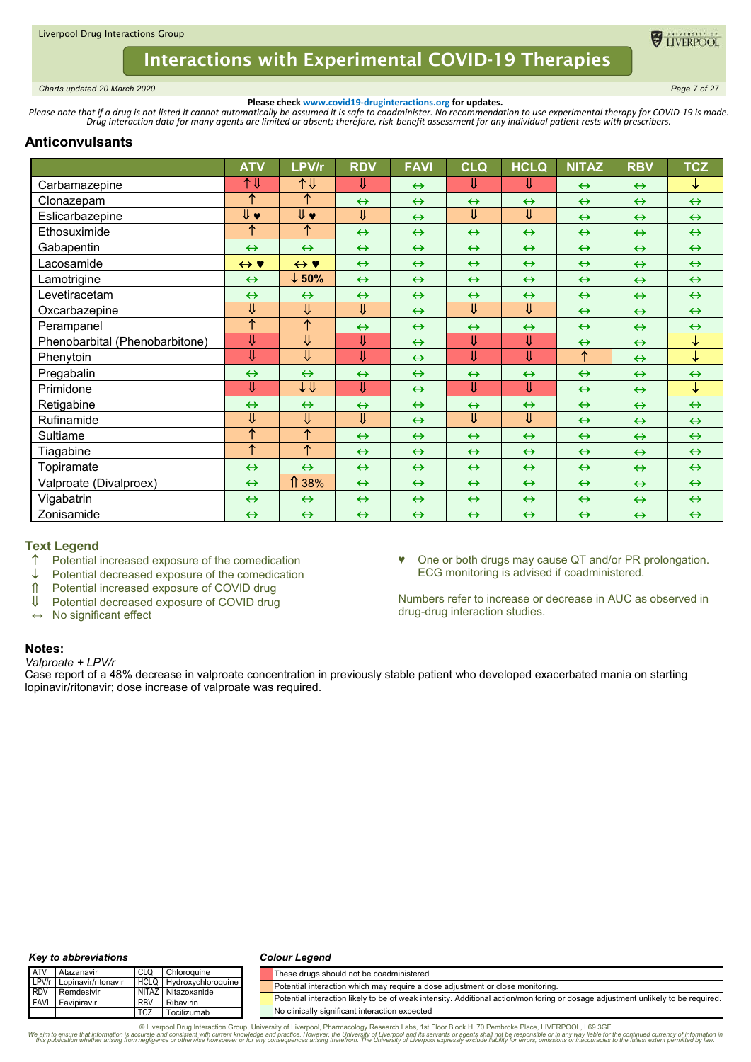

<span id="page-6-0"></span>*Charts updated 20 March 2020 Page 7 of 27*

**Please check www.covid19-druginteractions.org for updates.**<br>.Please note that if a drug is not listed it cannot automatically be assumed it is safe to coadminister. No recommendation to use experimental therapy for COVID-

# **Anticonvulsants**

|                                | <b>ATV</b>          | LPV/r                     | <b>RDV</b>              | <b>FAVI</b>       | <b>CLQ</b>        | <b>HCLQ</b>             | <b>NITAZ</b>      | <b>RBV</b>        | <b>TCZ</b>        |
|--------------------------------|---------------------|---------------------------|-------------------------|-------------------|-------------------|-------------------------|-------------------|-------------------|-------------------|
| Carbamazepine                  | 1↓                  | 1↓                        | ⇓                       | $\leftrightarrow$ | ⇓                 | ⇓                       | $\leftrightarrow$ | $\leftrightarrow$ | ↓                 |
| Clonazepam                     | ↑                   | ↑                         | $\leftrightarrow$       | $\leftrightarrow$ | $\leftrightarrow$ | $\leftrightarrow$       | $\leftrightarrow$ | $\leftrightarrow$ | $\leftrightarrow$ |
| Eslicarbazepine                |                     | $\overline{\Downarrow}$ v | $\overline{\Downarrow}$ | $\leftrightarrow$ | ⇓                 | ⇓                       | $\leftrightarrow$ | $\leftrightarrow$ | $\leftrightarrow$ |
| Ethosuximide                   | ↑                   | ↑                         | $\leftrightarrow$       | $\leftrightarrow$ | $\leftrightarrow$ | $\leftrightarrow$       | $\leftrightarrow$ | $\leftrightarrow$ | $\leftrightarrow$ |
| Gabapentin                     | $\leftrightarrow$   | $\leftrightarrow$         | $\leftrightarrow$       | $\leftrightarrow$ | $\leftrightarrow$ | $\leftrightarrow$       | $\leftrightarrow$ | $\leftrightarrow$ | $\leftrightarrow$ |
| Lacosamide                     | $\leftrightarrow$ Y | $\leftrightarrow$ Y       | $\leftrightarrow$       | $\leftrightarrow$ | $\leftrightarrow$ | $\leftrightarrow$       | $\leftrightarrow$ | $\leftrightarrow$ | $\leftrightarrow$ |
| Lamotrigine                    | $\leftrightarrow$   | $\downarrow$ 50%          | $\leftrightarrow$       | $\leftrightarrow$ | $\leftrightarrow$ | $\leftrightarrow$       | $\leftrightarrow$ | $\leftrightarrow$ | $\leftrightarrow$ |
| Levetiracetam                  | $\leftrightarrow$   | $\leftrightarrow$         | $\leftrightarrow$       | $\leftrightarrow$ | $\leftrightarrow$ | $\leftrightarrow$       | $\leftrightarrow$ | $\leftrightarrow$ | $\leftrightarrow$ |
| Oxcarbazepine                  | ⇓                   | $\overline{\mathsf{U}}$   | ⇓                       | $\leftrightarrow$ | ⇓                 | ⇓                       | $\leftrightarrow$ | $\leftrightarrow$ | $\leftrightarrow$ |
| Perampanel                     | ↑                   | ↑                         | $\leftrightarrow$       | $\leftrightarrow$ | $\leftrightarrow$ | $\leftrightarrow$       | $\leftrightarrow$ | $\leftrightarrow$ | $\leftrightarrow$ |
| Phenobarbital (Phenobarbitone) | ⇓                   | ⇓                         | ⇓                       | $\leftrightarrow$ | Ų                 | ⇓                       | $\leftrightarrow$ | $\leftrightarrow$ | ↓                 |
| Phenytoin                      | ⇓                   | ⇓                         | U                       | $\leftrightarrow$ | ⇓                 | ₩                       | $\uparrow$        | $\leftrightarrow$ | $\downarrow$      |
| Pregabalin                     | $\leftrightarrow$   | $\leftrightarrow$         | $\leftrightarrow$       | $\leftrightarrow$ | $\leftrightarrow$ | $\leftrightarrow$       | $\leftrightarrow$ | $\leftrightarrow$ | $\leftrightarrow$ |
| Primidone                      | ⇓                   | ↓↓                        | ⇓                       | $\leftrightarrow$ | ⇓                 | $\overline{\mathsf{U}}$ | $\leftrightarrow$ | $\leftrightarrow$ | $\downarrow$      |
| Retigabine                     | $\leftrightarrow$   | $\leftrightarrow$         | $\leftrightarrow$       | $\leftrightarrow$ | $\leftrightarrow$ | $\leftrightarrow$       | $\leftrightarrow$ | $\leftrightarrow$ | $\leftrightarrow$ |
| Rufinamide                     | ⇓                   | ⇓                         | ⇓                       | $\leftrightarrow$ | ⇓                 | ⇓                       | $\leftrightarrow$ | $\leftrightarrow$ | $\leftrightarrow$ |
| Sultiame                       | ↑                   | $\uparrow$                | $\leftrightarrow$       | $\leftrightarrow$ | $\leftrightarrow$ | $\leftrightarrow$       | $\leftrightarrow$ | $\leftrightarrow$ | $\leftrightarrow$ |
| Tiagabine                      | $\uparrow$          | $\uparrow$                | $\leftrightarrow$       | $\leftrightarrow$ | $\leftrightarrow$ | $\leftrightarrow$       | $\leftrightarrow$ | $\leftrightarrow$ | $\leftrightarrow$ |
| Topiramate                     | $\leftrightarrow$   | $\leftrightarrow$         | $\leftrightarrow$       | $\leftrightarrow$ | $\leftrightarrow$ | $\leftrightarrow$       | $\leftrightarrow$ | $\leftrightarrow$ | $\leftrightarrow$ |
| Valproate (Divalproex)         | $\leftrightarrow$   | 1 38%                     | $\leftrightarrow$       | $\leftrightarrow$ | $\leftrightarrow$ | $\leftrightarrow$       | $\leftrightarrow$ | $\leftrightarrow$ | $\leftrightarrow$ |
| Vigabatrin                     | $\leftrightarrow$   | $\leftrightarrow$         | $\leftrightarrow$       | $\leftrightarrow$ | $\leftrightarrow$ | $\leftrightarrow$       | $\leftrightarrow$ | $\leftrightarrow$ | $\leftrightarrow$ |
| Zonisamide                     | $\leftrightarrow$   | $\leftrightarrow$         | $\leftrightarrow$       | $\leftrightarrow$ | $\leftrightarrow$ | $\leftrightarrow$       | $\leftrightarrow$ | $\leftrightarrow$ | $\leftrightarrow$ |

# **Text Legend**

- ↑ Potential increased exposure of the comedication
- $\downarrow$  Potential decreased exposure of the comedication<br>  $\uparrow$  Potential increased exposure of COVID drug
- 1 Potential increased exposure of COVID drug<br>↓ Potential decreased exposure of COVID drug
- Potential decreased exposure of COVID drug
- **↔** No significant effect

♥ One or both drugs may cause QT and/or PR prolongation. ECG monitoring is advised if coadministered.

Numbers refer to increase or decrease in AUC as observed in drug-drug interaction studies.

### **Notes:**

#### *Valproate + LPV/r*

Case report of a 48% decrease in valproate concentration in previously stable patient who developed exacerbated mania on starting lopinavir/ritonavir; dose increase of valproate was required.

#### *Key to abbreviations*

#### *Colour Legend*

| ATV        | Atazanavir                | CLG        | Chloroguine             | These drugs should not be coadministered                                                                                         |
|------------|---------------------------|------------|-------------------------|----------------------------------------------------------------------------------------------------------------------------------|
|            | LPV/r Lopinavir/ritonavir |            | HCLQ Hydroxychloroquine | Potential interaction which may require a dose adjustment or close monitoring.                                                   |
| <b>RDV</b> | Remdesivir                |            | NITAZ Nitazoxanide      | Potential interaction likely to be of weak intensity. Additional action/monitoring or dosage adjustment unlikely to be required. |
|            | <b>FAVI</b> Favipiravir   | <b>RBV</b> | Ribavirin               |                                                                                                                                  |
|            |                           | <b>TCZ</b> | Tocilizumab             | No clinically significant interaction expected                                                                                   |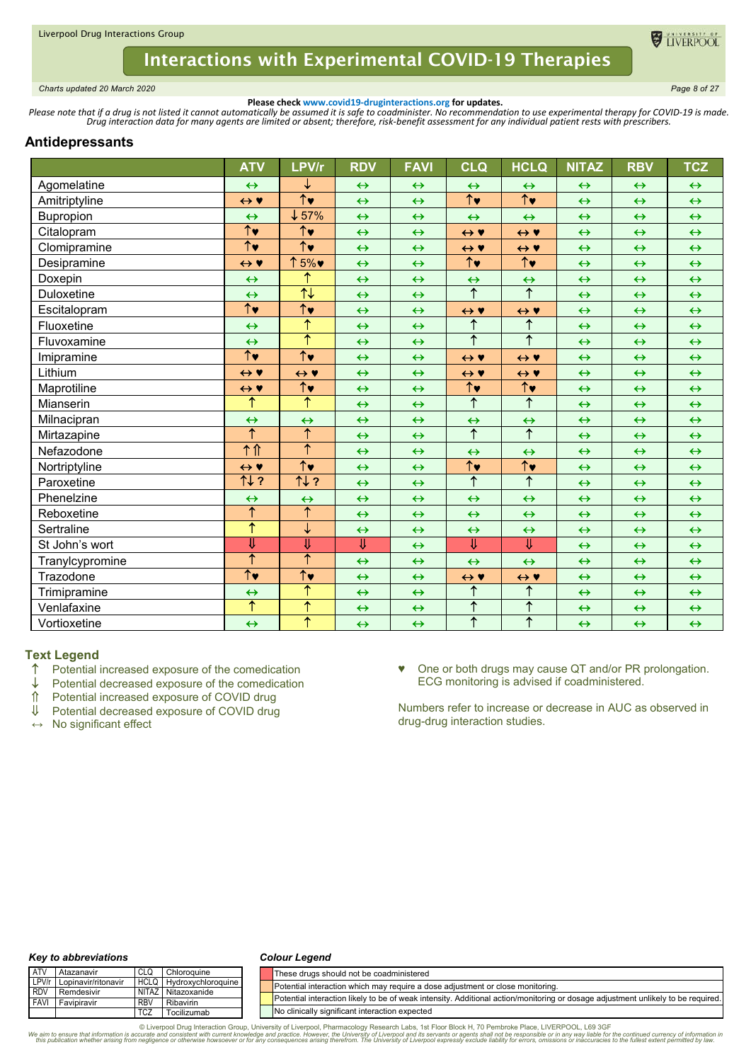

<span id="page-7-0"></span>*Charts updated 20 March 2020 Page 8 of 27*

**Please check www.covid19-druginteractions.org for updates.**<br>.Please note that if a drug is not listed it cannot automatically be assumed it is safe to coadminister. No recommendation to use experimental therapy for COVID-

## **Antidepressants**

|                 | <b>ATV</b>                      | LPV/r                           | <b>RDV</b>              | <b>FAVI</b>       | <b>CLQ</b>                      | <b>HCLQ</b>                     | <b>NITAZ</b>      | <b>RBV</b>        | <b>TCZ</b>        |
|-----------------|---------------------------------|---------------------------------|-------------------------|-------------------|---------------------------------|---------------------------------|-------------------|-------------------|-------------------|
| Agomelatine     | $\leftrightarrow$               | ↓                               | $\leftrightarrow$       | $\leftrightarrow$ | $\leftrightarrow$               | $\leftrightarrow$               | $\leftrightarrow$ | $\leftrightarrow$ | $\leftrightarrow$ |
| Amitriptyline   | $\leftrightarrow$ Y             | $\overline{\uparrow\downarrow}$ | $\leftrightarrow$       | $\leftrightarrow$ | $\overline{\uparrow}$           | $\overline{\uparrow\downarrow}$ | $\leftrightarrow$ | $\leftrightarrow$ | $\leftrightarrow$ |
| Bupropion       | $\leftrightarrow$               | $\downarrow$ 57%                | $\leftrightarrow$       | $\leftrightarrow$ | $\leftrightarrow$               | $\leftrightarrow$               | $\leftrightarrow$ | $\leftrightarrow$ | $\leftrightarrow$ |
| Citalopram      | $\hat{\uparrow}$ v              | $\uparrow\downarrow$            | $\leftrightarrow$       | $\leftrightarrow$ | $\leftrightarrow$ Y             | $\leftrightarrow$ Y             | $\leftrightarrow$ | $\leftrightarrow$ | $\leftrightarrow$ |
| Clomipramine    | $\overline{\uparrow\downarrow}$ | $\overline{\uparrow\downarrow}$ | $\leftrightarrow$       | $\leftrightarrow$ | $\leftrightarrow$ Y             | $\leftrightarrow$ Y             | $\leftrightarrow$ | $\leftrightarrow$ | $\leftrightarrow$ |
| Desipramine     | $\leftrightarrow$ Y             | ↑5%♥                            | $\leftrightarrow$       | $\leftrightarrow$ | $\overline{\uparrow\downarrow}$ | $\overline{\uparrow\downarrow}$ | $\leftrightarrow$ | $\leftrightarrow$ | $\leftrightarrow$ |
| Doxepin         | $\leftrightarrow$               | ↑                               | $\leftrightarrow$       | $\leftrightarrow$ | $\leftrightarrow$               | $\leftrightarrow$               | $\leftrightarrow$ | $\leftrightarrow$ | $\leftrightarrow$ |
| Duloxetine      | $\leftrightarrow$               | $\overline{\uparrow\downarrow}$ | $\leftrightarrow$       | $\leftrightarrow$ | $\overline{\uparrow}$           | $\overline{\uparrow}$           | $\leftrightarrow$ | $\leftrightarrow$ | $\leftrightarrow$ |
| Escitalopram    | $\uparrow\downarrow$            | $\overline{\uparrow}$           | $\leftrightarrow$       | $\leftrightarrow$ | $\leftrightarrow$ Y             | $\leftrightarrow$ Y             | $\leftrightarrow$ | $\leftrightarrow$ | $\leftrightarrow$ |
| Fluoxetine      | $\leftrightarrow$               | $\uparrow$                      | $\leftrightarrow$       | $\leftrightarrow$ | $\uparrow$                      | $\uparrow$                      | $\leftrightarrow$ | $\leftrightarrow$ | $\leftrightarrow$ |
| Fluvoxamine     | $\leftrightarrow$               | ተ                               | $\leftrightarrow$       | $\leftrightarrow$ | $\overline{\uparrow}$           | $\overline{\uparrow}$           | $\leftrightarrow$ | $\leftrightarrow$ | $\leftrightarrow$ |
| Imipramine      | $\overline{\uparrow}$           | $\overline{\uparrow\downarrow}$ | $\leftrightarrow$       | $\leftrightarrow$ | $\leftrightarrow$ Y             | $\leftrightarrow$ Y             | $\leftrightarrow$ | $\leftrightarrow$ | $\leftrightarrow$ |
| Lithium         | $\leftrightarrow$ Y             | $\leftrightarrow$ Y             | $\leftrightarrow$       | $\leftrightarrow$ | $\leftrightarrow$ Y             | $\leftrightarrow$ Y             | $\leftrightarrow$ | $\leftrightarrow$ | $\leftrightarrow$ |
| Maprotiline     | $\leftrightarrow$ Y             | $\overline{\uparrow\downarrow}$ | $\leftrightarrow$       | $\leftrightarrow$ | $\overline{\uparrow\downarrow}$ | $\overline{\uparrow}$           | $\leftrightarrow$ | $\leftrightarrow$ | $\leftrightarrow$ |
| Mianserin       | $\overline{\uparrow}$           | $\overline{\uparrow}$           | $\leftrightarrow$       | $\leftrightarrow$ | $\overline{\uparrow}$           | $\overline{\uparrow}$           | $\leftrightarrow$ | $\leftrightarrow$ | $\leftrightarrow$ |
| Milnacipran     | $\leftrightarrow$               | $\leftrightarrow$               | $\leftrightarrow$       | $\leftrightarrow$ | $\leftrightarrow$               | $\leftrightarrow$               | $\leftrightarrow$ | $\leftrightarrow$ | $\leftrightarrow$ |
| Mirtazapine     | $\overline{\uparrow}$           | $\overline{\uparrow}$           | $\leftrightarrow$       | $\leftrightarrow$ | $\overline{\uparrow}$           | $\overline{\uparrow}$           | $\leftrightarrow$ | $\leftrightarrow$ | $\leftrightarrow$ |
| Nefazodone      | 个介                              | $\overline{\uparrow}$           | $\leftrightarrow$       | $\leftrightarrow$ | $\leftrightarrow$               | $\leftrightarrow$               | $\leftrightarrow$ | $\leftrightarrow$ | $\leftrightarrow$ |
| Nortriptyline   | $\leftrightarrow$ Y             | $\overline{\uparrow\downarrow}$ | $\leftrightarrow$       | $\leftrightarrow$ | $\overline{\uparrow\downarrow}$ | $\overline{\uparrow\downarrow}$ | $\leftrightarrow$ | $\leftrightarrow$ | $\leftrightarrow$ |
| Paroxetine      | TV?                             | 11.2                            | $\leftrightarrow$       | $\leftrightarrow$ | ↑                               | $\overline{\uparrow}$           | $\leftrightarrow$ | $\leftrightarrow$ | $\leftrightarrow$ |
| Phenelzine      | $\leftrightarrow$               | $\leftrightarrow$               | $\leftrightarrow$       | $\leftrightarrow$ | $\leftrightarrow$               | $\leftrightarrow$               | $\leftrightarrow$ | $\leftrightarrow$ | $\leftrightarrow$ |
| Reboxetine      | ↑                               | ↑                               | $\leftrightarrow$       | $\leftrightarrow$ | $\leftrightarrow$               | $\leftrightarrow$               | $\leftrightarrow$ | $\leftrightarrow$ | $\leftrightarrow$ |
| Sertraline      | $\overline{\uparrow}$           | ↓                               | $\leftrightarrow$       | $\leftrightarrow$ | $\leftrightarrow$               | $\leftrightarrow$               | $\leftrightarrow$ | $\leftrightarrow$ | $\leftrightarrow$ |
| St John's wort  | ⇓                               | ⇓                               | $\overline{\Downarrow}$ | $\leftrightarrow$ | $\overline{\mathsf{U}}$         | $\overline{\mathsf{U}}$         | $\leftrightarrow$ | $\leftrightarrow$ | $\leftrightarrow$ |
| Tranylcypromine | ↑                               | ↑                               | $\leftrightarrow$       | $\leftrightarrow$ | $\leftrightarrow$               | $\leftrightarrow$               | $\leftrightarrow$ | $\leftrightarrow$ | $\leftrightarrow$ |
| Trazodone       | $\overline{\uparrow\downarrow}$ | $\overline{\uparrow\downarrow}$ | $\leftrightarrow$       | $\leftrightarrow$ | $\leftrightarrow$ Y             | $\leftrightarrow$ Y             | $\leftrightarrow$ | $\leftrightarrow$ | $\leftrightarrow$ |
| Trimipramine    | $\leftrightarrow$               | ↑                               | $\leftrightarrow$       | $\leftrightarrow$ | $\uparrow$                      | $\uparrow$                      | $\leftrightarrow$ | $\leftrightarrow$ | $\leftrightarrow$ |
| Venlafaxine     | ↑                               | $\overline{\uparrow}$           | $\leftrightarrow$       | $\leftrightarrow$ | $\overline{\uparrow}$           | $\overline{\uparrow}$           | $\leftrightarrow$ | $\leftrightarrow$ | $\leftrightarrow$ |
| Vortioxetine    | $\leftrightarrow$               | ↑                               | $\leftrightarrow$       | $\leftrightarrow$ | $\uparrow$                      | $\overline{\uparrow}$           | $\leftrightarrow$ | $\leftrightarrow$ | $\leftrightarrow$ |

# Text Legend<br> **1** Potential

- $\uparrow$  Potential increased exposure of the comedication  $\downarrow$  Potential decreased exposure of the comedication
- $\downarrow$  Potential decreased exposure of the comedication  $\hat{\parallel}$  Potential increased exposure of COVID drug
- $\hat{\parallel}$  Potential increased exposure of COVID drug<br>U Potential decreased exposure of COVID drug
- Potential decreased exposure of COVID drug
- **↔** No significant effect

♥ One or both drugs may cause QT and/or PR prolongation. ECG monitoring is advised if coadministered.

Numbers refer to increase or decrease in AUC as observed in drug-drug interaction studies.

#### *Key to abbreviations*

#### *Colour Legend*

| <b>ATV</b> | <b>Atazanavir</b>         |            | Chloroguine             | These drugs should not be coadministered                                                                                         |
|------------|---------------------------|------------|-------------------------|----------------------------------------------------------------------------------------------------------------------------------|
|            | LPV/r Lopinavir/ritonavir |            | HCLQ Hydroxychloroquine | Potential interaction which may require a dose adjustment or close monitoring.                                                   |
|            | <b>RDV</b> Remdesivir     |            | NITAZ Nitazoxanide      |                                                                                                                                  |
|            | <b>FAVI</b> Favipiravir   | <b>RBV</b> | Ribavirin               | Potential interaction likely to be of weak intensity. Additional action/monitoring or dosage adjustment unlikely to be required. |
|            |                           | TCZ        | Tocilizumab             | No clinically significant interaction expected                                                                                   |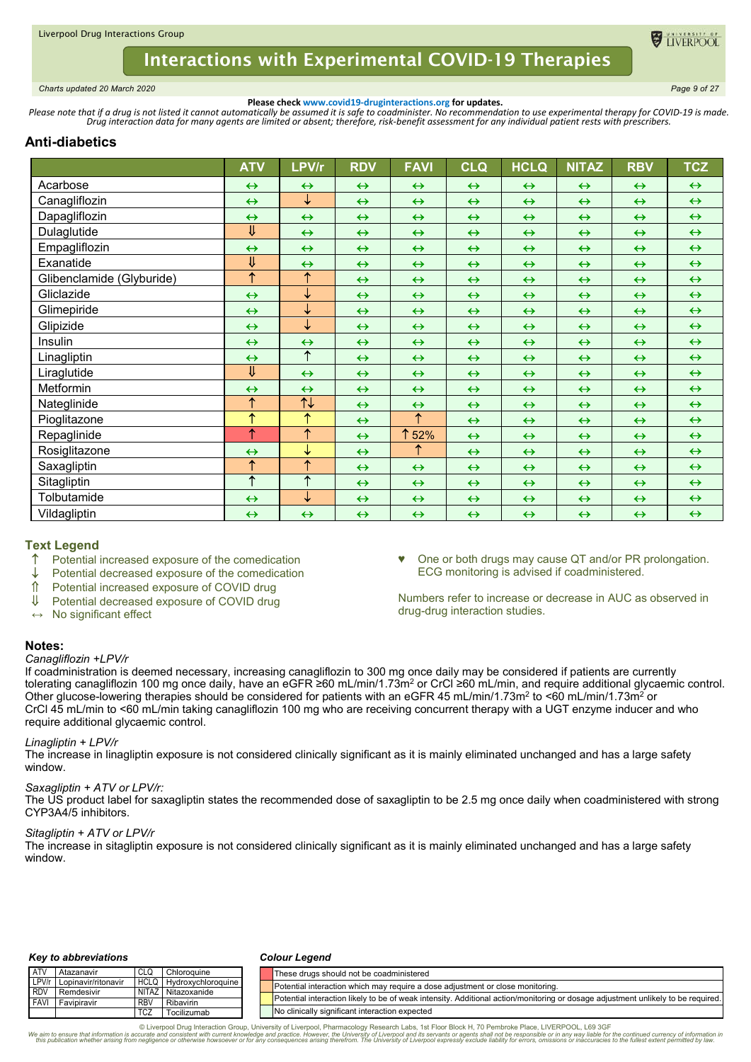

<span id="page-8-0"></span>*Charts updated 20 March 2020 Page 9 of 27*

**Please check www.covid19-druginteractions.org for updates.**<br>.Please note that if a drug is not listed it cannot automatically be assumed it is safe to coadminister. No recommendation to use experimental therapy for COVID-

# **Anti-diabetics**

|                           | <b>ATV</b>              | LPV/r                           | <b>RDV</b>        | <b>FAVI</b>       | <b>CLQ</b>        | <b>HCLQ</b>       | <b>NITAZ</b>      | <b>RBV</b>        | <b>TCZ</b>        |
|---------------------------|-------------------------|---------------------------------|-------------------|-------------------|-------------------|-------------------|-------------------|-------------------|-------------------|
| Acarbose                  | $\leftrightarrow$       | $\leftrightarrow$               | $\leftrightarrow$ | $\leftrightarrow$ | $\leftrightarrow$ | $\leftrightarrow$ | $\leftrightarrow$ | $\leftrightarrow$ | $\leftrightarrow$ |
| Canagliflozin             | $\leftrightarrow$       | ↓                               | $\leftrightarrow$ | $\leftrightarrow$ | $\leftrightarrow$ | $\leftrightarrow$ | $\leftrightarrow$ | $\leftrightarrow$ | $\leftrightarrow$ |
| Dapagliflozin             | $\leftrightarrow$       | $\leftrightarrow$               | $\leftrightarrow$ | $\leftrightarrow$ | $\leftrightarrow$ | $\leftrightarrow$ | $\leftrightarrow$ | $\leftrightarrow$ | $\leftrightarrow$ |
| Dulaglutide               | $\overline{\mathsf{U}}$ | $\leftrightarrow$               | $\leftrightarrow$ | $\leftrightarrow$ | $\leftrightarrow$ | $\leftrightarrow$ | $\leftrightarrow$ | $\leftrightarrow$ | $\leftrightarrow$ |
| Empagliflozin             | $\leftrightarrow$       | $\leftrightarrow$               | $\leftrightarrow$ | $\leftrightarrow$ | $\leftrightarrow$ | $\leftrightarrow$ | $\leftrightarrow$ | $\leftrightarrow$ | $\leftrightarrow$ |
| Exanatide                 | ⇓                       | $\leftrightarrow$               | $\leftrightarrow$ | $\leftrightarrow$ | $\leftrightarrow$ | $\leftrightarrow$ | $\leftrightarrow$ | $\leftrightarrow$ | $\leftrightarrow$ |
| Glibenclamide (Glyburide) | $\uparrow$              | $\uparrow$                      | $\leftrightarrow$ | $\leftrightarrow$ | $\leftrightarrow$ | $\leftrightarrow$ | $\leftrightarrow$ | $\leftrightarrow$ | $\leftrightarrow$ |
| Gliclazide                | $\leftrightarrow$       | ↓                               | $\leftrightarrow$ | $\leftrightarrow$ | $\leftrightarrow$ | $\leftrightarrow$ | $\leftrightarrow$ | $\leftrightarrow$ | $\leftrightarrow$ |
| Glimepiride               | $\leftrightarrow$       | ↓                               | $\leftrightarrow$ | $\leftrightarrow$ | $\leftrightarrow$ | $\leftrightarrow$ | $\leftrightarrow$ | $\leftrightarrow$ | $\leftrightarrow$ |
| Glipizide                 | $\leftrightarrow$       | ↓                               | $\leftrightarrow$ | $\leftrightarrow$ | $\leftrightarrow$ | $\leftrightarrow$ | $\leftrightarrow$ | $\leftrightarrow$ | $\leftrightarrow$ |
| Insulin                   | $\leftrightarrow$       | $\leftrightarrow$               | $\leftrightarrow$ | $\leftrightarrow$ | $\leftrightarrow$ | $\leftrightarrow$ | $\leftrightarrow$ | $\leftrightarrow$ | $\leftrightarrow$ |
| Linagliptin               | $\leftrightarrow$       | $\uparrow$                      | $\leftrightarrow$ | $\leftrightarrow$ | $\leftrightarrow$ | $\leftrightarrow$ | $\leftrightarrow$ | $\leftrightarrow$ | $\leftrightarrow$ |
| Liraglutide               | $\overline{\Downarrow}$ | $\leftrightarrow$               | $\leftrightarrow$ | $\leftrightarrow$ | $\leftrightarrow$ | $\leftrightarrow$ | $\leftrightarrow$ | $\leftrightarrow$ | $\leftrightarrow$ |
| Metformin                 | $\leftrightarrow$       | $\leftrightarrow$               | $\leftrightarrow$ | $\leftrightarrow$ | $\leftrightarrow$ | $\leftrightarrow$ | $\leftrightarrow$ | $\leftrightarrow$ | $\leftrightarrow$ |
| Nateglinide               | $\uparrow$              | $\overline{\uparrow\downarrow}$ | $\leftrightarrow$ | $\leftrightarrow$ | $\leftrightarrow$ | $\leftrightarrow$ | $\leftrightarrow$ | $\leftrightarrow$ | $\leftrightarrow$ |
| Pioglitazone              | $\uparrow$              | ↑                               | $\leftrightarrow$ | ↑                 | $\leftrightarrow$ | $\leftrightarrow$ | $\leftrightarrow$ | $\leftrightarrow$ | $\leftrightarrow$ |
| Repaglinide               | $\uparrow$              | $\overline{\uparrow}$           | $\leftrightarrow$ | ↑<br>52%          | $\leftrightarrow$ | $\leftrightarrow$ | $\leftrightarrow$ | $\leftrightarrow$ | $\leftrightarrow$ |
| Rosiglitazone             | $\leftrightarrow$       | ↓                               | $\leftrightarrow$ | ↑                 | $\leftrightarrow$ | $\leftrightarrow$ | $\leftrightarrow$ | $\leftrightarrow$ | $\leftrightarrow$ |
| Saxagliptin               | $\uparrow$              | ↑                               | $\leftrightarrow$ | $\leftrightarrow$ | $\leftrightarrow$ | $\leftrightarrow$ | $\leftrightarrow$ | $\leftrightarrow$ | $\leftrightarrow$ |
| Sitagliptin               | $\overline{\uparrow}$   | $\overline{\uparrow}$           | $\leftrightarrow$ | $\leftrightarrow$ | $\leftrightarrow$ | $\leftrightarrow$ | $\leftrightarrow$ | $\leftrightarrow$ | $\leftrightarrow$ |
| Tolbutamide               | $\leftrightarrow$       | ↓                               | $\leftrightarrow$ | $\leftrightarrow$ | $\leftrightarrow$ | $\leftrightarrow$ | $\leftrightarrow$ | $\leftrightarrow$ | $\leftrightarrow$ |
| Vildagliptin              | $\leftrightarrow$       | $\leftrightarrow$               | $\leftrightarrow$ | $\leftrightarrow$ | $\leftrightarrow$ | $\leftrightarrow$ | $\leftrightarrow$ | $\leftrightarrow$ | $\leftrightarrow$ |

# **Text Legend**

- ↑ Potential increased exposure of the comedication<br>↓ Potential decreased exposure of the comedication
- $\downarrow$  Potential decreased exposure of the comedication  $\hat{\parallel}$  Potential increased exposure of COVID drug
- Potential increased exposure of COVID drug
- Potential decreased exposure of COVID drug
- **↔** No significant effect

♥ One or both drugs may cause QT and/or PR prolongation. ECG monitoring is advised if coadministered.

Numbers refer to increase or decrease in AUC as observed in drug-drug interaction studies.

## **Notes:**

### *Canagliflozin +LPV/r*

If coadministration is deemed necessary, increasing canagliflozin to 300 mg once daily may be considered if patients are currently tolerating canagliflozin 100 mg once daily, have an eGFR ≥60 mL/min/1.73m2 or CrCl ≥60 mL/min, and require additional glycaemic control. Other glucose-lowering therapies should be considered for patients with an eGFR 45 mL/min/1.73m<sup>2</sup> to <60 mL/min/1.73m<sup>2</sup> or CrCl 45 mL/min to <60 mL/min taking canagliflozin 100 mg who are receiving concurrent therapy with a UGT enzyme inducer and who require additional glycaemic control.

### *Linagliptin + LPV/r*

The increase in linagliptin exposure is not considered clinically significant as it is mainly eliminated unchanged and has a large safety window.

### *Saxagliptin + ATV or LPV/r:*

The US product label for saxagliptin states the recommended dose of saxagliptin to be 2.5 mg once daily when coadministered with strong CYP3A4/5 inhibitors.

### *Sitagliptin + ATV or LPV/r*

The increase in sitagliptin exposure is not considered clinically significant as it is mainly eliminated unchanged and has a large safety window.

#### *Key to abbreviations*

#### *Colour Legend*

| <b>ATV</b> | Atazanavir          | CLG        | Chloroquine        | These drugs should not be coadministered                                                                                         |
|------------|---------------------|------------|--------------------|----------------------------------------------------------------------------------------------------------------------------------|
| LPV/r      | Lopinavir/ritonavir | HCLQ       | Hydroxychloroguine | Potential interaction which may require a dose adjustment or close monitoring.                                                   |
| RDV        | Remdesivir          |            | NITAZ Nitazoxanide |                                                                                                                                  |
| FAVI       | Favipiravir         | <b>RBV</b> | Ribavirin          | Potential interaction likely to be of weak intensity. Additional action/monitoring or dosage adjustment unlikely to be required. |
|            |                     | <b>TCZ</b> | Tocilizumab        | No clinically significant interaction expected                                                                                   |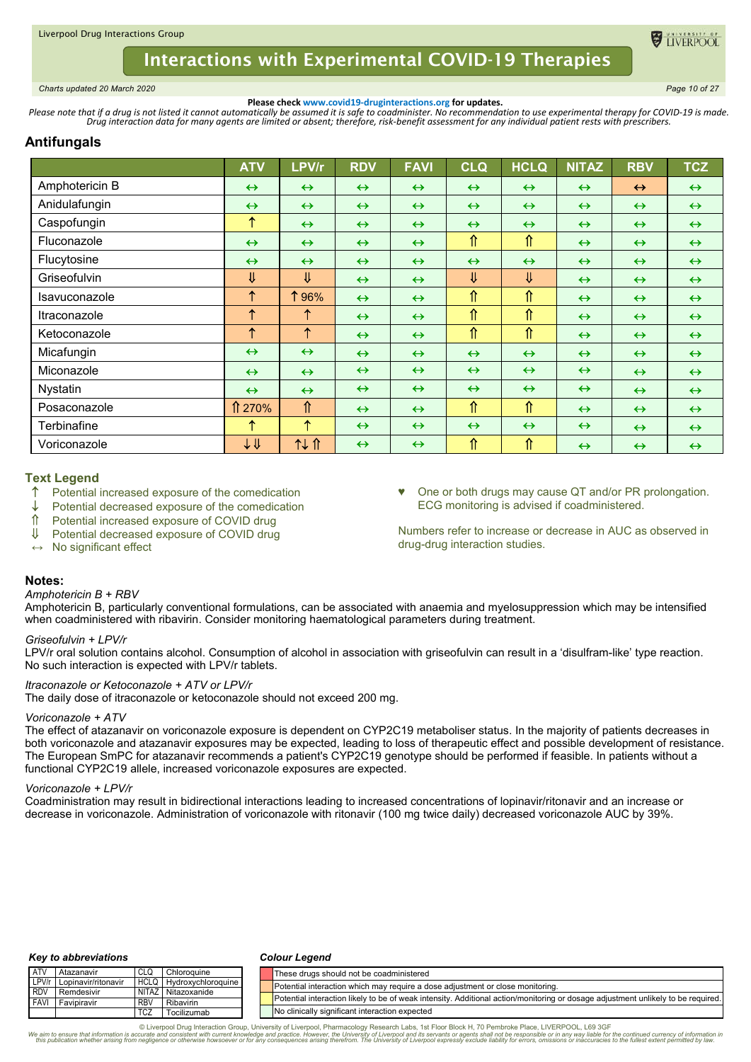

<span id="page-9-0"></span>*Charts updated 20 March 2020 Page 10 of 27*

**ELIVERPOC** 

**Please check www.covid19-druginteractions.org for updates.**<br>.Please note that if a drug is not listed it cannot automatically be assumed it is safe to coadminister. No recommendation to use experimental therapy for COVID-

# **Antifungals**

|                                   | <b>ATV</b>              | LPV/r                   | <b>RDV</b>        | <b>FAVI</b>       | <b>CLQ</b>         | <b>HCLQ</b>             | <b>NITAZ</b>      | <b>RBV</b>        | <b>TCZ</b>        |
|-----------------------------------|-------------------------|-------------------------|-------------------|-------------------|--------------------|-------------------------|-------------------|-------------------|-------------------|
| Amphotericin B                    | $\leftrightarrow$       | $\leftrightarrow$       | $\leftrightarrow$ | $\leftrightarrow$ | $\leftrightarrow$  | $\leftrightarrow$       | $\leftrightarrow$ | $\leftrightarrow$ | $\leftrightarrow$ |
| Anidulafungin                     | $\leftrightarrow$       | $\leftrightarrow$       | $\leftrightarrow$ | $\leftrightarrow$ | $\leftrightarrow$  | $\leftrightarrow$       | $\leftrightarrow$ | $\leftrightarrow$ | $\leftrightarrow$ |
| Caspofungin                       | ↑                       | $\leftrightarrow$       | $\leftrightarrow$ | $\leftrightarrow$ | $\leftrightarrow$  | $\leftrightarrow$       | $\leftrightarrow$ | $\leftrightarrow$ | $\leftrightarrow$ |
| Fluconazole                       | $\leftrightarrow$       | $\leftrightarrow$       | $\leftrightarrow$ | $\leftrightarrow$ | $\hat{\mathbb{r}}$ | ⇑                       | $\leftrightarrow$ | $\leftrightarrow$ | $\leftrightarrow$ |
| Flucytosine                       | $\leftrightarrow$       | $\leftrightarrow$       | $\leftrightarrow$ | $\leftrightarrow$ | $\leftrightarrow$  | $\leftrightarrow$       | $\leftrightarrow$ | $\leftrightarrow$ | $\leftrightarrow$ |
| Griseofulvin                      | ⇓                       | $\overline{\mathsf{U}}$ | $\leftrightarrow$ | $\leftrightarrow$ | $\sqrt{2}$         | $\overline{\mathsf{U}}$ | $\leftrightarrow$ | $\leftrightarrow$ | $\leftrightarrow$ |
| Isavuconazole                     | $\uparrow$              | 196%                    | $\leftrightarrow$ | $\leftrightarrow$ | $\hat{\mathbb{r}}$ | ⇑                       | $\leftrightarrow$ | $\leftrightarrow$ | $\leftrightarrow$ |
| <i><u><b>Itraconazole</b></u></i> | $\uparrow$              | $\uparrow$              | $\leftrightarrow$ | $\leftrightarrow$ | $\hat{\mathbb{r}}$ | ⇑                       | $\leftrightarrow$ | $\leftrightarrow$ | $\leftrightarrow$ |
| Ketoconazole                      | $\uparrow$              | $\uparrow$              | $\leftrightarrow$ | $\leftrightarrow$ | $\hat{\mathbb{r}}$ | ⇑                       | $\leftrightarrow$ | $\leftrightarrow$ | $\leftrightarrow$ |
| Micafungin                        | $\leftrightarrow$       | $\leftrightarrow$       | $\leftrightarrow$ | $\leftrightarrow$ | $\leftrightarrow$  | $\leftrightarrow$       | $\leftrightarrow$ | $\leftrightarrow$ | $\leftrightarrow$ |
| Miconazole                        | $\leftrightarrow$       | $\leftrightarrow$       | $\leftrightarrow$ | $\leftrightarrow$ | $\leftrightarrow$  | $\leftrightarrow$       | $\leftrightarrow$ | $\leftrightarrow$ | $\leftrightarrow$ |
| Nystatin                          | $\leftrightarrow$       | $\leftrightarrow$       | $\leftrightarrow$ | $\leftrightarrow$ | $\leftrightarrow$  | $\leftrightarrow$       | $\leftrightarrow$ | $\leftrightarrow$ | $\leftrightarrow$ |
| Posaconazole                      | ↑ 270%                  | ⇑                       | $\leftrightarrow$ | $\leftrightarrow$ | $\hat{\mathbb{r}}$ | ⇑                       | $\leftrightarrow$ | $\leftrightarrow$ | $\leftrightarrow$ |
| Terbinafine                       | ↑                       | ↑                       | $\leftrightarrow$ | $\leftrightarrow$ | $\leftrightarrow$  | $\leftrightarrow$       | $\leftrightarrow$ | $\leftrightarrow$ | $\leftrightarrow$ |
| Voriconazole                      | $\downarrow \Downarrow$ | 11 T                    | $\leftrightarrow$ | $\leftrightarrow$ | ⇑                  | ⇑                       | $\leftrightarrow$ | $\leftrightarrow$ | $\leftrightarrow$ |

## **Text Legend**

- Potential increased exposure of the comedication
- Potential decreased exposure of the comedication
- Potential increased exposure of COVID drug
- Potential decreased exposure of COVID drug
- **↔** No significant effect

One or both drugs may cause QT and/or PR prolongation. ECG monitoring is advised if coadministered.

Numbers refer to increase or decrease in AUC as observed in drug-drug interaction studies.

### **Notes:**

### *Amphotericin B + RBV*

Amphotericin B, particularly conventional formulations, can be associated with anaemia and myelosuppression which may be intensified when coadministered with ribavirin. Consider monitoring haematological parameters during treatment.

### *Griseofulvin + LPV/r*

LPV/r oral solution contains alcohol. Consumption of alcohol in association with griseofulvin can result in a 'disulfram-like' type reaction. No such interaction is expected with LPV/r tablets.

### *Itraconazole or Ketoconazole + ATV or LPV/r*

The daily dose of itraconazole or ketoconazole should not exceed 200 mg.

### *Voriconazole + ATV*

The effect of atazanavir on voriconazole exposure is dependent on CYP2C19 metaboliser status. In the majority of patients decreases in both voriconazole and atazanavir exposures may be expected, leading to loss of therapeutic effect and possible development of resistance. The European SmPC for atazanavir recommends a patient's CYP2C19 genotype should be performed if feasible. In patients without a functional CYP2C19 allele, increased voriconazole exposures are expected.

### *Voriconazole + LPV/r*

Coadministration may result in bidirectional interactions leading to increased concentrations of lopinavir/ritonavir and an increase or decrease in voriconazole. Administration of voriconazole with ritonavir (100 mg twice daily) decreased voriconazole AUC by 39%.

#### *Key to abbreviations*

#### *Colour Legend*

| <b>ATV</b>  | Atazanavir          | CLO         | Chloroquine        |  | These drugs should not be coadministered                                                                                         |
|-------------|---------------------|-------------|--------------------|--|----------------------------------------------------------------------------------------------------------------------------------|
| LPV/r       | Lopinavir/ritonavir | <b>HCLQ</b> | Hydroxychloroguine |  | Potential interaction which may require a dose adjustment or close monitoring.                                                   |
| <b>RDV</b>  | Remdesivir          |             | NITAZ Nitazoxanide |  |                                                                                                                                  |
| <b>FAVI</b> | Favipiravir         | <b>RBV</b>  | Ribavirin          |  | Potential interaction likely to be of weak intensity. Additional action/monitoring or dosage adjustment unlikely to be required. |
|             |                     | <b>TCZ</b>  | Tocilizumab        |  | No clinically significant interaction expected                                                                                   |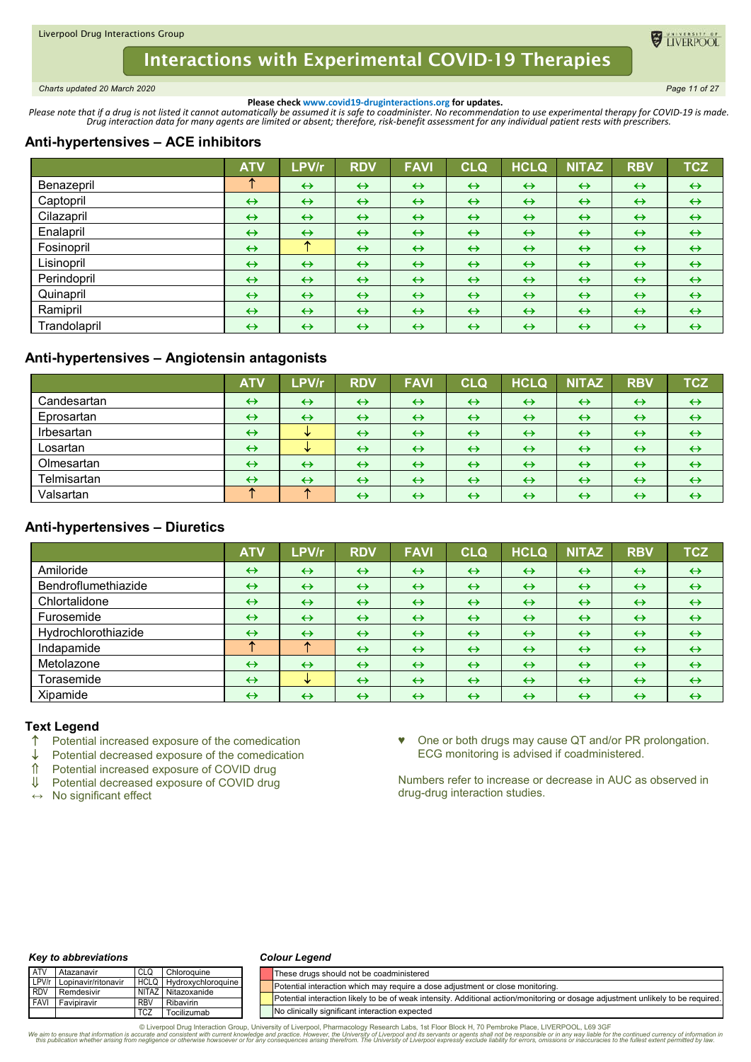<span id="page-10-0"></span>*Charts updated 20 March 2020 Page 11 of 27*

**O** TIVERPOO

**Please check www.covid19-druginteractions.org for updates.**<br>.Please note that if a drug is not listed it cannot automatically be assumed it is safe to coadminister. No recommendation to use experimental therapy for COVID-

# **Anti-hypertensives – ACE inhibitors**

|              | <b>ATV</b>        | LPV/r             | <b>RDV</b>        | <b>FAVI</b>       | <b>CLQ</b>        | <b>HCLQ</b>       | <b>NITAZ</b>      | <b>RBV</b>        | <b>TCZ</b>        |
|--------------|-------------------|-------------------|-------------------|-------------------|-------------------|-------------------|-------------------|-------------------|-------------------|
| Benazepril   | ́                 | $\leftrightarrow$ | $\leftrightarrow$ | $\leftrightarrow$ | $\leftrightarrow$ | $\leftrightarrow$ | $\leftrightarrow$ | $\leftrightarrow$ | $\leftrightarrow$ |
| Captopril    | $\leftrightarrow$ | $\leftrightarrow$ | $\leftrightarrow$ | $\leftrightarrow$ | $\leftrightarrow$ | $\leftrightarrow$ | $\leftrightarrow$ | $\leftrightarrow$ | $\leftrightarrow$ |
| Cilazapril   | $\leftrightarrow$ | $\leftrightarrow$ | $\leftrightarrow$ | $\leftrightarrow$ | $\leftrightarrow$ | $\leftrightarrow$ | $\leftrightarrow$ | $\leftrightarrow$ | $\leftrightarrow$ |
| Enalapril    | $\leftrightarrow$ | $\leftrightarrow$ | $\leftrightarrow$ | $\leftrightarrow$ | $\leftrightarrow$ | $\leftrightarrow$ | $\leftrightarrow$ | $\leftrightarrow$ | $\leftrightarrow$ |
| Fosinopril   | $\leftrightarrow$ | Æ.                | $\leftrightarrow$ | $\leftrightarrow$ | $\leftrightarrow$ | $\leftrightarrow$ | $\leftrightarrow$ | $\leftrightarrow$ | $\leftrightarrow$ |
| Lisinopril   | $\leftrightarrow$ | $\leftrightarrow$ | $\leftrightarrow$ | $\leftrightarrow$ | $\leftrightarrow$ | $\leftrightarrow$ | $\leftrightarrow$ | $\leftrightarrow$ | $\leftrightarrow$ |
| Perindopril  | $\leftrightarrow$ | $\leftrightarrow$ | $\leftrightarrow$ | $\leftrightarrow$ | $\leftrightarrow$ | $\leftrightarrow$ | $\leftrightarrow$ | $\leftrightarrow$ | $\leftrightarrow$ |
| Quinapril    | $\leftrightarrow$ | $\leftrightarrow$ | $\leftrightarrow$ | $\leftrightarrow$ | $\leftrightarrow$ | $\leftrightarrow$ | $\leftrightarrow$ | $\leftrightarrow$ | $\leftrightarrow$ |
| Ramipril     | $\leftrightarrow$ | $\leftrightarrow$ | $\leftrightarrow$ | $\leftrightarrow$ | $\leftrightarrow$ | $\leftrightarrow$ | $\leftrightarrow$ | $\leftrightarrow$ | $\leftrightarrow$ |
| Trandolapril | $\leftrightarrow$ | $\leftrightarrow$ | $\leftrightarrow$ | $\leftrightarrow$ | $\leftrightarrow$ | $\leftrightarrow$ | $\leftrightarrow$ | $\leftrightarrow$ | $\leftrightarrow$ |

# **Anti-hypertensives – Angiotensin antagonists**

|             | <b>ATV</b>        | LPV/r             | <b>RDV</b>        | <b>FAVI</b>       | <b>CLQ</b>        | <b>HCLQ</b>       | <b>NITAZ</b>      | <b>RBV</b>        | <b>TCZ</b>        |
|-------------|-------------------|-------------------|-------------------|-------------------|-------------------|-------------------|-------------------|-------------------|-------------------|
| Candesartan | $\leftrightarrow$ | $\leftrightarrow$ | $\leftrightarrow$ | $\leftrightarrow$ | $\leftrightarrow$ | $\leftrightarrow$ | $\leftrightarrow$ | $\leftrightarrow$ | $\leftrightarrow$ |
| Eprosartan  | $\leftrightarrow$ | $\leftrightarrow$ | $\leftrightarrow$ | $\leftrightarrow$ | $\leftrightarrow$ | $\leftrightarrow$ | $\leftrightarrow$ | $\leftrightarrow$ | $\leftrightarrow$ |
| Irbesartan  | $\leftrightarrow$ | s.                | $\leftrightarrow$ | $\leftrightarrow$ | $\leftrightarrow$ | $\leftrightarrow$ | $\leftrightarrow$ | $\leftrightarrow$ | $\leftrightarrow$ |
| Losartan    | $\leftrightarrow$ | w                 | $\leftrightarrow$ | $\leftrightarrow$ | $\leftrightarrow$ | $\leftrightarrow$ | $\leftrightarrow$ | $\leftrightarrow$ | $\leftrightarrow$ |
| Olmesartan  | $\leftrightarrow$ | $\leftrightarrow$ | $\leftrightarrow$ | $\leftrightarrow$ | $\leftrightarrow$ | $\leftrightarrow$ | $\leftrightarrow$ | $\leftrightarrow$ | $\leftrightarrow$ |
| Telmisartan | $\leftrightarrow$ | $\leftrightarrow$ | $\leftrightarrow$ | $\leftrightarrow$ | $\leftrightarrow$ | $\leftrightarrow$ | $\leftrightarrow$ | $\leftrightarrow$ | $\leftrightarrow$ |
| Valsartan   |                   |                   | $\leftrightarrow$ | $\leftrightarrow$ | $\leftrightarrow$ | $\leftrightarrow$ | $\leftrightarrow$ | $\leftrightarrow$ | $\leftrightarrow$ |

# **Anti-hypertensives – Diuretics**

|                     | <b>ATV</b>        | LPV/r             | <b>RDV</b>        | <b>FAVI</b>       | <b>CLQ</b>        | <b>HCLQ</b>       | <b>NITAZ</b>      | <b>RBV</b>        | <b>TCZ</b>        |
|---------------------|-------------------|-------------------|-------------------|-------------------|-------------------|-------------------|-------------------|-------------------|-------------------|
| Amiloride           | $\leftrightarrow$ | $\leftrightarrow$ | $\leftrightarrow$ | $\leftrightarrow$ | $\leftrightarrow$ | $\leftrightarrow$ | $\leftrightarrow$ | $\leftrightarrow$ | $\leftrightarrow$ |
| Bendroflumethiazide | $\leftrightarrow$ | $\leftrightarrow$ | $\leftrightarrow$ | $\leftrightarrow$ | $\leftrightarrow$ | $\leftrightarrow$ | $\leftrightarrow$ | $\leftrightarrow$ | $\leftrightarrow$ |
| Chlortalidone       | $\leftrightarrow$ | $\leftrightarrow$ | $\leftrightarrow$ | $\leftrightarrow$ | $\leftrightarrow$ | $\leftrightarrow$ | $\leftrightarrow$ | $\leftrightarrow$ | $\leftrightarrow$ |
| Furosemide          | $\leftrightarrow$ | $\leftrightarrow$ | $\leftrightarrow$ | $\leftrightarrow$ | $\leftrightarrow$ | $\leftrightarrow$ | $\leftrightarrow$ | $\leftrightarrow$ | $\leftrightarrow$ |
| Hydrochlorothiazide | $\leftrightarrow$ | $\leftrightarrow$ | $\leftrightarrow$ | $\leftrightarrow$ | $\leftrightarrow$ | $\leftrightarrow$ | $\leftrightarrow$ | $\leftrightarrow$ | $\leftrightarrow$ |
| Indapamide          | ́                 | 灬                 | $\leftrightarrow$ | $\leftrightarrow$ | $\leftrightarrow$ | $\leftrightarrow$ | $\leftrightarrow$ | $\leftrightarrow$ | $\leftrightarrow$ |
| Metolazone          | $\leftrightarrow$ | $\leftrightarrow$ | $\leftrightarrow$ | $\leftrightarrow$ | $\leftrightarrow$ | $\leftrightarrow$ | $\leftrightarrow$ | $\leftrightarrow$ | $\leftrightarrow$ |
| Torasemide          | $\leftrightarrow$ | v                 | $\leftrightarrow$ | $\leftrightarrow$ | $\leftrightarrow$ | $\leftrightarrow$ | $\leftrightarrow$ | $\leftrightarrow$ | $\leftrightarrow$ |
| Xipamide            | $\leftrightarrow$ | $\leftrightarrow$ | $\leftrightarrow$ | $\leftrightarrow$ | $\leftrightarrow$ | $\leftrightarrow$ | $\leftrightarrow$ | $\leftrightarrow$ | $\leftrightarrow$ |

### **Text Legend**

- $\uparrow$  Potential increased exposure of the comedication  $\downarrow$  Potential decreased exposure of the comedication
- Potential decreased exposure of the comedication
- ↑ Potential increased exposure of COVID drug<br>Ⅱ Potential decreased exposure of COVID drug
- Potential decreased exposure of COVID drug

**↔** No significant effect

♥ One or both drugs may cause QT and/or PR prolongation. ECG monitoring is advised if coadministered.

Numbers refer to increase or decrease in AUC as observed in drug-drug interaction studies.

#### *Key to abbreviations*

#### *Colour Legend*

| <b>ATV</b> | Atazanavir                |            | Chloroguine             | These drugs should not be coadministered                                                                                         |
|------------|---------------------------|------------|-------------------------|----------------------------------------------------------------------------------------------------------------------------------|
|            | LPV/r Lopinavir/ritonavir |            | HCLQ Hydroxychloroquine | Potential interaction which may require a dose adjustment or close monitoring.                                                   |
| <b>RDV</b> | Remdesivir                |            | NITAZ Nitazoxanide      |                                                                                                                                  |
|            | <b>FAVI</b> Favipiravir   | <b>RBV</b> | Ribavirin               | Potential interaction likely to be of weak intensity. Additional action/monitoring or dosage adjustment unlikely to be required. |
|            |                           | <b>TCZ</b> | Tocilizumab             | No clinically significant interaction expected                                                                                   |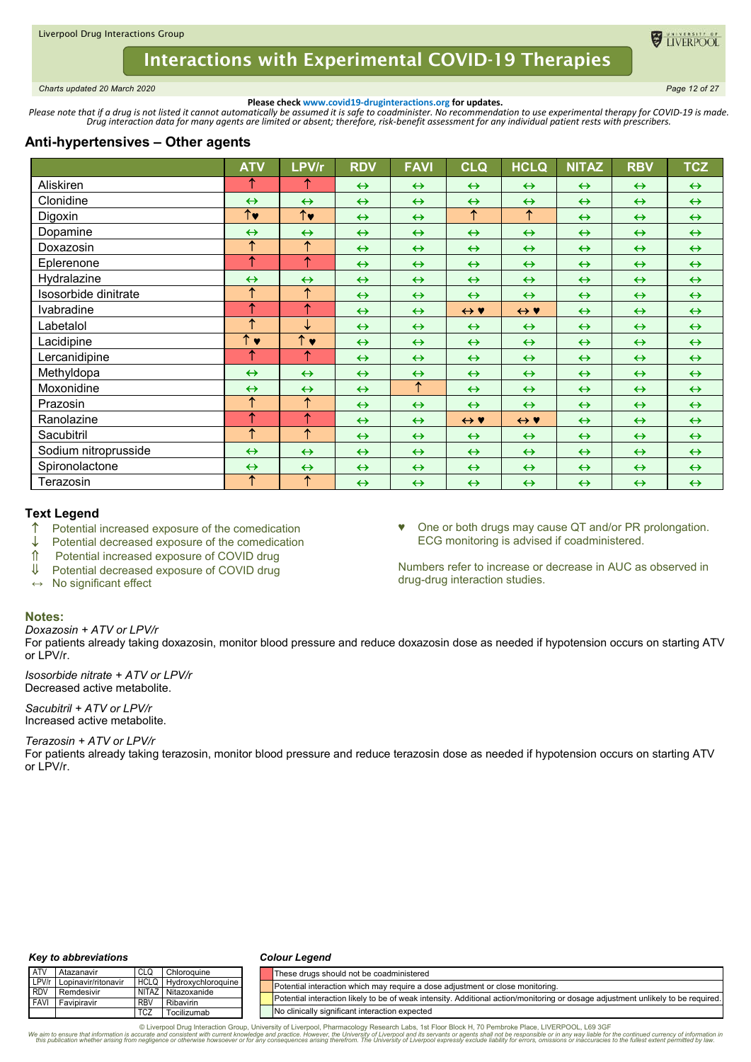<span id="page-11-0"></span>*Charts updated 20 March 2020 Page 12 of 27*

TIVERPOO

**Please check www.covid19-druginteractions.org for updates.**<br>.Please note that if a drug is not listed it cannot automatically be assumed it is safe to coadminister. No recommendation to use experimental therapy for COVID-

# **Anti-hypertensives – Other agents**

|                      | <b>ATV</b>              | LPV/r                 | <b>RDV</b>        | <b>FAVI</b>       | <b>CLQ</b>          | <b>HCLQ</b>         | <b>NITAZ</b>      | <b>RBV</b>        | <b>TCZ</b>        |
|----------------------|-------------------------|-----------------------|-------------------|-------------------|---------------------|---------------------|-------------------|-------------------|-------------------|
| Aliskiren            | ↑                       | ↑                     | $\leftrightarrow$ | $\leftrightarrow$ | $\leftrightarrow$   | $\leftrightarrow$   | $\leftrightarrow$ | $\leftrightarrow$ | $\leftrightarrow$ |
| Clonidine            | $\leftrightarrow$       | $\leftrightarrow$     | $\leftrightarrow$ | $\leftrightarrow$ | $\leftrightarrow$   | $\leftrightarrow$   | $\leftrightarrow$ | $\leftrightarrow$ | $\leftrightarrow$ |
| Digoxin              | $\overline{\uparrow}$   | $\uparrow\downarrow$  | $\leftrightarrow$ | $\leftrightarrow$ | $\uparrow$          | $\uparrow$          | $\leftrightarrow$ | $\leftrightarrow$ | $\leftrightarrow$ |
| Dopamine             | $\leftrightarrow$       | $\leftrightarrow$     | $\leftrightarrow$ | $\leftrightarrow$ | $\leftrightarrow$   | $\leftrightarrow$   | $\leftrightarrow$ | $\leftrightarrow$ | $\leftrightarrow$ |
| Doxazosin            | ↑                       | $\uparrow$            | $\leftrightarrow$ | $\leftrightarrow$ | $\leftrightarrow$   | $\leftrightarrow$   | $\leftrightarrow$ | $\leftrightarrow$ | $\leftrightarrow$ |
| Eplerenone           | ↑                       | $\uparrow$            | $\leftrightarrow$ | $\leftrightarrow$ | $\leftrightarrow$   | $\leftrightarrow$   | $\leftrightarrow$ | $\leftrightarrow$ | $\leftrightarrow$ |
| Hydralazine          | $\leftrightarrow$       | $\leftrightarrow$     | $\leftrightarrow$ | $\leftrightarrow$ | $\leftrightarrow$   | $\leftrightarrow$   | $\leftrightarrow$ | $\leftrightarrow$ | $\leftrightarrow$ |
| Isosorbide dinitrate | ↑                       | $\uparrow$            | $\leftrightarrow$ | $\leftrightarrow$ | $\leftrightarrow$   | $\leftrightarrow$   | $\leftrightarrow$ | $\leftrightarrow$ | $\leftrightarrow$ |
| Ivabradine           | ↑                       | $\uparrow$            | $\leftrightarrow$ | $\leftrightarrow$ | $\leftrightarrow$ Y | $\leftrightarrow$ Y | $\leftrightarrow$ | $\leftrightarrow$ | $\leftrightarrow$ |
| Labetalol            | ↑                       | ↓                     | $\leftrightarrow$ | $\leftrightarrow$ | $\leftrightarrow$   | $\leftrightarrow$   | $\leftrightarrow$ | $\leftrightarrow$ | $\leftrightarrow$ |
| Lacidipine           | $\overline{\uparrow}$ v | $\uparrow \bullet$    | $\leftrightarrow$ | $\leftrightarrow$ | $\leftrightarrow$   | $\leftrightarrow$   | $\leftrightarrow$ | $\leftrightarrow$ | $\leftrightarrow$ |
| Lercanidipine        | ↑                       | ↑                     | $\leftrightarrow$ | $\leftrightarrow$ | $\leftrightarrow$   | $\leftrightarrow$   | $\leftrightarrow$ | $\leftrightarrow$ | $\leftrightarrow$ |
| Methyldopa           | $\leftrightarrow$       | $\leftrightarrow$     | $\leftrightarrow$ | $\leftrightarrow$ | $\leftrightarrow$   | $\leftrightarrow$   | $\leftrightarrow$ | $\leftrightarrow$ | $\leftrightarrow$ |
| Moxonidine           | $\leftrightarrow$       | $\leftrightarrow$     | $\leftrightarrow$ | $\uparrow$        | $\leftrightarrow$   | $\leftrightarrow$   | $\leftrightarrow$ | $\leftrightarrow$ | $\leftrightarrow$ |
| Prazosin             | $\uparrow$              | $\uparrow$            | $\leftrightarrow$ | $\leftrightarrow$ | $\leftrightarrow$   | $\leftrightarrow$   | $\leftrightarrow$ | $\leftrightarrow$ | $\leftrightarrow$ |
| Ranolazine           | $\uparrow$              | ↑                     | $\leftrightarrow$ | $\leftrightarrow$ | $\leftrightarrow$ Y | $\leftrightarrow$ Y | $\leftrightarrow$ | $\leftrightarrow$ | $\leftrightarrow$ |
| Sacubitril           | ↑                       | ↑                     | $\leftrightarrow$ | $\leftrightarrow$ | $\leftrightarrow$   | $\leftrightarrow$   | $\leftrightarrow$ | $\leftrightarrow$ | $\leftrightarrow$ |
| Sodium nitroprusside | $\leftrightarrow$       | $\leftrightarrow$     | $\leftrightarrow$ | $\leftrightarrow$ | $\leftrightarrow$   | $\leftrightarrow$   | $\leftrightarrow$ | $\leftrightarrow$ | $\leftrightarrow$ |
| Spironolactone       | $\leftrightarrow$       | $\leftrightarrow$     | $\leftrightarrow$ | $\leftrightarrow$ | $\leftrightarrow$   | $\leftrightarrow$   | $\leftrightarrow$ | $\leftrightarrow$ | $\leftrightarrow$ |
| Terazosin            | ↑                       | $\overline{\uparrow}$ | $\leftrightarrow$ | $\leftrightarrow$ | $\leftrightarrow$   | $\leftrightarrow$   | $\leftrightarrow$ | $\leftrightarrow$ | $\leftrightarrow$ |

### **Text Legend**

- $\uparrow$  Potential increased exposure of the comedication  $\downarrow$  Potential decreased exposure of the comedication
- Potential decreased exposure of the comedication
- Potential increased exposure of COVID drug
- Potential decreased exposure of COVID drug
- **↔** No significant effect

♥ One or both drugs may cause QT and/or PR prolongation. ECG monitoring is advised if coadministered.

Numbers refer to increase or decrease in AUC as observed in drug-drug interaction studies.

#### **Notes:**

*Doxazosin + ATV or LPV/r*

For patients already taking doxazosin, monitor blood pressure and reduce doxazosin dose as needed if hypotension occurs on starting ATV or LPV/r.

*Isosorbide nitrate + ATV or LPV/r* Decreased active metabolite.

*Sacubitril + ATV or LPV/r* Increased active metabolite.

*Terazosin + ATV or LPV/r*

For patients already taking terazosin, monitor blood pressure and reduce terazosin dose as needed if hypotension occurs on starting ATV or LPV/r.

#### *Key to abbreviations*

#### *Colour Legend*

| <b>ATV</b>                  | Atazanavir                | CLC                        | Chloroquine               | These drugs should not be coadministered                                                                                         |
|-----------------------------|---------------------------|----------------------------|---------------------------|----------------------------------------------------------------------------------------------------------------------------------|
| LPV/r                       | Lopinavir/ritonavir       |                            | HCLQ Hydroxychloroquine   | Potential interaction which may require a dose adjustment or close monitoring.                                                   |
| <b>RDV</b><br><b>I FAVI</b> | Remdesivir<br>Favipiravir | <b>NITAZ</b><br><b>RBV</b> | Nitazoxanide<br>Ribavirin | Potential interaction likely to be of weak intensity. Additional action/monitoring or dosage adjustment unlikely to be required. |
|                             |                           | <b>TC2</b>                 | Tocilizumab               | No clinically significant interaction expected                                                                                   |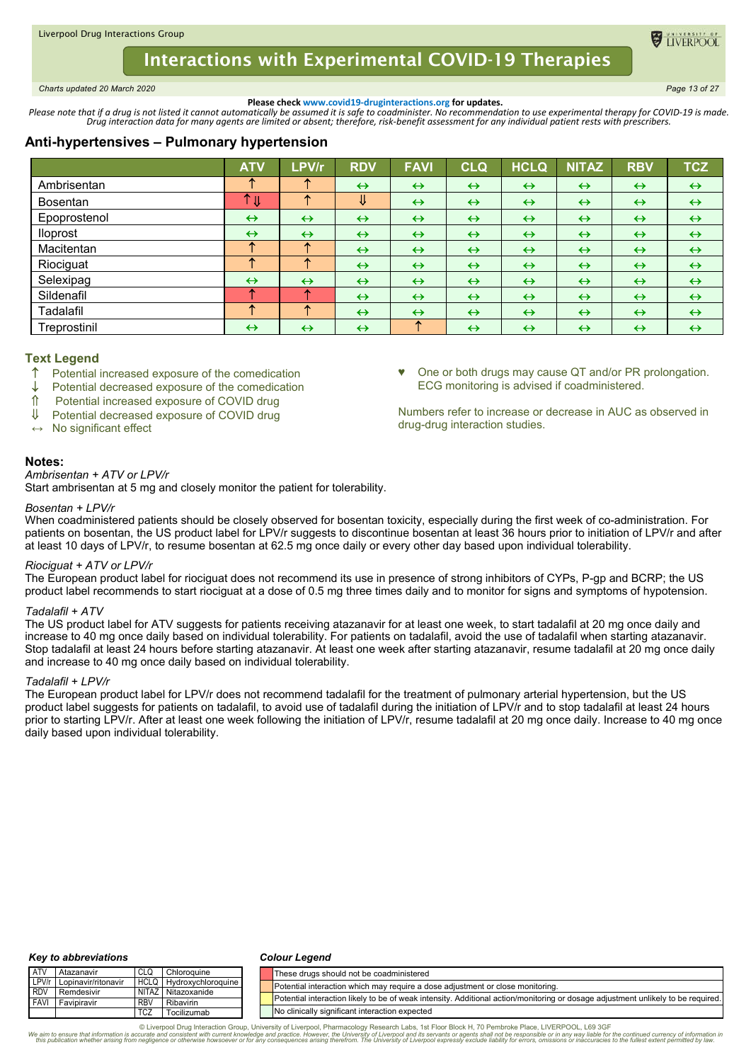<span id="page-12-0"></span>*Charts updated 20 March 2020 Page 13 of 27*

TIVERPO

One or both drugs may cause QT and/or PR prolongation.

Numbers refer to increase or decrease in AUC as observed in

ECG monitoring is advised if coadministered.

drug-drug interaction studies.

**Please check www.covid19-druginteractions.org for updates.**<br>.Please note that if a drug is not listed it cannot automatically be assumed it is safe to coadminister. No recommendation to use experimental therapy for COVID-

# **Anti-hypertensives – Pulmonary hypertension**

|                 | <b>ATV</b>                   | LPV/r             | <b>RDV</b>        | <b>FAVI</b>       | <b>CLQ</b>        | <b>HCLQ</b>       | <b>NITAZ</b>      | <b>RBV</b>        | <b>TCZ</b>        |
|-----------------|------------------------------|-------------------|-------------------|-------------------|-------------------|-------------------|-------------------|-------------------|-------------------|
| Ambrisentan     |                              |                   | $\leftrightarrow$ | $\leftrightarrow$ | $\leftrightarrow$ | $\leftrightarrow$ | $\leftrightarrow$ | $\leftrightarrow$ | $\leftrightarrow$ |
| <b>Bosentan</b> | ↑<br>$\overline{\mathsf{U}}$ | æ                 | ⇓                 | $\leftrightarrow$ | $\leftrightarrow$ | $\leftrightarrow$ | $\leftrightarrow$ | $\leftrightarrow$ | $\leftrightarrow$ |
| Epoprostenol    | $\leftrightarrow$            | $\leftrightarrow$ | $\leftrightarrow$ | $\leftrightarrow$ | $\leftrightarrow$ | $\leftrightarrow$ | $\leftrightarrow$ | $\leftrightarrow$ | $\leftrightarrow$ |
| <b>Iloprost</b> | $\leftrightarrow$            | $\leftrightarrow$ | $\leftrightarrow$ | $\leftrightarrow$ | $\leftrightarrow$ | $\leftrightarrow$ | $\leftrightarrow$ | $\leftrightarrow$ | $\leftrightarrow$ |
| Macitentan      | ́                            | ᠰ                 | $\leftrightarrow$ | $\leftrightarrow$ | $\leftrightarrow$ | $\leftrightarrow$ | $\leftrightarrow$ | $\leftrightarrow$ | $\leftrightarrow$ |
| Riociguat       |                              | æ                 | $\leftrightarrow$ | $\leftrightarrow$ | $\leftrightarrow$ | $\leftrightarrow$ | $\leftrightarrow$ | $\leftrightarrow$ | $\leftrightarrow$ |
| Selexipag       | $\leftrightarrow$            | $\leftrightarrow$ | $\leftrightarrow$ | $\leftrightarrow$ | $\leftrightarrow$ | $\leftrightarrow$ | $\leftrightarrow$ | $\leftrightarrow$ | $\leftrightarrow$ |
| Sildenafil      |                              | æ                 | $\leftrightarrow$ | $\leftrightarrow$ | $\leftrightarrow$ | $\leftrightarrow$ | $\leftrightarrow$ | $\leftrightarrow$ | $\leftrightarrow$ |
| Tadalafil       | 灬                            | æ                 | $\leftrightarrow$ | $\leftrightarrow$ | $\leftrightarrow$ | $\leftrightarrow$ | $\leftrightarrow$ | $\leftrightarrow$ | $\leftrightarrow$ |
| Treprostinil    | $\leftrightarrow$            | $\leftrightarrow$ | $\leftrightarrow$ | ᠰ                 | $\leftrightarrow$ | $\leftrightarrow$ | $\leftrightarrow$ | $\leftrightarrow$ | $\leftrightarrow$ |

## **Text Legend**

- Potential increased exposure of the comedication
- Potential decreased exposure of the comedication
- Potential increased exposure of COVID drug
- Potential decreased exposure of COVID drug
- **↔** No significant effect

## **Notes:**

## *Ambrisentan + ATV or LPV/r*

Start ambrisentan at 5 mg and closely monitor the patient for tolerability.

#### *Bosentan + LPV/r*

When coadministered patients should be closely observed for bosentan toxicity, especially during the first week of co-administration. For patients on bosentan, the US product label for LPV/r suggests to discontinue bosentan at least 36 hours prior to initiation of LPV/r and after at least 10 days of LPV/r, to resume bosentan at 62.5 mg once daily or every other day based upon individual tolerability.

### *Riociguat + ATV or LPV/r*

The European product label for riociguat does not recommend its use in presence of strong inhibitors of CYPs, P-gp and BCRP; the US product label recommends to start riociguat at a dose of 0.5 mg three times daily and to monitor for signs and symptoms of hypotension.

### *Tadalafil + ATV*

The US product label for ATV suggests for patients receiving atazanavir for at least one week, to start tadalafil at 20 mg once daily and increase to 40 mg once daily based on individual tolerability. For patients on tadalafil, avoid the use of tadalafil when starting atazanavir. Stop tadalafil at least 24 hours before starting atazanavir. At least one week after starting atazanavir, resume tadalafil at 20 mg once daily and increase to 40 mg once daily based on individual tolerability.

### *Tadalafil + LPV/r*

The European product label for LPV/r does not recommend tadalafil for the treatment of pulmonary arterial hypertension, but the US product label suggests for patients on tadalafil, to avoid use of tadalafil during the initiation of LPV/r and to stop tadalafil at least 24 hours prior to starting LPV/r. After at least one week following the initiation of LPV/r, resume tadalafil at 20 mg once daily. Increase to 40 mg once daily based upon individual tolerability.

#### *Key to abbreviations*

#### *Colour Legend*

| <b>ATV</b> | l Atazanavir              |     | Chloroguine             | These drugs should not be coadministered                                                                                         |
|------------|---------------------------|-----|-------------------------|----------------------------------------------------------------------------------------------------------------------------------|
|            | LPV/r Lopinavir/ritonavir |     | HCLQ Hydroxychloroquine | Potential interaction which may require a dose adjustment or close monitoring.                                                   |
| <b>RDV</b> | Hemdesivir                |     | NITAZ Nitazoxanide      |                                                                                                                                  |
|            | <b>FAVI Favipiravir</b>   | RB\ | Ribavirin               | Potential interaction likely to be of weak intensity. Additional action/monitoring or dosage adjustment unlikely to be required. |
|            |                           | TCZ | Tocilizumab             | No clinically significant interaction expected                                                                                   |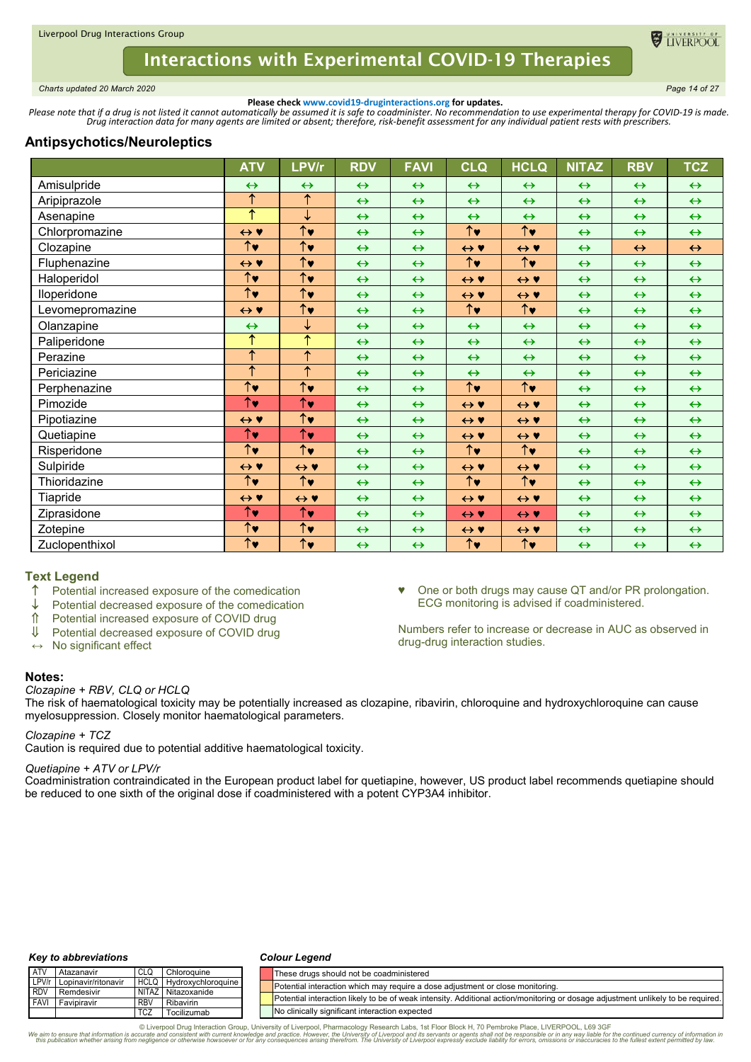

<span id="page-13-0"></span>*Charts updated 20 March 2020 Page 14 of 27*

TIVERPOO

**Please check www.covid19-druginteractions.org for updates.**<br>.Please note that if a drug is not listed it cannot automatically be assumed it is safe to coadminister. No recommendation to use experimental therapy for COVID-

# **Antipsychotics/Neuroleptics**

|                 | <b>ATV</b>                      | LPV/r                           | <b>RDV</b>        | <b>FAVI</b>       | <b>CLQ</b>                      | <b>HCLQ</b>           | <b>NITAZ</b>      | <b>RBV</b>        | <b>TCZ</b>        |
|-----------------|---------------------------------|---------------------------------|-------------------|-------------------|---------------------------------|-----------------------|-------------------|-------------------|-------------------|
| Amisulpride     | $\leftrightarrow$               | $\leftrightarrow$               | $\leftrightarrow$ | $\leftrightarrow$ | $\leftrightarrow$               | $\leftrightarrow$     | $\leftrightarrow$ | $\leftrightarrow$ | $\leftrightarrow$ |
| Aripiprazole    | $\overline{\uparrow}$           | $\overline{\uparrow}$           | $\leftrightarrow$ | $\leftrightarrow$ | $\leftrightarrow$               | $\leftrightarrow$     | $\leftrightarrow$ | $\leftrightarrow$ | $\leftrightarrow$ |
| Asenapine       | ↑                               | ↓                               | $\leftrightarrow$ | $\leftrightarrow$ | $\leftrightarrow$               | $\leftrightarrow$     | $\leftrightarrow$ | $\leftrightarrow$ | $\leftrightarrow$ |
| Chlorpromazine  | $\leftrightarrow$ Y             | $\overline{\uparrow\downarrow}$ | $\leftrightarrow$ | $\leftrightarrow$ | $\uparrow\downarrow$            | $\uparrow\downarrow$  | $\leftrightarrow$ | $\leftrightarrow$ | $\leftrightarrow$ |
| Clozapine       | $\overline{\uparrow}$           | $\overline{\uparrow\downarrow}$ | $\leftrightarrow$ | $\leftrightarrow$ | $\leftrightarrow$ Y             | $\leftrightarrow$ Y   | $\leftrightarrow$ | $\leftrightarrow$ | $\leftrightarrow$ |
| Fluphenazine    | $\leftrightarrow$ Y             | $\uparrow\downarrow$            | $\leftrightarrow$ | $\leftrightarrow$ | $\uparrow\downarrow$            | $\uparrow\downarrow$  | $\leftrightarrow$ | $\leftrightarrow$ | $\leftrightarrow$ |
| Haloperidol     | $\overline{\uparrow}$           | $\overline{\uparrow\downarrow}$ | $\leftrightarrow$ | $\leftrightarrow$ | $\leftrightarrow$ Y             | $\leftrightarrow$ Y   | $\leftrightarrow$ | $\leftrightarrow$ | $\leftrightarrow$ |
| lloperidone     | $\hat{\uparrow}$ v              | $\overline{\uparrow}$           | $\leftrightarrow$ | $\leftrightarrow$ | $\leftrightarrow$ Y             | $\leftrightarrow$ Y   | $\leftrightarrow$ | $\leftrightarrow$ | $\leftrightarrow$ |
| Levomepromazine | $\leftrightarrow$ Y             | $\overline{\uparrow}$           | $\leftrightarrow$ | $\leftrightarrow$ | $\overline{\uparrow\downarrow}$ | $\overline{\uparrow}$ | $\leftrightarrow$ | $\leftrightarrow$ | $\leftrightarrow$ |
| Olanzapine      | $\leftrightarrow$               | ↓                               | $\leftrightarrow$ | $\leftrightarrow$ | $\leftrightarrow$               | $\leftrightarrow$     | $\leftrightarrow$ | $\leftrightarrow$ | $\leftrightarrow$ |
| Paliperidone    | ↑                               | $\overline{\uparrow}$           | $\leftrightarrow$ | $\leftrightarrow$ | $\leftrightarrow$               | $\leftrightarrow$     | $\leftrightarrow$ | $\leftrightarrow$ | $\leftrightarrow$ |
| Perazine        | $\overline{\uparrow}$           | $\uparrow$                      | $\leftrightarrow$ | $\leftrightarrow$ | $\leftrightarrow$               | $\leftrightarrow$     | $\leftrightarrow$ | $\leftrightarrow$ | $\leftrightarrow$ |
| Periciazine     | ↑                               | $\overline{\uparrow}$           | $\leftrightarrow$ | $\leftrightarrow$ | $\leftrightarrow$               | $\leftrightarrow$     | $\leftrightarrow$ | $\leftrightarrow$ | $\leftrightarrow$ |
| Perphenazine    | $\overline{\uparrow\downarrow}$ | $\overline{\uparrow\downarrow}$ | $\leftrightarrow$ | $\leftrightarrow$ | $\uparrow\downarrow$            | $\uparrow\downarrow$  | $\leftrightarrow$ | $\leftrightarrow$ | $\leftrightarrow$ |
| Pimozide        | $\uparrow\downarrow$            | $\uparrow\downarrow$            | $\leftrightarrow$ | $\leftrightarrow$ | $\leftrightarrow$ Y             | $\leftrightarrow$ Y   | $\leftrightarrow$ | $\leftrightarrow$ | $\leftrightarrow$ |
| Pipotiazine     | $\leftrightarrow$ Y             | $\uparrow\downarrow$            | $\leftrightarrow$ | $\leftrightarrow$ | $\leftrightarrow$ Y             | $\leftrightarrow$ Y   | $\leftrightarrow$ | $\leftrightarrow$ | $\leftrightarrow$ |
| Quetiapine      | $\uparrow\downarrow$            | $\uparrow\downarrow$            | $\leftrightarrow$ | $\leftrightarrow$ | $\leftrightarrow$ Y             | $\leftrightarrow$ Y   | $\leftrightarrow$ | $\leftrightarrow$ | $\leftrightarrow$ |
| Risperidone     | $\uparrow$                      | $\uparrow\downarrow$            | $\leftrightarrow$ | $\leftrightarrow$ | $\uparrow\downarrow$            | $\uparrow\downarrow$  | $\leftrightarrow$ | $\leftrightarrow$ | $\leftrightarrow$ |
| Sulpiride       | $\leftrightarrow$ Y             | $\leftrightarrow$ Y             | $\leftrightarrow$ | $\leftrightarrow$ | $\leftrightarrow$ Y             | $\leftrightarrow$ Y   | $\leftrightarrow$ | $\leftrightarrow$ | $\leftrightarrow$ |
| Thioridazine    | $\hat{\uparrow}$ v              | $\overline{\uparrow}$           | $\leftrightarrow$ | $\leftrightarrow$ | $\overline{\uparrow}$           | $\overline{\uparrow}$ | $\leftrightarrow$ | $\leftrightarrow$ | $\leftrightarrow$ |
| Tiapride        | $\leftrightarrow$ Y             | $\leftrightarrow$ Y             | $\leftrightarrow$ | $\leftrightarrow$ | $\leftrightarrow$ Y             | $\leftrightarrow$ Y   | $\leftrightarrow$ | $\leftrightarrow$ | $\leftrightarrow$ |
| Ziprasidone     | $\overline{\uparrow}$ v         | $\uparrow$                      | $\leftrightarrow$ | $\leftrightarrow$ | $\leftrightarrow$ Y             | $\leftrightarrow$ Y   | $\leftrightarrow$ | $\leftrightarrow$ | $\leftrightarrow$ |
| Zotepine        | $\overline{\uparrow}$           | $\overline{\uparrow}$           | $\leftrightarrow$ | $\leftrightarrow$ | $\leftrightarrow$ Y             | $\leftrightarrow$ Y   | $\leftrightarrow$ | $\leftrightarrow$ | $\leftrightarrow$ |
| Zuclopenthixol  | $\overline{\uparrow}$           | $\uparrow\downarrow$            | $\leftrightarrow$ | $\leftrightarrow$ | $\uparrow\downarrow$            | $\uparrow\downarrow$  | $\leftrightarrow$ | $\leftrightarrow$ | $\leftrightarrow$ |

# **Text Legend**

- $\uparrow$  Potential increased exposure of the comedication
- Potential decreased exposure of the comedication
- $\hat{\parallel}$  Potential increased exposure of COVID drug<br>  $\downarrow$  Potential decreased exposure of COVID drug
- Potential decreased exposure of COVID drug
- **↔** No significant effect

### **Notes:**

### *Clozapine + RBV, CLQ or HCLQ*

The risk of haematological toxicity may be potentially increased as clozapine, ribavirin, chloroquine and hydroxychloroquine can cause myelosuppression. Closely monitor haematological parameters.

♥ One or both drugs may cause QT and/or PR prolongation.

Numbers refer to increase or decrease in AUC as observed in

ECG monitoring is advised if coadministered.

drug-drug interaction studies.

### *Clozapine + TCZ*

Caution is required due to potential additive haematological toxicity.

### *Quetiapine + ATV or LPV/r*

Coadministration contraindicated in the European product label for quetiapine, however, US product label recommends quetiapine should be reduced to one sixth of the original dose if coadministered with a potent CYP3A4 inhibitor.

#### *Key to abbreviations*

#### *Colour Legend*

| <b>ATV</b>   | Atazanavir                | <b>CLQ</b>  | Chloroquine        | These drugs should not be coadministered                                                                                         |
|--------------|---------------------------|-------------|--------------------|----------------------------------------------------------------------------------------------------------------------------------|
|              | LPV/r Lopinavir/ritonavir | <b>HCLQ</b> | Hydroxychloroquine | IPotential interaction which may require a dose adiustment or close monitoring.                                                  |
| <b>I RDV</b> | Remdesivir                |             | NITAZ Nitazoxanide |                                                                                                                                  |
| <b>FAVI</b>  | Favipiravir               | <b>RBV</b>  | Ribavirin          | Potential interaction likely to be of weak intensity. Additional action/monitoring or dosage adjustment unlikely to be required. |
|              |                           | <b>TCZ</b>  | Tocilizumab        | No clinically significant interaction expected                                                                                   |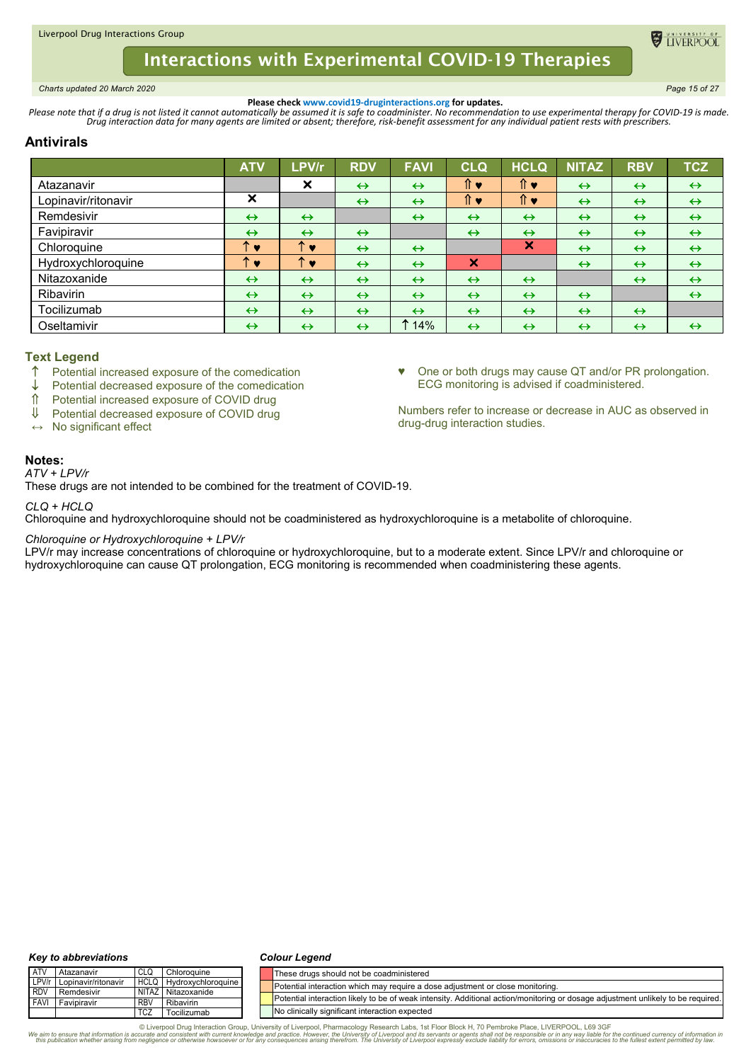<span id="page-14-0"></span>*Charts updated 20 March 2020 Page 15 of 27*

TIVERPOO

♥ One or both drugs may cause QT and/or PR prolongation.

Numbers refer to increase or decrease in AUC as observed in

ECG monitoring is advised if coadministered.

drug-drug interaction studies.

**Please check www.covid19-druginteractions.org for updates.**<br>.Please note that if a drug is not listed it cannot automatically be assumed it is safe to coadminister. No recommendation to use experimental therapy for COVID-

# **Antivirals**

|                     | <b>ATV</b>                | LPV/r                     | <b>RDV</b>        | <b>FAVI</b>       | <b>CLQ</b>                | <b>HCLQ</b>       | <b>NITAZ</b>      | <b>RBV</b>        | <b>TCZ</b>        |
|---------------------|---------------------------|---------------------------|-------------------|-------------------|---------------------------|-------------------|-------------------|-------------------|-------------------|
| Atazanavir          |                           | $\boldsymbol{\mathsf{x}}$ | $\leftrightarrow$ | $\leftrightarrow$ | ⇑♥                        | ↑ ♥               | $\leftrightarrow$ | $\leftrightarrow$ | $\leftrightarrow$ |
| Lopinavir/ritonavir | $\boldsymbol{\mathsf{x}}$ |                           | $\leftrightarrow$ | $\leftrightarrow$ | ↑ ♥                       | ⇑♥                | $\leftrightarrow$ | $\leftrightarrow$ | $\leftrightarrow$ |
| Remdesivir          | $\leftrightarrow$         | $\leftrightarrow$         |                   | $\leftrightarrow$ | $\leftrightarrow$         | $\leftrightarrow$ | $\leftrightarrow$ | $\leftrightarrow$ | $\leftrightarrow$ |
| Favipiravir         | $\leftrightarrow$         | $\leftrightarrow$         | $\leftrightarrow$ |                   | $\leftrightarrow$         | $\leftrightarrow$ | $\leftrightarrow$ | $\leftrightarrow$ | $\leftrightarrow$ |
| Chloroquine         | ᠰ<br>v                    | ᠰ<br>$\bullet$            | $\leftrightarrow$ | $\leftrightarrow$ |                           | ×                 | $\leftrightarrow$ | $\leftrightarrow$ | $\leftrightarrow$ |
| Hydroxychloroquine  | ́<br><b>IV</b>            | ÷.<br>$\bullet$           | $\leftrightarrow$ | $\leftrightarrow$ | $\boldsymbol{\mathsf{x}}$ |                   | $\leftrightarrow$ | $\leftrightarrow$ | $\leftrightarrow$ |
| Nitazoxanide        | $\leftrightarrow$         | $\leftrightarrow$         | $\leftrightarrow$ | $\leftrightarrow$ | $\leftrightarrow$         | $\leftrightarrow$ |                   | $\leftrightarrow$ | $\leftrightarrow$ |
| Ribavirin           | $\leftrightarrow$         | $\leftrightarrow$         | $\leftrightarrow$ | $\leftrightarrow$ | $\leftrightarrow$         | $\leftrightarrow$ | $\leftrightarrow$ |                   | $\leftrightarrow$ |
| Tocilizumab         | $\leftrightarrow$         | $\leftrightarrow$         | $\leftrightarrow$ | $\leftrightarrow$ | $\leftrightarrow$         | $\leftrightarrow$ | $\leftrightarrow$ | $\leftrightarrow$ |                   |
| Oseltamivir         | $\leftrightarrow$         | $\leftrightarrow$         | $\leftrightarrow$ | 14%               | $\leftrightarrow$         | $\leftrightarrow$ | $\leftrightarrow$ | $\leftrightarrow$ | $\leftrightarrow$ |

## **Text Legend**

- Potential increased exposure of the comedication
- $\downarrow$  Potential decreased exposure of the comedication
- Potential increased exposure of COVID drug
- Potential decreased exposure of COVID drug
- **↔** No significant effect

## **Notes:**

*ATV + LPV/r*

These drugs are not intended to be combined for the treatment of COVID-19.

*CLQ + HCLQ*

Chloroquine and hydroxychloroquine should not be coadministered as hydroxychloroquine is a metabolite of chloroquine.

### *Chloroquine or Hydroxychloroquine + LPV/r*

LPV/r may increase concentrations of chloroquine or hydroxychloroquine, but to a moderate extent. Since LPV/r and chloroquine or hydroxychloroquine can cause QT prolongation, ECG monitoring is recommended when coadministering these agents.

#### *Key to abbreviations*

#### *Colour Legend*

| <b>ATV</b> | Atazanavir                | ' CLQ      | Chloroquine                    | These drugs should not be coadministered                                                                                         |
|------------|---------------------------|------------|--------------------------------|----------------------------------------------------------------------------------------------------------------------------------|
|            | LPV/r Lopinavir/ritonavir |            | <b>HCLQ Hydroxychloroquine</b> | Potential interaction which may require a dose adjustment or close monitoring.                                                   |
|            | RDV Remdesivir            |            | NITAZ Nitazoxanide             |                                                                                                                                  |
|            | <b>FAVI</b> Favipiravir   | <b>RBV</b> | Ribavirin                      | Potential interaction likely to be of weak intensity. Additional action/monitoring or dosage adiustment unlikely to be required. |
|            |                           | <b>TCZ</b> | Tocilizumab                    | No clinically significant interaction expected                                                                                   |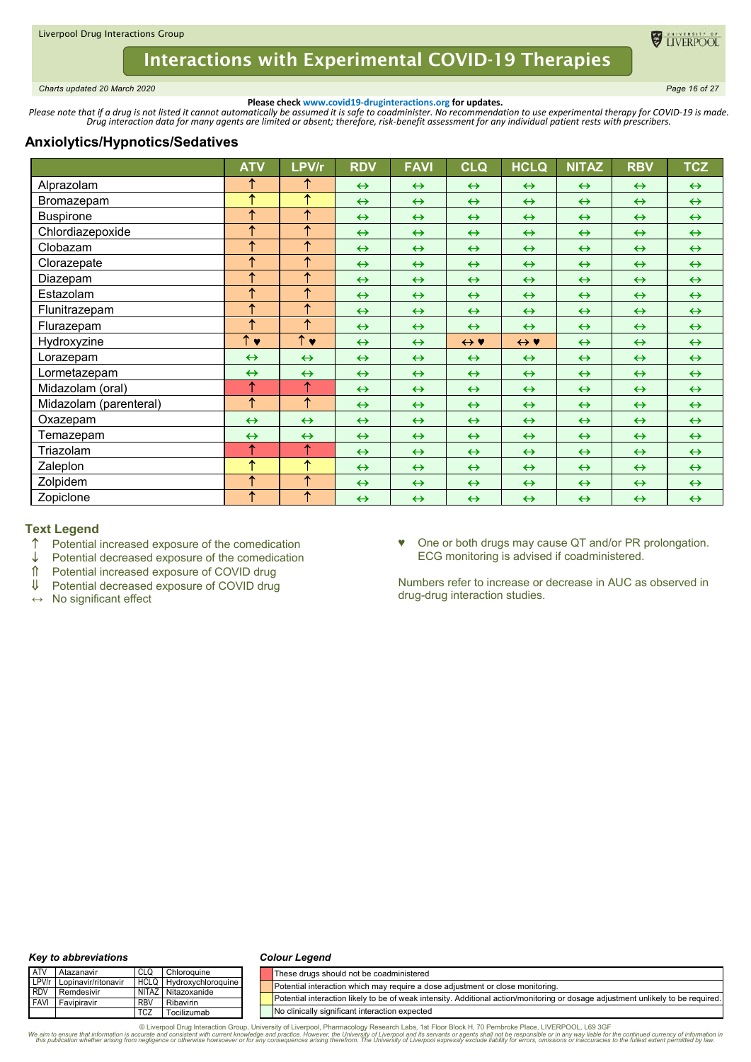

<span id="page-15-0"></span>*Charts updated 20 March 2020 Page 16 of 27*

**O** TIVERPOO

**Please check www.covid19-druginteractions.org for updates.**<br>.Please note that if a drug is not listed it cannot automatically be assumed it is safe to coadminister. No recommendation to use experimental therapy for COVID-

## **Anxiolytics/Hypnotics/Sedatives**

|                        | <b>ATV</b>         | LPV/r              | <b>RDV</b>        | <b>FAVI</b>       | <b>CLQ</b>          | <b>HCLQ</b>         | <b>NITAZ</b>      | <b>RBV</b>        | <b>TCZ</b>        |
|------------------------|--------------------|--------------------|-------------------|-------------------|---------------------|---------------------|-------------------|-------------------|-------------------|
| Alprazolam             | ↑                  | ↑                  | $\leftrightarrow$ | $\leftrightarrow$ | $\leftrightarrow$   | $\leftrightarrow$   | $\leftrightarrow$ | $\leftrightarrow$ | $\leftrightarrow$ |
| Bromazepam             | 个                  | $\uparrow$         | $\leftrightarrow$ | $\leftrightarrow$ | $\leftrightarrow$   | $\leftrightarrow$   | $\leftrightarrow$ | $\leftrightarrow$ | $\leftrightarrow$ |
| <b>Buspirone</b>       | ↑                  | $\uparrow$         | $\leftrightarrow$ | $\leftrightarrow$ | $\leftrightarrow$   | $\leftrightarrow$   | $\leftrightarrow$ | $\leftrightarrow$ | $\leftrightarrow$ |
| Chlordiazepoxide       | 个                  | $\uparrow$         | $\leftrightarrow$ | $\leftrightarrow$ | $\leftrightarrow$   | $\leftrightarrow$   | $\leftrightarrow$ | $\leftrightarrow$ | $\leftrightarrow$ |
| Clobazam               | 个                  | $\uparrow$         | $\leftrightarrow$ | $\leftrightarrow$ | $\leftrightarrow$   | $\leftrightarrow$   | $\leftrightarrow$ | $\leftrightarrow$ | $\leftrightarrow$ |
| Clorazepate            | ↑                  | $\uparrow$         | $\leftrightarrow$ | $\leftrightarrow$ | $\leftrightarrow$   | $\leftrightarrow$   | $\leftrightarrow$ | $\leftrightarrow$ | $\leftrightarrow$ |
| Diazepam               | 个                  | $\uparrow$         | $\leftrightarrow$ | $\leftrightarrow$ | $\leftrightarrow$   | $\leftrightarrow$   | $\leftrightarrow$ | $\leftrightarrow$ | $\leftrightarrow$ |
| Estazolam              | ↑                  | $\uparrow$         | $\leftrightarrow$ | $\leftrightarrow$ | $\leftrightarrow$   | $\leftrightarrow$   | $\leftrightarrow$ | $\leftrightarrow$ | $\leftrightarrow$ |
| Flunitrazepam          | ↑                  | ↑                  | $\leftrightarrow$ | $\leftrightarrow$ | $\leftrightarrow$   | $\leftrightarrow$   | $\leftrightarrow$ | $\leftrightarrow$ | $\leftrightarrow$ |
| Flurazepam             | 个                  | $\uparrow$         | $\leftrightarrow$ | $\leftrightarrow$ | $\leftrightarrow$   | $\leftrightarrow$   | $\leftrightarrow$ | $\leftrightarrow$ | $\leftrightarrow$ |
| Hydroxyzine            | $\uparrow \bullet$ | $\uparrow \bullet$ | $\leftrightarrow$ | $\leftrightarrow$ | $\leftrightarrow$ Y | $\leftrightarrow$ Y | $\leftrightarrow$ | $\leftrightarrow$ | $\leftrightarrow$ |
| Lorazepam              | $\leftrightarrow$  | $\leftrightarrow$  | $\leftrightarrow$ | $\leftrightarrow$ | $\leftrightarrow$   | $\leftrightarrow$   | $\leftrightarrow$ | $\leftrightarrow$ | $\leftrightarrow$ |
| Lormetazepam           | $\leftrightarrow$  | $\leftrightarrow$  | $\leftrightarrow$ | $\leftrightarrow$ | $\leftrightarrow$   | $\leftrightarrow$   | $\leftrightarrow$ | $\leftrightarrow$ | $\leftrightarrow$ |
| Midazolam (oral)       | ↑                  | ↑                  | $\leftrightarrow$ | $\leftrightarrow$ | $\leftrightarrow$   | $\leftrightarrow$   | $\leftrightarrow$ | $\leftrightarrow$ | $\leftrightarrow$ |
| Midazolam (parenteral) | $\uparrow$         | $\uparrow$         | $\leftrightarrow$ | $\leftrightarrow$ | $\leftrightarrow$   | $\leftrightarrow$   | $\leftrightarrow$ | $\leftrightarrow$ | $\leftrightarrow$ |
| Oxazepam               | $\leftrightarrow$  | $\leftrightarrow$  | $\leftrightarrow$ | $\leftrightarrow$ | $\leftrightarrow$   | $\leftrightarrow$   | $\leftrightarrow$ | $\leftrightarrow$ | $\leftrightarrow$ |
| Temazepam              | $\leftrightarrow$  | $\leftrightarrow$  | $\leftrightarrow$ | $\leftrightarrow$ | $\leftrightarrow$   | $\leftrightarrow$   | $\leftrightarrow$ | $\leftrightarrow$ | $\leftrightarrow$ |
| Triazolam              | ↑                  | ↑                  | $\leftrightarrow$ | $\leftrightarrow$ | $\leftrightarrow$   | $\leftrightarrow$   | $\leftrightarrow$ | $\leftrightarrow$ | $\leftrightarrow$ |
| Zaleplon               | 个                  | $\uparrow$         | $\leftrightarrow$ | $\leftrightarrow$ | $\leftrightarrow$   | $\leftrightarrow$   | $\leftrightarrow$ | $\leftrightarrow$ | $\leftrightarrow$ |
| Zolpidem               | ↑                  | $\uparrow$         | $\leftrightarrow$ | $\leftrightarrow$ | $\leftrightarrow$   | $\leftrightarrow$   | $\leftrightarrow$ | $\leftrightarrow$ | $\leftrightarrow$ |
| Zopiclone              | $\uparrow$         | $\uparrow$         | $\leftrightarrow$ | $\leftrightarrow$ | $\leftrightarrow$   | $\leftrightarrow$   | $\leftrightarrow$ | $\leftrightarrow$ | $\leftrightarrow$ |

### **Text Legend**

- $\uparrow$  Potential increased exposure of the comedication  $\downarrow$  Potential decreased exposure of the comedication
- $\downarrow$  Potential decreased exposure of the comedication  $\uparrow$  Potential increased exposure of COVID drug
- <del>f</del> Potential increased exposure of COVID drug<br>↓ Potential decreased exposure of COVID drug
- Potential decreased exposure of COVID drug
- **↔** No significant effect

♥ One or both drugs may cause QT and/or PR prolongation. ECG monitoring is advised if coadministered.

Numbers refer to increase or decrease in AUC as observed in drug-drug interaction studies.

#### *Key to abbreviations*

#### *Colour Legend*

| <b>ATV</b> | <b>Atazanavir</b>         |            | Chloroguine             | These drugs should not be coadministered                                                                                         |
|------------|---------------------------|------------|-------------------------|----------------------------------------------------------------------------------------------------------------------------------|
|            | LPV/r Lopinavir/ritonavir |            | HCLQ Hydroxychloroquine | Potential interaction which may require a dose adjustment or close monitoring.                                                   |
|            | <b>RDV</b> Remdesivir     |            | NITAZ Nitazoxanide      |                                                                                                                                  |
|            | <b>FAVI</b> Favipiravir   | <b>RBV</b> | Ribavirin               | Potential interaction likely to be of weak intensity. Additional action/monitoring or dosage adjustment unlikely to be required. |
|            |                           | TCZ        | Tocilizumab             | No clinically significant interaction expected                                                                                   |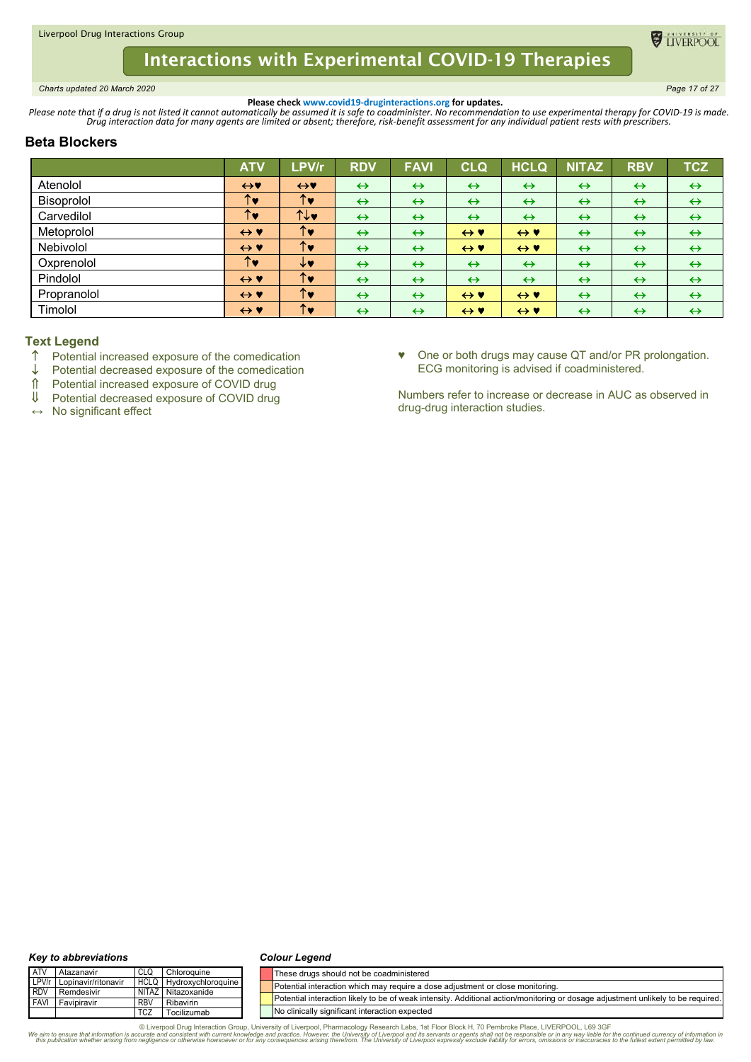<span id="page-16-0"></span>*Charts updated 20 March 2020 Page 17 of 27*

**DE TIVERPOOL** 

**Please check www.covid19-druginteractions.org for updates.**<br>.Please note that if a drug is not listed it cannot automatically be assumed it is safe to coadminister. No recommendation to use experimental therapy for COVID-

# **Beta Blockers**

|             | <b>ATV</b>          | LPV/r                | <b>RDV</b>        | <b>FAVI</b>       | <b>CLQ</b>          | <b>HCLQ</b>         | <b>NITAZ</b>      | <b>RBV</b>        | <b>TCZ</b>        |
|-------------|---------------------|----------------------|-------------------|-------------------|---------------------|---------------------|-------------------|-------------------|-------------------|
| Atenolol    | $\leftrightarrow$   | $\leftrightarrow$    | $\leftrightarrow$ | $\leftrightarrow$ | $\leftrightarrow$   | $\leftrightarrow$   | $\leftrightarrow$ | $\leftrightarrow$ | $\leftrightarrow$ |
| Bisoprolol  | ↑♥                  | ↑♥                   | $\leftrightarrow$ | $\leftrightarrow$ | $\leftrightarrow$   | $\leftrightarrow$   | $\leftrightarrow$ | $\leftrightarrow$ | $\leftrightarrow$ |
| Carvedilol  | ↑♥                  | ↑↓♥                  | $\leftrightarrow$ | $\leftrightarrow$ | $\leftrightarrow$   | $\leftrightarrow$   | $\leftrightarrow$ | $\leftrightarrow$ | $\leftrightarrow$ |
| Metoprolol  | $\leftrightarrow$ Y | $\uparrow\bullet$    | $\leftrightarrow$ | $\leftrightarrow$ | $\leftrightarrow$ Y | $\leftrightarrow$ Y | $\leftrightarrow$ | $\leftrightarrow$ | $\leftrightarrow$ |
| Nebivolol   | $\leftrightarrow$ Y | ↑♥                   | $\leftrightarrow$ | $\leftrightarrow$ | $\leftrightarrow$ Y | $\leftrightarrow$ Y | $\leftrightarrow$ | $\leftrightarrow$ | $\leftrightarrow$ |
| Oxprenolol  | ↑♥                  | ↓♥                   | $\leftrightarrow$ | $\leftrightarrow$ | $\leftrightarrow$   | $\leftrightarrow$   | $\leftrightarrow$ | $\leftrightarrow$ | $\leftrightarrow$ |
| Pindolol    | $\leftrightarrow$ Y | $\uparrow\downarrow$ | $\leftrightarrow$ | $\leftrightarrow$ | $\leftrightarrow$   | $\leftrightarrow$   | $\leftrightarrow$ | $\leftrightarrow$ | $\leftrightarrow$ |
| Propranolol | $\leftrightarrow$ Y | ↑♥                   | $\leftrightarrow$ | $\leftrightarrow$ | $\leftrightarrow$ Y | $\leftrightarrow$ Y | $\leftrightarrow$ | $\leftrightarrow$ | $\leftrightarrow$ |
| Timolol     | $\leftrightarrow$ Y | ↑♥                   | $\leftrightarrow$ | $\leftrightarrow$ | $\leftrightarrow$ Y | $\leftrightarrow$ Y | $\leftrightarrow$ | $\leftrightarrow$ | $\leftrightarrow$ |

## **Text Legend**

- $\uparrow$  Potential increased exposure of the comedication  $\downarrow$  Potential decreased exposure of the comedication
- $\downarrow$  Potential decreased exposure of the comedication<br>  $\uparrow$  Potential increased exposure of COVID drug
- $\hat{\parallel}$  Potential increased exposure of COVID drug<br> $\parallel$  Potential decreased exposure of COVID drug
- Potential decreased exposure of COVID drug

**↔** No significant effect

♥ One or both drugs may cause QT and/or PR prolongation. ECG monitoring is advised if coadministered.

Numbers refer to increase or decrease in AUC as observed in drug-drug interaction studies.

#### *Key to abbreviations*

#### *Colour Legend*

| <b>ATV</b> | Atazanavir                | CLC        | Chloroguine                    | These drugs should not be coadministered                                                                                         |
|------------|---------------------------|------------|--------------------------------|----------------------------------------------------------------------------------------------------------------------------------|
|            | LPV/r Lopinavir/ritonavir |            | <b>HCLQ</b> Hydroxychloroquine | Potential interaction which may require a dose adjustment or close monitoring.                                                   |
| <b>RDV</b> | Remdesivir                |            | NITAZ Nitazoxanide             |                                                                                                                                  |
|            | <b>FAVI</b> Favipiravir   | RB\        | Ribavirin                      | Potential interaction likely to be of weak intensity. Additional action/monitoring or dosage adjustment unlikely to be required. |
|            |                           | <b>TCZ</b> | Tocilizumab                    | No clinically significant interaction expected                                                                                   |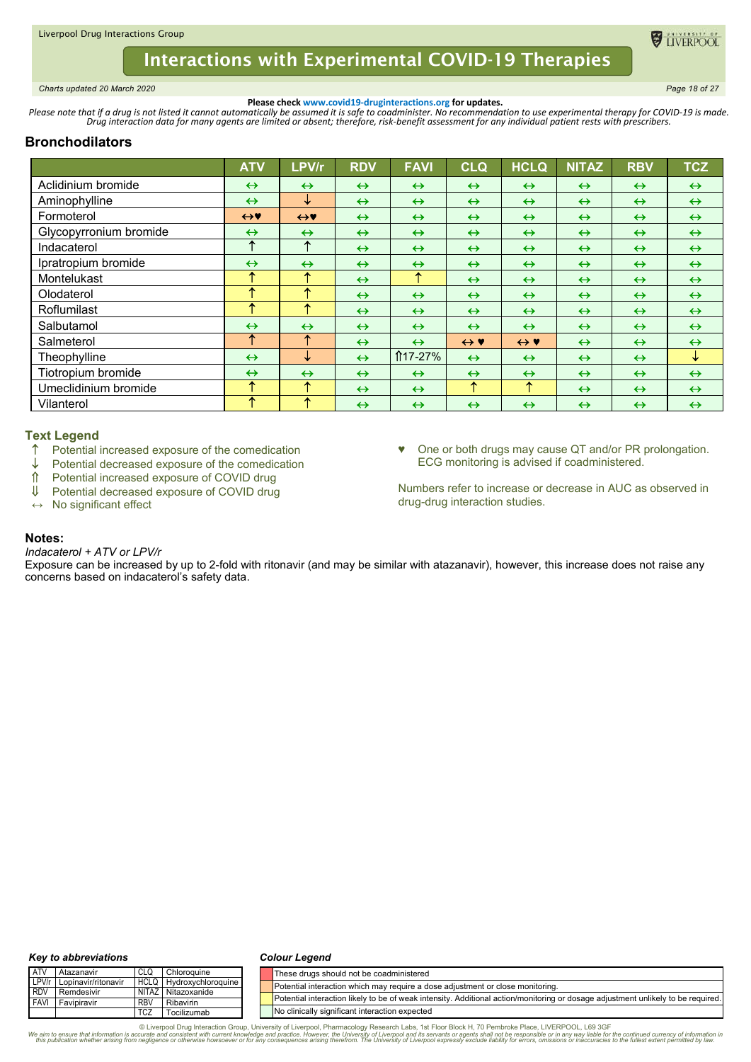<span id="page-17-0"></span>*Charts updated 20 March 2020 Page 18 of 27*

**ELIVERPOO** 

**Please check www.covid19-druginteractions.org for updates.**<br>.Please note that if a drug is not listed it cannot automatically be assumed it is safe to coadminister. No recommendation to use experimental therapy for COVID-

# **Bronchodilators**

|                        | <b>ATV</b>        | LPV/r             | <b>RDV</b>        | <b>FAVI</b>       | <b>CLQ</b>          | <b>HCLQ</b>         | <b>NITAZ</b>      | <b>RBV</b>        | <b>TCZ</b>        |
|------------------------|-------------------|-------------------|-------------------|-------------------|---------------------|---------------------|-------------------|-------------------|-------------------|
| Aclidinium bromide     | $\leftrightarrow$ | $\leftrightarrow$ | $\leftrightarrow$ | $\leftrightarrow$ | $\leftrightarrow$   | $\leftrightarrow$   | $\leftrightarrow$ | $\leftrightarrow$ | $\leftrightarrow$ |
| Aminophylline          | $\leftrightarrow$ | ↓                 | $\leftrightarrow$ | $\leftrightarrow$ | $\leftrightarrow$   | $\leftrightarrow$   | $\leftrightarrow$ | $\leftrightarrow$ | $\leftrightarrow$ |
| Formoterol             | $\leftrightarrow$ | $\leftrightarrow$ | $\leftrightarrow$ | $\leftrightarrow$ | $\leftrightarrow$   | $\leftrightarrow$   | $\leftrightarrow$ | $\leftrightarrow$ | $\leftrightarrow$ |
| Glycopyrronium bromide | $\leftrightarrow$ | $\leftrightarrow$ | $\leftrightarrow$ | $\leftrightarrow$ | $\leftrightarrow$   | $\leftrightarrow$   | $\leftrightarrow$ | $\leftrightarrow$ | $\leftrightarrow$ |
| Indacaterol            | ↑                 | ↑                 | $\leftrightarrow$ | $\leftrightarrow$ | $\leftrightarrow$   | $\leftrightarrow$   | $\leftrightarrow$ | $\leftrightarrow$ | $\leftrightarrow$ |
| Ipratropium bromide    | $\leftrightarrow$ | $\leftrightarrow$ | $\leftrightarrow$ | $\leftrightarrow$ | $\leftrightarrow$   | $\leftrightarrow$   | $\leftrightarrow$ | $\leftrightarrow$ | $\leftrightarrow$ |
| Montelukast            | ᠰ                 | ᠰ                 | $\leftrightarrow$ | ↑                 | $\leftrightarrow$   | $\leftrightarrow$   | $\leftrightarrow$ | $\leftrightarrow$ | $\leftrightarrow$ |
| Olodaterol             | ᠰ                 | ᠰ                 | $\leftrightarrow$ | $\leftrightarrow$ | $\leftrightarrow$   | $\leftrightarrow$   | $\leftrightarrow$ | $\leftrightarrow$ | $\leftrightarrow$ |
| Roflumilast            | ᠰ                 | ᠰ                 | $\leftrightarrow$ | $\leftrightarrow$ | $\leftrightarrow$   | $\leftrightarrow$   | $\leftrightarrow$ | $\leftrightarrow$ | $\leftrightarrow$ |
| Salbutamol             | $\leftrightarrow$ | $\leftrightarrow$ | $\leftrightarrow$ | $\leftrightarrow$ | $\leftrightarrow$   | $\leftrightarrow$   | $\leftrightarrow$ | $\leftrightarrow$ | $\leftrightarrow$ |
| Salmeterol             | ↑                 | ᠰ                 | $\leftrightarrow$ | $\leftrightarrow$ | $\leftrightarrow$ Y | $\leftrightarrow$ Y | $\leftrightarrow$ | $\leftrightarrow$ | $\leftrightarrow$ |
| Theophylline           | $\leftrightarrow$ | ↓                 | $\leftrightarrow$ | ↑17-27%           | $\leftrightarrow$   | $\leftrightarrow$   | $\leftrightarrow$ | $\leftrightarrow$ | ↓                 |
| Tiotropium bromide     | $\leftrightarrow$ | $\leftrightarrow$ | $\leftrightarrow$ | $\leftrightarrow$ | $\leftrightarrow$   | $\leftrightarrow$   | $\leftrightarrow$ | $\leftrightarrow$ | $\leftrightarrow$ |
| Umeclidinium bromide   | ᠰ                 | 个                 | $\leftrightarrow$ | $\leftrightarrow$ | ↑                   | ↑                   | $\leftrightarrow$ | $\leftrightarrow$ | $\leftrightarrow$ |
| Vilanterol             | ᠰ                 | ᠰ                 | $\leftrightarrow$ | $\leftrightarrow$ | $\leftrightarrow$   | $\leftrightarrow$   | $\leftrightarrow$ | $\leftrightarrow$ | $\leftrightarrow$ |

## **Text Legend**

- ↑ Potential increased exposure of the comedication<br>↓ Potential decreased exposure of the comedication
- $\downarrow$  Potential decreased exposure of the comedication<br>  $\uparrow$  Potential increased exposure of COVID drug
- Potential increased exposure of COVID drug
- ↓ Potential decreased exposure of COVID drug
- **↔** No significant effect

♥ One or both drugs may cause QT and/or PR prolongation. ECG monitoring is advised if coadministered.

Numbers refer to increase or decrease in AUC as observed in drug-drug interaction studies.

### **Notes:**

#### *Indacaterol + ATV or LPV/r*

Exposure can be increased by up to 2-fold with ritonavir (and may be similar with atazanavir), however, this increase does not raise any concerns based on indacaterol's safety data.

#### *Key to abbreviations*

#### *Colour Legend*

| <b>ATV</b> | Atazanavir                | CLQ        | Chloroguine             | These drugs should not be coadministered                                                                                         |
|------------|---------------------------|------------|-------------------------|----------------------------------------------------------------------------------------------------------------------------------|
|            | LPV/r Lopinavir/ritonavir |            | HCLQ Hydroxychloroquine | Potential interaction which may require a dose adjustment or close monitoring.                                                   |
| <b>RDV</b> | Remdesivir                |            | NITAZ Nitazoxanide      |                                                                                                                                  |
|            | <b>FAVI</b> Favipiravir   | <b>RBV</b> | Ribavirin               | Potential interaction likely to be of weak intensity. Additional action/monitoring or dosage adjustment unlikely to be required. |
|            |                           | <b>TCZ</b> | Tocilizumab             | No clinically significant interaction expected                                                                                   |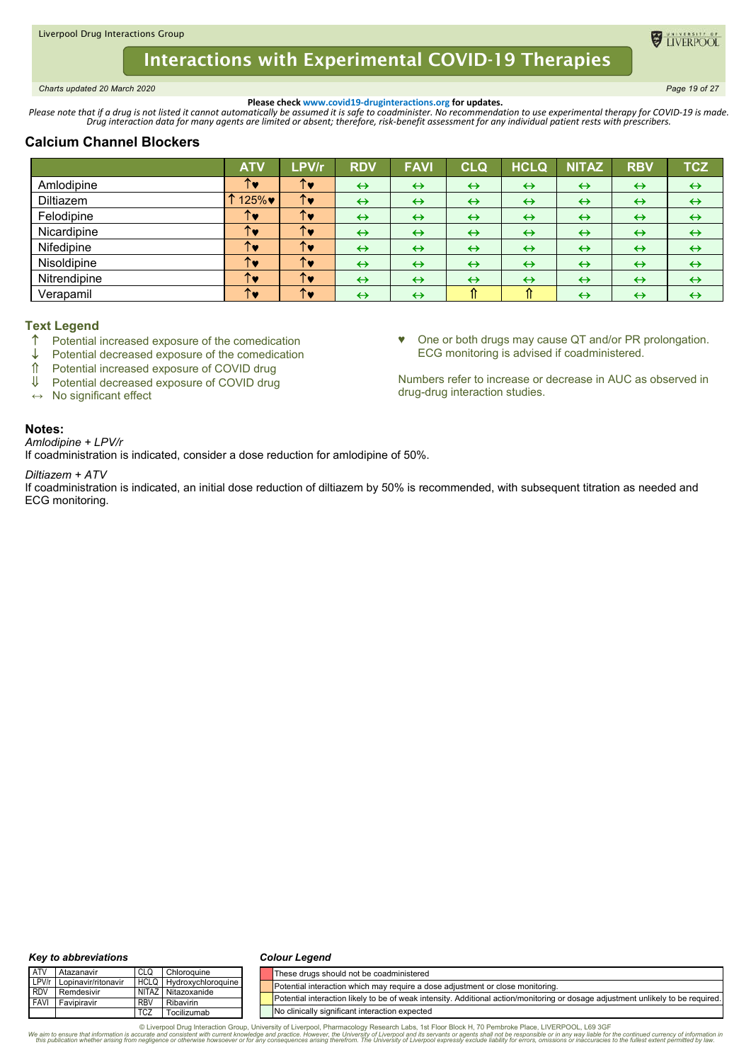<span id="page-18-0"></span>*Charts updated 20 March 2020 Page 19 of 27*

**ELIVERPOO** 

**Please check www.covid19-druginteractions.org for updates.**<br>.Please note that if a drug is not listed it cannot automatically be assumed it is safe to coadminister. No recommendation to use experimental therapy for COVID-

# **Calcium Channel Blockers**

|              | <b>ATV</b> | LPV/r | <b>RDV</b>        | <b>FAVI</b>       | CLQ               | <b>HCLQ</b>       | <b>NITAZ</b>      | <b>RBV</b>        | <b>TCZ</b>        |
|--------------|------------|-------|-------------------|-------------------|-------------------|-------------------|-------------------|-------------------|-------------------|
| Amlodipine   | TV.        | ↑♥    | $\leftrightarrow$ | $\leftrightarrow$ | $\leftrightarrow$ | $\leftrightarrow$ | $\leftrightarrow$ | $\leftrightarrow$ | $\leftrightarrow$ |
| Diltiazem    | 125%♥      | ↑♥    | $\leftrightarrow$ | $\leftrightarrow$ | $\leftrightarrow$ | $\leftrightarrow$ | $\leftrightarrow$ | $\leftrightarrow$ | $\leftrightarrow$ |
| Felodipine   | TV.        | ↑♥    | $\leftrightarrow$ | $\leftrightarrow$ | $\leftrightarrow$ | $\leftrightarrow$ | $\leftrightarrow$ | $\leftrightarrow$ | $\leftrightarrow$ |
| Nicardipine  | TV         | ↑♥    | $\leftrightarrow$ | $\leftrightarrow$ | $\leftrightarrow$ | $\leftrightarrow$ | $\leftrightarrow$ | $\leftrightarrow$ | $\leftrightarrow$ |
| Nifedipine   | TV.        | ↑♥    | $\leftrightarrow$ | $\leftrightarrow$ | $\leftrightarrow$ | $\leftrightarrow$ | $\leftrightarrow$ | $\leftrightarrow$ | $\leftrightarrow$ |
| Nisoldipine  | TV         | ↑♥    | $\leftrightarrow$ | $\leftrightarrow$ | $\leftrightarrow$ | $\leftrightarrow$ | $\leftrightarrow$ | $\leftrightarrow$ | $\leftrightarrow$ |
| Nitrendipine | TV         | ↑♥    | $\leftrightarrow$ | $\leftrightarrow$ | $\leftrightarrow$ | $\leftrightarrow$ | $\leftrightarrow$ | $\leftrightarrow$ | $\leftrightarrow$ |
| Verapamil    | ↑♥         | ↑♥    | $\leftrightarrow$ | $\leftrightarrow$ | ⇑                 | ⇑                 | $\leftrightarrow$ | $\leftrightarrow$ | $\leftrightarrow$ |

# **Text Legend**

- $\uparrow$  Potential increased exposure of the comedication
- $\downarrow$  Potential decreased exposure of the comedication<br>  $\uparrow$  Potential increased exposure of COVID drug
- ↑ Potential increased exposure of COVID drug<br>Ⅱ Potential decreased exposure of COVID drug
- Potential decreased exposure of COVID drug
- **↔** No significant effect

♥ One or both drugs may cause QT and/or PR prolongation. ECG monitoring is advised if coadministered.

Numbers refer to increase or decrease in AUC as observed in drug-drug interaction studies.

# **Notes:**

*Amlodipine + LPV/r*

If coadministration is indicated, consider a dose reduction for amlodipine of 50%.

#### *Diltiazem + ATV*

If coadministration is indicated, an initial dose reduction of diltiazem by 50% is recommended, with subsequent titration as needed and ECG monitoring.

#### *Key to abbreviations*

#### *Colour Legend*

| <b>ATV</b>  | Atazanavir          | CLQ         | Chloroauine        | These drugs should not be coadministered                                                                                         |
|-------------|---------------------|-------------|--------------------|----------------------------------------------------------------------------------------------------------------------------------|
| LPV/r       | Lopinavir/ritonavir | <b>HCLQ</b> | Hydroxychloroquine | Potential interaction which may require a dose adjustment or close monitoring.                                                   |
| <b>RDV</b>  | Remdesivir          |             | NITAZ Nitazoxanide | Potential interaction likely to be of weak intensity. Additional action/monitoring or dosage adjustment unlikely to be required. |
| <b>FAVI</b> | Favipiravir         | <b>RBV</b>  | Ribavirin          |                                                                                                                                  |
|             |                     | <b>TCZ</b>  | Tocilizumab        | No clinically significant interaction expected                                                                                   |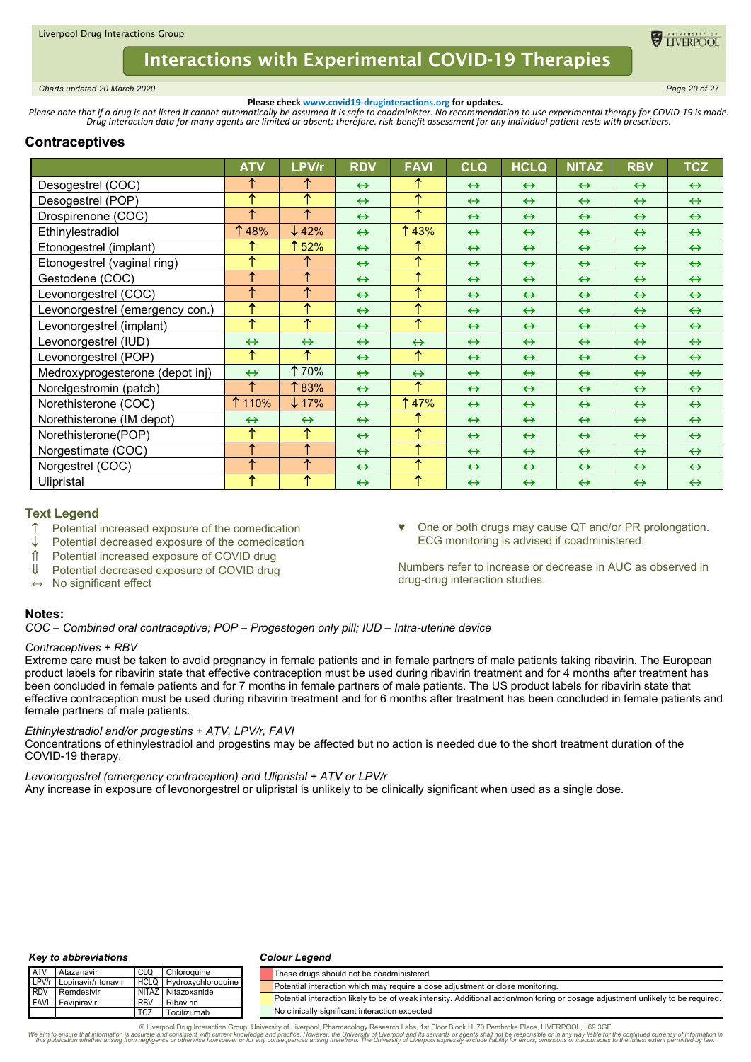<span id="page-19-0"></span>*Charts updated 20 March 2020 Page 20 of 27*

**ELIVERPOC** 

**Please check www.covid19-druginteractions.org for updates.**<br>.Please note that if a drug is not listed it cannot automatically be assumed it is safe to coadminister. No recommendation to use experimental therapy for COVID-

# **Contraceptives**

|                                 | <b>ATV</b>        | LPV/r             | <b>RDV</b>        | <b>FAVI</b>       | <b>CLQ</b>        | <b>HCLQ</b>       | <b>NITAZ</b>      | <b>RBV</b>        | <b>TCZ</b>        |
|---------------------------------|-------------------|-------------------|-------------------|-------------------|-------------------|-------------------|-------------------|-------------------|-------------------|
| Desogestrel (COC)               | ↑                 | ᠰ                 | $\leftrightarrow$ | ↑                 | $\leftrightarrow$ | $\leftrightarrow$ | $\leftrightarrow$ | $\leftrightarrow$ | $\leftrightarrow$ |
| Desogestrel (POP)               | ↑                 | ₳                 | $\leftrightarrow$ | ↑                 | $\leftrightarrow$ | $\leftrightarrow$ | $\leftrightarrow$ | $\leftrightarrow$ | $\leftrightarrow$ |
| Drospirenone (COC)              | 个                 | ተ                 | $\leftrightarrow$ | ↑                 | $\leftrightarrow$ | $\leftrightarrow$ | $\leftrightarrow$ | $\leftrightarrow$ | $\leftrightarrow$ |
| Ethinylestradiol                | 48%               | $\downarrow$ 42%  | $\leftrightarrow$ | ↑43%              | $\leftrightarrow$ | $\leftrightarrow$ | $\leftrightarrow$ | $\leftrightarrow$ | $\leftrightarrow$ |
| Etonogestrel (implant)          |                   | ↑ 52%             | $\leftrightarrow$ | ↑                 | $\leftrightarrow$ | $\leftrightarrow$ | $\leftrightarrow$ | $\leftrightarrow$ | $\leftrightarrow$ |
| Etonogestrel (vaginal ring)     | ↑                 | ᠰ                 | $\leftrightarrow$ | ↑                 | $\leftrightarrow$ | $\leftrightarrow$ | $\leftrightarrow$ | $\leftrightarrow$ | $\leftrightarrow$ |
| Gestodene (COC)                 | ↑                 | 个                 | $\leftrightarrow$ | ↑                 | $\leftrightarrow$ | $\leftrightarrow$ | $\leftrightarrow$ | $\leftrightarrow$ | $\leftrightarrow$ |
| Levonorgestrel (COC)            | ↑                 | ᠰ                 | $\leftrightarrow$ | ↑                 | $\leftrightarrow$ | $\leftrightarrow$ | $\leftrightarrow$ | $\leftrightarrow$ | $\leftrightarrow$ |
| Levonorgestrel (emergency con.) | ↑                 | ᠰ                 | $\leftrightarrow$ | ↑                 | $\leftrightarrow$ | $\leftrightarrow$ | $\leftrightarrow$ | $\leftrightarrow$ | $\leftrightarrow$ |
| Levonorgestrel (implant)        | ↑                 | ᠰ                 | $\leftrightarrow$ | ↑                 | $\leftrightarrow$ | $\leftrightarrow$ | $\leftrightarrow$ | $\leftrightarrow$ | $\leftrightarrow$ |
| Levonorgestrel (IUD)            | $\leftrightarrow$ | $\leftrightarrow$ | $\leftrightarrow$ | $\leftrightarrow$ | $\leftrightarrow$ | $\leftrightarrow$ | $\leftrightarrow$ | $\leftrightarrow$ | $\leftrightarrow$ |
| Levonorgestrel (POP)            | ↑                 | ተ                 | $\leftrightarrow$ | ↑                 | $\leftrightarrow$ | $\leftrightarrow$ | $\leftrightarrow$ | $\leftrightarrow$ | $\leftrightarrow$ |
| Medroxyprogesterone (depot inj) | $\leftrightarrow$ | <b>170%</b>       | $\leftrightarrow$ | $\leftrightarrow$ | $\leftrightarrow$ | $\leftrightarrow$ | $\leftrightarrow$ | $\leftrightarrow$ | $\leftrightarrow$ |
| Norelgestromin (patch)          | ↑                 | 183%              | $\leftrightarrow$ | ↑                 | $\leftrightarrow$ | $\leftrightarrow$ | $\leftrightarrow$ | $\leftrightarrow$ | $\leftrightarrow$ |
| Norethisterone (COC)            | ↑ 110%            | $\downarrow$ 17%  | $\leftrightarrow$ | <b>147%</b>       | $\leftrightarrow$ | $\leftrightarrow$ | $\leftrightarrow$ | $\leftrightarrow$ | $\leftrightarrow$ |
| Norethisterone (IM depot)       | $\leftrightarrow$ | $\leftrightarrow$ | $\leftrightarrow$ | ↑                 | $\leftrightarrow$ | $\leftrightarrow$ | $\leftrightarrow$ | $\leftrightarrow$ | $\leftrightarrow$ |
| Norethisterone(POP)             | ↑                 | ↑                 | $\leftrightarrow$ | ↑                 | $\leftrightarrow$ | $\leftrightarrow$ | $\leftrightarrow$ | $\leftrightarrow$ | $\leftrightarrow$ |
| Norgestimate (COC)              | 个                 | 个                 | $\leftrightarrow$ | ↑                 | $\leftrightarrow$ | $\leftrightarrow$ | $\leftrightarrow$ | $\leftrightarrow$ | $\leftrightarrow$ |
| Norgestrel (COC)                | ↑                 | 个                 | $\leftrightarrow$ | ↑                 | $\leftrightarrow$ | $\leftrightarrow$ | $\leftrightarrow$ | $\leftrightarrow$ | $\leftrightarrow$ |
| Ulipristal                      | ᠰ                 | ᠰ                 | $\leftrightarrow$ | ↑                 | $\leftrightarrow$ | $\leftrightarrow$ | $\leftrightarrow$ | $\leftrightarrow$ | $\leftrightarrow$ |

## **Text Legend**

- $\uparrow$  Potential increased exposure of the comedication  $\downarrow$  Potential decreased exposure of the comedication
- Potential decreased exposure of the comedication
- Potential increased exposure of COVID drug
- Potential decreased exposure of COVID drug

One or both drugs may cause QT and/or PR prolongation. ECG monitoring is advised if coadministered.

Numbers refer to increase or decrease in AUC as observed in drug-drug interaction studies.

# **↔** No significant effect

#### **Notes:**

*COC – Combined oral contraceptive; POP – Progestogen only pill; IUD – Intra-uterine device*

### *Contraceptives + RBV*

Extreme care must be taken to avoid pregnancy in female patients and in female partners of male patients taking ribavirin. The European product labels for ribavirin state that effective contraception must be used during ribavirin treatment and for 4 months after treatment has been concluded in female patients and for 7 months in female partners of male patients. The US product labels for ribavirin state that effective contraception must be used during ribavirin treatment and for 6 months after treatment has been concluded in female patients and female partners of male patients.

### *Ethinylestradiol and/or progestins + ATV, LPV/r, FAVI*

Concentrations of ethinylestradiol and progestins may be affected but no action is needed due to the short treatment duration of the COVID-19 therapy.

*Levonorgestrel (emergency contraception) and Ulipristal + ATV or LPV/r*

Any increase in exposure of levonorgestrel or ulipristal is unlikely to be clinically significant when used as a single dose.

#### *Key to abbreviations*

#### *Colour Legend*

| <b>ATV</b> | Atazanavir                | CLQ        | Chloroquine                    |  | These drugs should not be coadministered                                                                                         |
|------------|---------------------------|------------|--------------------------------|--|----------------------------------------------------------------------------------------------------------------------------------|
|            | LPV/r Lopinavir/ritonavir |            | <b>HCLQ Hydroxychloroquine</b> |  | Potential interaction which may require a dose adjustment or close monitoring.                                                   |
| <b>RDV</b> | Remdesivir                |            | NITAZ Nitazoxanide             |  |                                                                                                                                  |
| i FAVI     | Favipiravir               | <b>RBV</b> | Ribavirin                      |  | Potential interaction likely to be of weak intensity. Additional action/monitoring or dosage adjustment unlikely to be required. |
|            |                           | <b>TCZ</b> | Tocilizumab                    |  | No clinically significant interaction expected                                                                                   |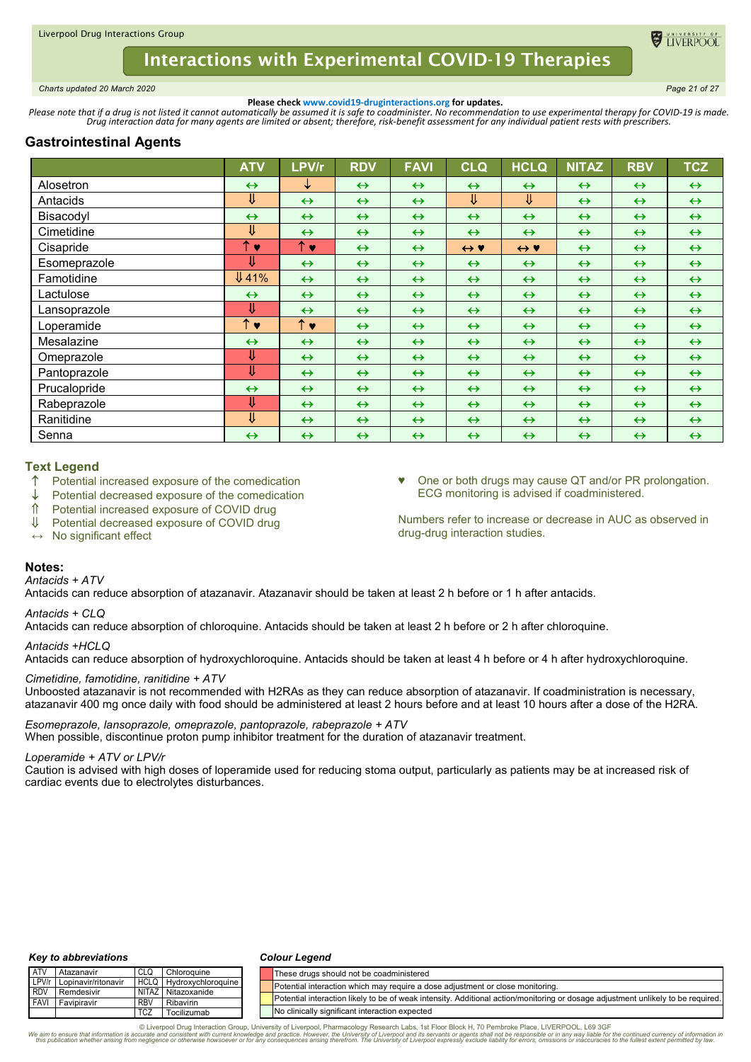<span id="page-20-0"></span>*Charts updated 20 March 2020 Page 21 of 27*

TIVERPOO

**Please check www.covid19-druginteractions.org for updates.**<br>.Please note that if a drug is not listed it cannot automatically be assumed it is safe to coadminister. No recommendation to use experimental therapy for COVID-

# **Gastrointestinal Agents**

|              | <b>ATV</b>              | LPV/r              | <b>RDV</b>        | <b>FAVI</b>       | <b>CLQ</b>                | <b>HCLQ</b>         | <b>NITAZ</b>      | <b>RBV</b>        | <b>TCZ</b>        |
|--------------|-------------------------|--------------------|-------------------|-------------------|---------------------------|---------------------|-------------------|-------------------|-------------------|
| Alosetron    | $\leftrightarrow$       | ↓                  | $\leftrightarrow$ | $\leftrightarrow$ | $\leftrightarrow$         | $\leftrightarrow$   | $\leftrightarrow$ | $\leftrightarrow$ | $\leftrightarrow$ |
| Antacids     | ⇓                       | $\leftrightarrow$  | $\leftrightarrow$ | $\leftrightarrow$ | $\overline{\Downarrow}$   | ⇓                   | $\leftrightarrow$ | $\leftrightarrow$ | $\leftrightarrow$ |
| Bisacodyl    | $\leftrightarrow$       | $\leftrightarrow$  | $\leftrightarrow$ | $\leftrightarrow$ | $\leftrightarrow$         | $\leftrightarrow$   | $\leftrightarrow$ | $\leftrightarrow$ | $\leftrightarrow$ |
| Cimetidine   | $\overline{\mathsf{U}}$ | $\leftrightarrow$  | $\leftrightarrow$ | $\leftrightarrow$ | $\leftrightarrow$         | $\leftrightarrow$   | $\leftrightarrow$ | $\leftrightarrow$ | $\leftrightarrow$ |
| Cisapride    | ↑<br>$\bullet$          | $\uparrow \bullet$ | $\leftrightarrow$ | $\leftrightarrow$ | $\leftrightarrow \bullet$ | $\leftrightarrow$ Y | $\leftrightarrow$ | $\leftrightarrow$ | $\leftrightarrow$ |
| Esomeprazole | ⇓                       | $\leftrightarrow$  | $\leftrightarrow$ | $\leftrightarrow$ | $\leftrightarrow$         | $\leftrightarrow$   | $\leftrightarrow$ | $\leftrightarrow$ | $\leftrightarrow$ |
| Famotidine   | <b>U</b> 41%            | $\leftrightarrow$  | $\leftrightarrow$ | $\leftrightarrow$ | $\leftrightarrow$         | $\leftrightarrow$   | $\leftrightarrow$ | $\leftrightarrow$ | $\leftrightarrow$ |
| Lactulose    | $\leftrightarrow$       | $\leftrightarrow$  | $\leftrightarrow$ | $\leftrightarrow$ | $\leftrightarrow$         | $\leftrightarrow$   | $\leftrightarrow$ | $\leftrightarrow$ | $\leftrightarrow$ |
| Lansoprazole | ⇓                       | $\leftrightarrow$  | $\leftrightarrow$ | $\leftrightarrow$ | $\leftrightarrow$         | $\leftrightarrow$   | $\leftrightarrow$ | $\leftrightarrow$ | $\leftrightarrow$ |
| Loperamide   | $\uparrow\bullet$       | $\uparrow \bullet$ | $\leftrightarrow$ | $\leftrightarrow$ | $\leftrightarrow$         | $\leftrightarrow$   | $\leftrightarrow$ | $\leftrightarrow$ | $\leftrightarrow$ |
| Mesalazine   | $\leftrightarrow$       | $\leftrightarrow$  | $\leftrightarrow$ | $\leftrightarrow$ | $\leftrightarrow$         | $\leftrightarrow$   | $\leftrightarrow$ | $\leftrightarrow$ | $\leftrightarrow$ |
| Omeprazole   | ⇓                       | $\leftrightarrow$  | $\leftrightarrow$ | $\leftrightarrow$ | $\leftrightarrow$         | $\leftrightarrow$   | $\leftrightarrow$ | $\leftrightarrow$ | $\leftrightarrow$ |
| Pantoprazole | ⇓                       | $\leftrightarrow$  | $\leftrightarrow$ | $\leftrightarrow$ | $\leftrightarrow$         | $\leftrightarrow$   | $\leftrightarrow$ | $\leftrightarrow$ | $\leftrightarrow$ |
| Prucalopride | $\leftrightarrow$       | $\leftrightarrow$  | $\leftrightarrow$ | $\leftrightarrow$ | $\leftrightarrow$         | $\leftrightarrow$   | $\leftrightarrow$ | $\leftrightarrow$ | $\leftrightarrow$ |
| Rabeprazole  | ⇓                       | $\leftrightarrow$  | $\leftrightarrow$ | $\leftrightarrow$ | $\leftrightarrow$         | $\leftrightarrow$   | $\leftrightarrow$ | $\leftrightarrow$ | $\leftrightarrow$ |
| Ranitidine   | ⇓                       | $\leftrightarrow$  | $\leftrightarrow$ | $\leftrightarrow$ | $\leftrightarrow$         | $\leftrightarrow$   | $\leftrightarrow$ | $\leftrightarrow$ | $\leftrightarrow$ |
| Senna        | $\leftrightarrow$       | $\leftrightarrow$  | $\leftrightarrow$ | $\leftrightarrow$ | $\leftrightarrow$         | $\leftrightarrow$   | $\leftrightarrow$ | $\leftrightarrow$ | $\leftrightarrow$ |

## **Text Legend**

- Potential increased exposure of the comedication
- $\downarrow$  Potential decreased exposure of the comedication<br>  $\hat{\mathbb{I}}$  Potential increased exposure of COVID drug
- Potential increased exposure of COVID drug
- ↓ Potential decreased exposure of COVID drug
- **↔** No significant effect

♥ One or both drugs may cause QT and/or PR prolongation. ECG monitoring is advised if coadministered.

Numbers refer to increase or decrease in AUC as observed in drug-drug interaction studies.

# **Notes:**

# *Antacids + ATV*

Antacids can reduce absorption of atazanavir. Atazanavir should be taken at least 2 h before or 1 h after antacids.

### *Antacids + CLQ*

Antacids can reduce absorption of chloroquine. Antacids should be taken at least 2 h before or 2 h after chloroquine.

### *Antacids +HCLQ*

Antacids can reduce absorption of hydroxychloroquine. Antacids should be taken at least 4 h before or 4 h after hydroxychloroquine.

### *Cimetidine, famotidine, ranitidine + ATV*

Unboosted atazanavir is not recommended with H2RAs as they can reduce absorption of atazanavir. If coadministration is necessary, atazanavir 400 mg once daily with food should be administered at least 2 hours before and at least 10 hours after a dose of the H2RA.

*Esomeprazole, lansoprazole, omeprazole, pantoprazole, rabeprazole + ATV* When possible, discontinue proton pump inhibitor treatment for the duration of atazanavir treatment.

### *Loperamide + ATV or LPV/r*

Caution is advised with high doses of loperamide used for reducing stoma output, particularly as patients may be at increased risk of cardiac events due to electrolytes disturbances.

#### *Key to abbreviations*

#### *Colour Legend*

| <b>ATV</b>   | Atazanavir          | CLQ        | Chloroauine                    |  | These drugs should not be coadministered                                                                                         |
|--------------|---------------------|------------|--------------------------------|--|----------------------------------------------------------------------------------------------------------------------------------|
| LPV/r        | Lopinavir/ritonavir |            | <b>HCLQ</b> Hydroxychloroquine |  | Potential interaction which may require a dose adiustment or close monitoring.                                                   |
| <b>I RDV</b> | Remdesivir          |            | NITAZ Nitazoxanide             |  |                                                                                                                                  |
| <b>FAVI</b>  | Favipiravir         | <b>RBV</b> | Ribavirin                      |  | Potential interaction likely to be of weak intensity. Additional action/monitoring or dosage adjustment unlikely to be required. |
|              |                     | <b>TCZ</b> | Tocilizumab                    |  | No clinically significant interaction expected                                                                                   |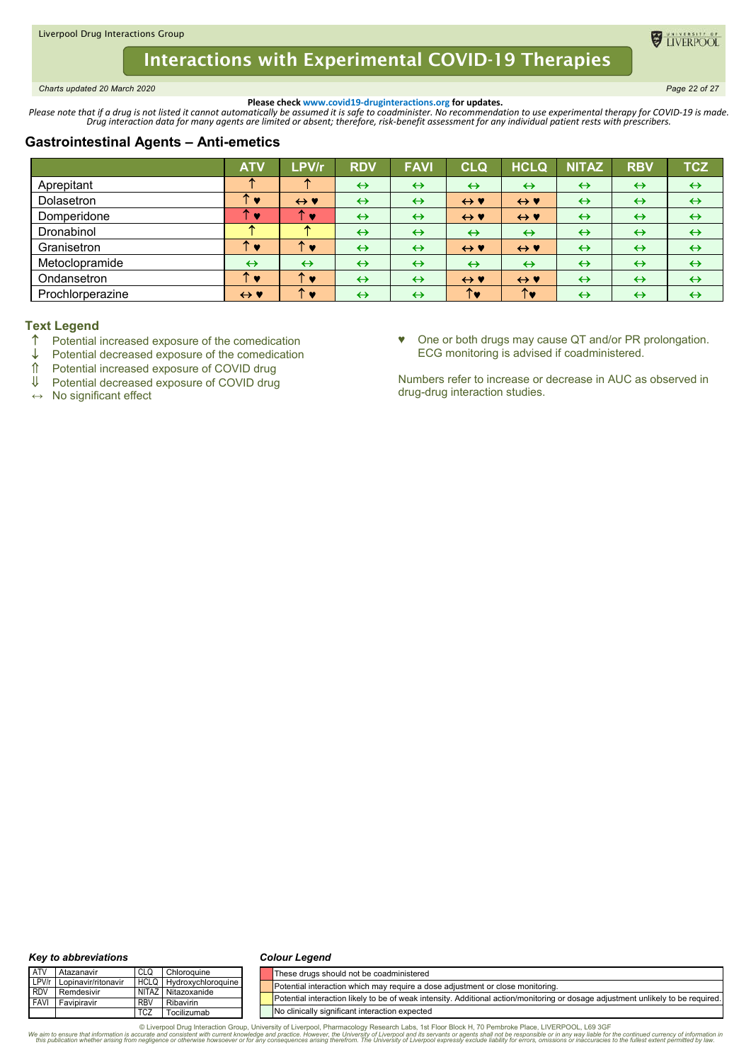<span id="page-21-0"></span>*Charts updated 20 March 2020 Page 22 of 27*

**DE TIVERPOOL** 

**Please check www.covid19-druginteractions.org for updates.**<br>.Please note that if a drug is not listed it cannot automatically be assumed it is safe to coadminister. No recommendation to use experimental therapy for COVID-

# **Gastrointestinal Agents – Anti-emetics**

|                  | <b>ATV</b>          | LPV/r                             | <b>RDV</b>        | <b>FAVI</b>       | <b>CLQ</b>          | <b>HCLQ</b>         | <b>NITAZ</b>      | <b>RBV</b>        | <b>TCZ</b>        |
|------------------|---------------------|-----------------------------------|-------------------|-------------------|---------------------|---------------------|-------------------|-------------------|-------------------|
| Aprepitant       |                     |                                   | $\leftrightarrow$ | $\leftrightarrow$ | $\leftrightarrow$   | $\leftrightarrow$   | $\leftrightarrow$ | $\leftrightarrow$ | $\leftrightarrow$ |
| Dolasetron       | $\bullet$           | $\leftrightarrow$ Y               | $\leftrightarrow$ | $\leftrightarrow$ | $\leftrightarrow$ Y | $\leftrightarrow$ Y | $\leftrightarrow$ | $\leftrightarrow$ | $\leftrightarrow$ |
| Domperidone      | v                   | ×                                 | $\leftrightarrow$ | $\leftrightarrow$ | $\leftrightarrow$ Y | $\leftrightarrow$ Y | $\leftrightarrow$ | $\leftrightarrow$ | $\leftrightarrow$ |
| Dronabinol       |                     |                                   | $\leftrightarrow$ | $\leftrightarrow$ | $\leftrightarrow$   | $\leftrightarrow$   | $\leftrightarrow$ | $\leftrightarrow$ | $\leftrightarrow$ |
| Granisetron      | <b>V</b>            | 灬<br><b>v</b>                     | $\leftrightarrow$ | $\leftrightarrow$ | $\leftrightarrow$ Y | $\leftrightarrow$ Y | $\leftrightarrow$ | $\leftrightarrow$ | $\leftrightarrow$ |
| Metoclopramide   | $\leftrightarrow$   | $\leftrightarrow$                 | $\leftrightarrow$ | $\leftrightarrow$ | $\leftrightarrow$   | $\leftrightarrow$   | $\leftrightarrow$ | $\leftrightarrow$ | $\leftrightarrow$ |
| Ondansetron      | ∽<br><b>A</b>       | $\ddot{\phantom{1}}$<br>$\bullet$ | $\leftrightarrow$ | $\leftrightarrow$ | $\leftrightarrow$ Y | $\leftrightarrow$ Y | $\leftrightarrow$ | $\leftrightarrow$ | $\leftrightarrow$ |
| Prochlorperazine | $\leftrightarrow$ Y | ∽<br><b>v</b>                     | $\leftrightarrow$ | $\leftrightarrow$ |                     | ↑♥                  | $\leftrightarrow$ | $\leftrightarrow$ | $\leftrightarrow$ |

# **Text Legend**

- Potential increased exposure of the comedication
- $\downarrow$  Potential decreased exposure of the comedication<br>  $\uparrow$  Potential increased exposure of COVID drug
- ↑ Potential increased exposure of COVID drug<br>Ⅱ Potential decreased exposure of COVID drug
- Potential decreased exposure of COVID drug
- **↔** No significant effect

♥ One or both drugs may cause QT and/or PR prolongation. ECG monitoring is advised if coadministered.

Numbers refer to increase or decrease in AUC as observed in drug-drug interaction studies.

#### *Key to abbreviations*

#### *Colour Legend*

| <b>ATV</b> | Atazanavir                | CLC        | Chloroguine                    | These drugs should not be coadministered                                                                                         |
|------------|---------------------------|------------|--------------------------------|----------------------------------------------------------------------------------------------------------------------------------|
|            | LPV/r Lopinavir/ritonavir |            | <b>HCLQ</b> Hydroxychloroquine | Potential interaction which may require a dose adjustment or close monitoring.                                                   |
| <b>RDV</b> | Remdesivir                |            | NITAZ Nitazoxanide             |                                                                                                                                  |
|            | <b>FAVI</b> Favipiravir   | RB\        | Ribavirin                      | Potential interaction likely to be of weak intensity. Additional action/monitoring or dosage adjustment unlikely to be required. |
|            |                           | <b>TCZ</b> | Tocilizumab                    | No clinically significant interaction expected                                                                                   |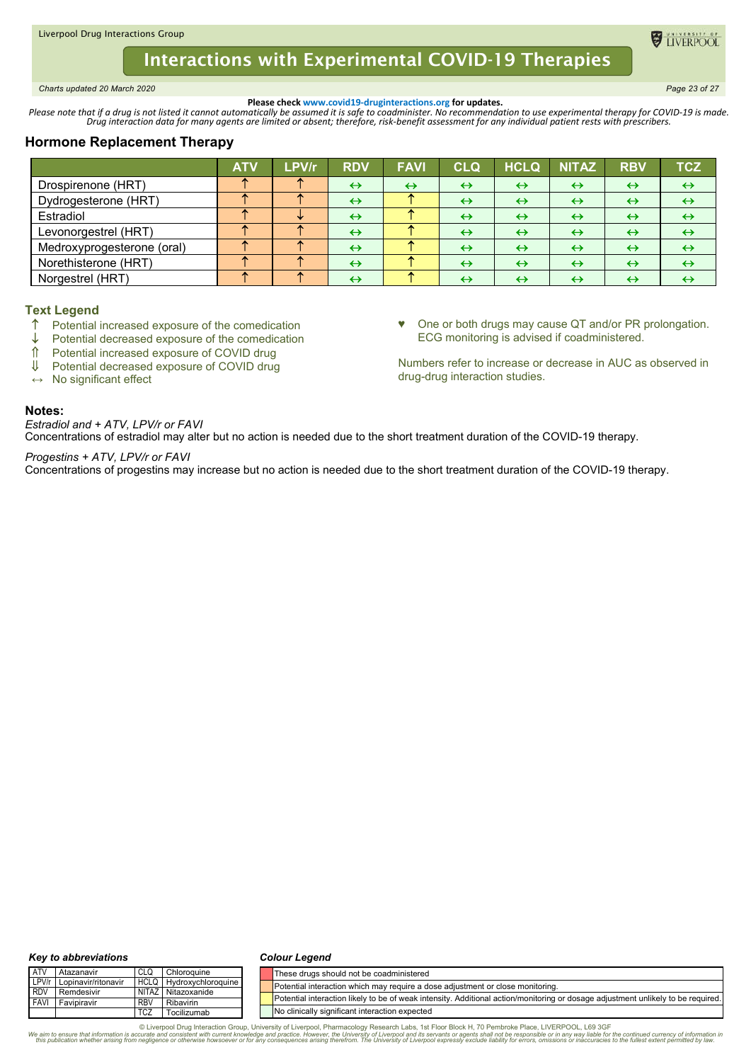#### <span id="page-22-0"></span>Liverpool Drug Interactions Group

# **Interactions with Experimental COVID-19 Therapies**

*Charts updated 20 March 2020 Page 23 of 27*

**Please check www.covid19-druginteractions.org for updates.**<br>.Please note that if a drug is not listed it cannot automatically be assumed it is safe to coadminister. No recommendation to use experimental therapy for COVID-

# **Hormone Replacement Therapy**

|                            | <b>ATV</b> | <b>LPV/r</b> | <b>RDV</b>        | <b>FAVI</b>       | <b>CLQ</b>        | <b>HCLQ</b>       | <b>NITAZ</b>      | <b>RBV</b>        | <b>TCZ</b>        |
|----------------------------|------------|--------------|-------------------|-------------------|-------------------|-------------------|-------------------|-------------------|-------------------|
| Drospirenone (HRT)         |            |              | $\leftrightarrow$ | $\leftrightarrow$ | $\leftrightarrow$ | $\leftrightarrow$ | $\leftrightarrow$ | $\leftrightarrow$ | $\leftrightarrow$ |
| Dydrogesterone (HRT)       |            |              | $\leftrightarrow$ |                   | $\leftrightarrow$ | $\leftrightarrow$ | $\leftrightarrow$ | $\leftrightarrow$ | $\leftrightarrow$ |
| Estradiol                  |            |              | $\leftrightarrow$ |                   | $\leftrightarrow$ | $\leftrightarrow$ | $\leftrightarrow$ | $\leftrightarrow$ | $\leftrightarrow$ |
| Levonorgestrel (HRT)       |            |              | $\leftrightarrow$ |                   | $\leftrightarrow$ | $\leftrightarrow$ | $\leftrightarrow$ | $\leftrightarrow$ | $\leftrightarrow$ |
| Medroxyprogesterone (oral) |            |              | $\leftrightarrow$ |                   | $\leftrightarrow$ | $\leftrightarrow$ | $\leftrightarrow$ | $\leftrightarrow$ | $\leftrightarrow$ |
| Norethisterone (HRT)       |            |              | $\leftrightarrow$ |                   | $\leftrightarrow$ | $\leftrightarrow$ | $\leftrightarrow$ | $\leftrightarrow$ | $\leftrightarrow$ |
| Norgestrel (HRT)           |            |              | $\leftrightarrow$ |                   | $\leftrightarrow$ | $\leftrightarrow$ | $\leftrightarrow$ | $\leftrightarrow$ | ↔                 |

# **Text Legend**

- ↑ Potential increased exposure of the comedication<br>↓ Potential decreased exposure of the comedication
- $\downarrow$  Potential decreased exposure of the comedication<br>  $\uparrow$  Potential increased exposure of COVID drug
- ↑ Potential increased exposure of COVID drug<br>Ⅱ Potential decreased exposure of COVID drug
- Potential decreased exposure of COVID drug
- **↔** No significant effect

## **Notes:**

*Estradiol and + ATV, LPV/r or FAVI* Concentrations of estradiol may alter but no action is needed due to the short treatment duration of the COVID-19 therapy.

### *Progestins + ATV, LPV/r or FAVI*

Concentrations of progestins may increase but no action is needed due to the short treatment duration of the COVID-19 therapy.

#### *Key to abbreviations*

#### *Colour Legend*

| <b>ATV</b>  | Atazanavir                | CLQ        | Chloroquine             | These drugs should not be coadministered                                                                                         |
|-------------|---------------------------|------------|-------------------------|----------------------------------------------------------------------------------------------------------------------------------|
|             | LPV/r Lopinavir/ritonavir |            | HCLQ Hydroxychloroquine | Potential interaction which may require a dose adjustment or close monitoring.                                                   |
| <b>RDV</b>  | Remdesivir                |            | NITAZ Nitazoxanide      |                                                                                                                                  |
| <b>FAVI</b> | Favipiravir               | <b>RBV</b> | Ribavirin               | Potential interaction likely to be of weak intensity. Additional action/monitoring or dosage adjustment unlikely to be required. |
|             |                           | TCZ        | Tocilizumab             | No clinically significant interaction expected                                                                                   |

© Liverpool Drug Interaction Group, University of Liverpool, Pharmacology Research Labs, 1st Floor Block H, 70 Pembroke Place, LIVERPOOL, L69 3GF (@Starmachor sequence that information is contract on the virant the virant

♥ One or both drugs may cause QT and/or PR prolongation. ECG monitoring is advised if coadministered.

Numbers refer to increase or decrease in AUC as observed in drug-drug interaction studies.

TIVERPOO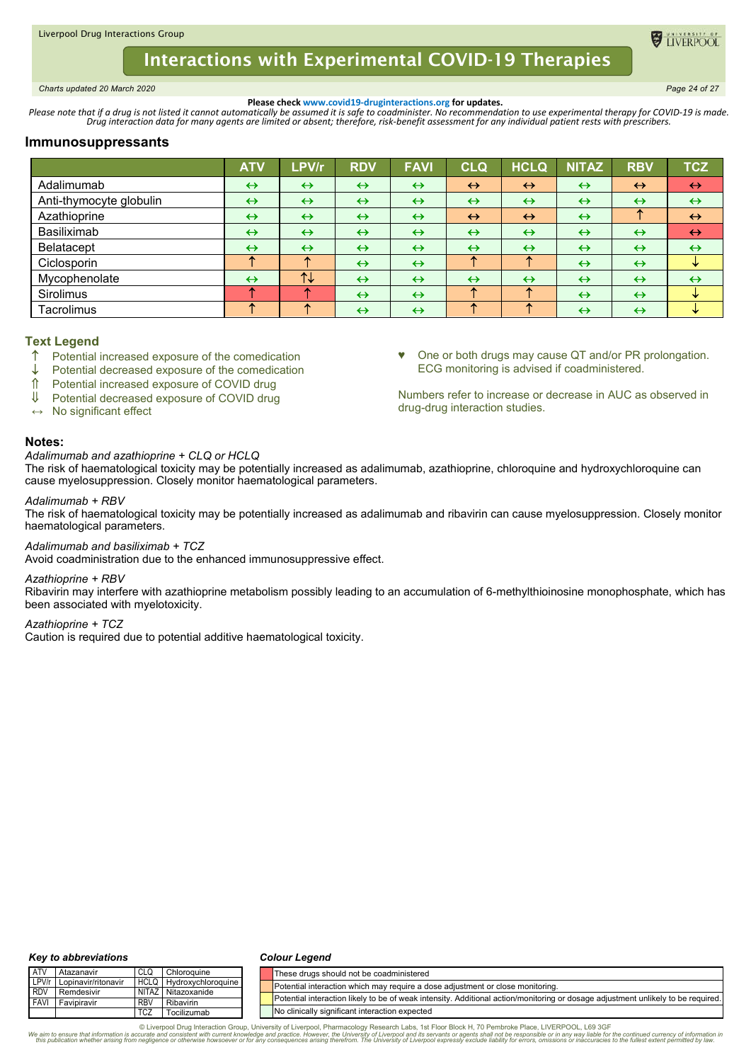<span id="page-23-0"></span>*Charts updated 20 March 2020 Page 24 of 27*

**ELIVERPOC** 

**Please check www.covid19-druginteractions.org for updates.**<br>.Please note that if a drug is not listed it cannot automatically be assumed it is safe to coadminister. No recommendation to use experimental therapy for COVID-

# **Immunosuppressants**

|                         | <b>ATV</b>        | <b>LPVIr</b>      | <b>RDV</b>        | <b>FAVI</b>       | <b>CLQ</b>        | <b>HCLQ</b>       | <b>NITAZ</b>      | <b>RBV</b>        | <b>TCZ</b>        |
|-------------------------|-------------------|-------------------|-------------------|-------------------|-------------------|-------------------|-------------------|-------------------|-------------------|
| Adalimumab              | $\leftrightarrow$ | $\leftrightarrow$ | $\leftrightarrow$ | $\leftrightarrow$ | $\leftrightarrow$ | $\leftrightarrow$ | $\leftrightarrow$ | $\leftrightarrow$ | $\leftrightarrow$ |
| Anti-thymocyte globulin | $\leftrightarrow$ | $\leftrightarrow$ | $\leftrightarrow$ | $\leftrightarrow$ | $\leftrightarrow$ | $\leftrightarrow$ | $\leftrightarrow$ | $\leftrightarrow$ | $\leftrightarrow$ |
| Azathioprine            | $\leftrightarrow$ | $\leftrightarrow$ | $\leftrightarrow$ | $\leftrightarrow$ | $\leftrightarrow$ | $\leftrightarrow$ | $\leftrightarrow$ | ÷.                | $\leftrightarrow$ |
| Basiliximab             | $\leftrightarrow$ | $\leftrightarrow$ | $\leftrightarrow$ | $\leftrightarrow$ | $\leftrightarrow$ | $\leftrightarrow$ | $\leftrightarrow$ | $\leftrightarrow$ | $\leftrightarrow$ |
| <b>Belatacept</b>       | $\leftrightarrow$ | $\leftrightarrow$ | $\leftrightarrow$ | $\leftrightarrow$ | $\leftrightarrow$ | $\leftrightarrow$ | $\leftrightarrow$ | $\leftrightarrow$ | $\leftrightarrow$ |
| Ciclosporin             |                   | ́                 | $\leftrightarrow$ | $\leftrightarrow$ |                   |                   | $\leftrightarrow$ | $\leftrightarrow$ | ₩                 |
| Mycophenolate           | $\leftrightarrow$ | $T+$              | $\leftrightarrow$ | $\leftrightarrow$ | $\leftrightarrow$ | $\leftrightarrow$ | $\leftrightarrow$ | $\leftrightarrow$ | $\leftrightarrow$ |
| Sirolimus               |                   |                   | $\leftrightarrow$ | $\leftrightarrow$ |                   |                   | $\leftrightarrow$ | $\leftrightarrow$ | ₩                 |
| Tacrolimus              | 灬                 |                   | $\leftrightarrow$ | $\leftrightarrow$ |                   |                   | $\leftrightarrow$ | $\leftrightarrow$ | ÷.                |

## **Text Legend**

- $\uparrow$  Potential increased exposure of the comedication
- Potential decreased exposure of the comedication
- ↑ Potential increased exposure of COVID drug<br>Ⅱ Potential decreased exposure of COVID drug
- Potential decreased exposure of COVID drug

**↔** No significant effect

# ♥ One or both drugs may cause QT and/or PR prolongation. ECG monitoring is advised if coadministered.

Numbers refer to increase or decrease in AUC as observed in drug-drug interaction studies.

# **Notes:**

## *Adalimumab and azathioprine + CLQ or HCLQ*

The risk of haematological toxicity may be potentially increased as adalimumab, azathioprine, chloroquine and hydroxychloroquine can cause myelosuppression. Closely monitor haematological parameters.

### *Adalimumab + RBV*

The risk of haematological toxicity may be potentially increased as adalimumab and ribavirin can cause myelosuppression. Closely monitor haematological parameters.

### *Adalimumab and basiliximab + TCZ*

Avoid coadministration due to the enhanced immunosuppressive effect.

#### *Azathioprine + RBV*

Ribavirin may interfere with azathioprine metabolism possibly leading to an accumulation of 6-methylthioinosine monophosphate, which has been associated with myelotoxicity.

# *Azathioprine + TCZ*

Caution is required due to potential additive haematological toxicity.

#### *Key to abbreviations*

#### *Colour Legend*

| ATV        | Atazanavir                | CLQ        | Chloroguine             | These drugs should not be coadministered                                                                                         |
|------------|---------------------------|------------|-------------------------|----------------------------------------------------------------------------------------------------------------------------------|
|            | LPV/r Lopinavir/ritonavir |            | HCLQ Hydroxychloroquine | Potential interaction which may require a dose adjustment or close monitoring.                                                   |
| <b>RDV</b> | Remdesivir                |            | NITAZ Nitazoxanide      |                                                                                                                                  |
|            | <b>FAVI Favipiravir</b>   | <b>RBV</b> | Ribavirin               | Potential interaction likely to be of weak intensity. Additional action/monitoring or dosage adjustment unlikely to be required. |
|            |                           | <b>TCZ</b> | Tocilizumab             | No clinically significant interaction expected                                                                                   |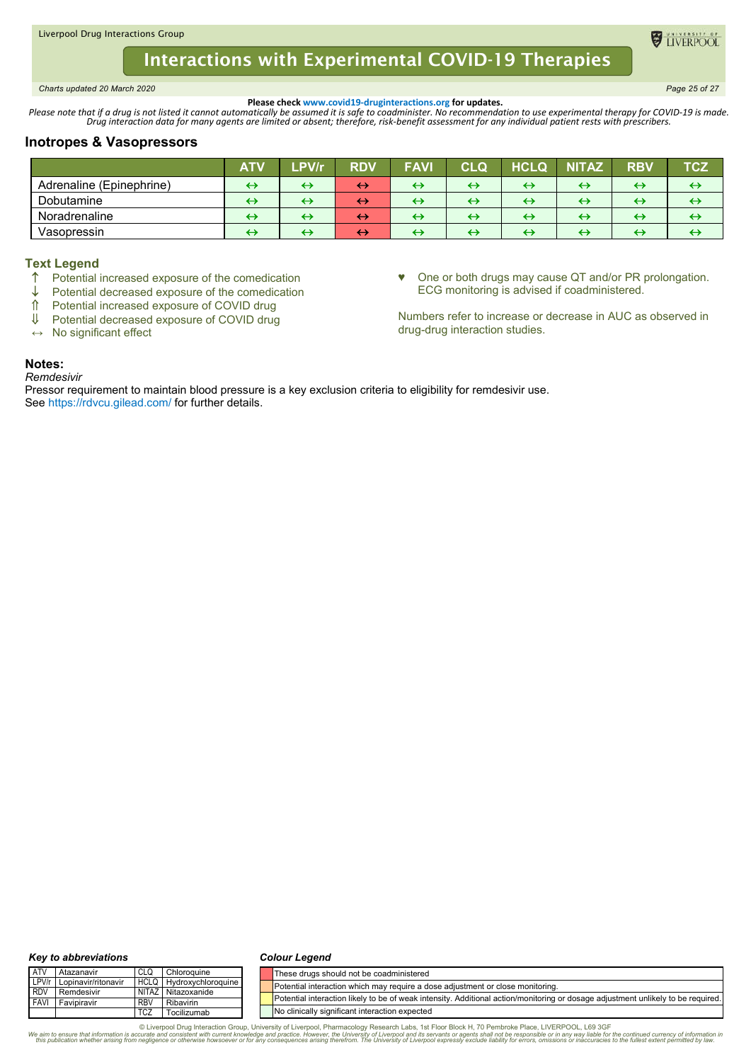<span id="page-24-0"></span>*Charts updated 20 March 2020 Page 25 of 27*

**O** TIVERPOO

**Please check www.covid19-druginteractions.org for updates.**<br>.Please note that if a drug is not listed it cannot automatically be assumed it is safe to coadminister. No recommendation to use experimental therapy for COVID-

## **Inotropes & Vasopressors**

|                          | <b>ATV</b> | <b>LPVIr</b>      | <b>RDV</b>        | <b>FAVI</b>       | CLO               | <b>HCLQ</b>       | NITAZ                  | <b>RBV</b>        | rcz               |
|--------------------------|------------|-------------------|-------------------|-------------------|-------------------|-------------------|------------------------|-------------------|-------------------|
| Adrenaline (Epinephrine) | ↔          | ↔                 | $\leftrightarrow$ | ↔                 | ↔                 | $\leftrightarrow$ | $\leftrightarrow$      | ↔                 | $\leftrightarrow$ |
| Dobutamine               | ↔          | $\leftrightarrow$ | ↔                 | $\rightarrow$     | ↔                 | $\leftrightarrow$ | ↔                      | $\leftrightarrow$ | ↔                 |
| Noradrenaline            | ↔          | ↔                 | ↔                 | $\leftrightarrow$ | ↔                 | ↔                 | ↔                      | $\leftrightarrow$ | $\leftrightarrow$ |
| Vasopressin              | ⊖          | ↔                 | ↔                 | ↔                 | $\leftrightarrow$ | ↔                 | $\bm{\leftrightarrow}$ | $\leftrightarrow$ | $\leftrightarrow$ |

## **Text Legend**

- $\uparrow$  Potential increased exposure of the comedication<br>
L. Potential decreased exposure of the comedication
- $\downarrow$  Potential decreased exposure of the comedication<br>  $\uparrow$  Potential increased exposure of COVID drug
- <del>∩</del> Potential increased exposure of COVID drug<br>↓ Potential decreased exposure of COVID drug
- Potential decreased exposure of COVID drug
- **↔** No significant effect

♥ One or both drugs may cause QT and/or PR prolongation. ECG monitoring is advised if coadministered.

Numbers refer to increase or decrease in AUC as observed in drug-drug interaction studies.

# **Notes:**

*Remdesivir*

Pressor requirement to maintain blood pressure is a key exclusion criteria to eligibility for remdesivir use. See https://rdvcu.gilead.com/ for further details.

#### *Key to abbreviations*

#### *Colour Legend*

| <b>ATV</b>  | Atazanavir          | CLG                   | Chloroquine               | These drugs should not be coadministered                                                                                         |
|-------------|---------------------|-----------------------|---------------------------|----------------------------------------------------------------------------------------------------------------------------------|
| LPV/r       | Lopinavir/ritonavir | <b>HCLQ</b>           | <b>Hydroxychloroguine</b> | Potential interaction which may require a dose adiustment or close monitoring.                                                   |
| <b>RDV</b>  | Remdesivir          | <b>NITAZ</b>          | Nitazoxanide              |                                                                                                                                  |
| <b>FAVI</b> | Favipiravir         | <b>RBV</b>            | Ribavirin                 | Potential interaction likely to be of weak intensity. Additional action/monitoring or dosage adjustment unlikely to be required. |
|             |                     | <b>TC<sub>Z</sub></b> | Tocilizumab               | No clinically significant interaction expected                                                                                   |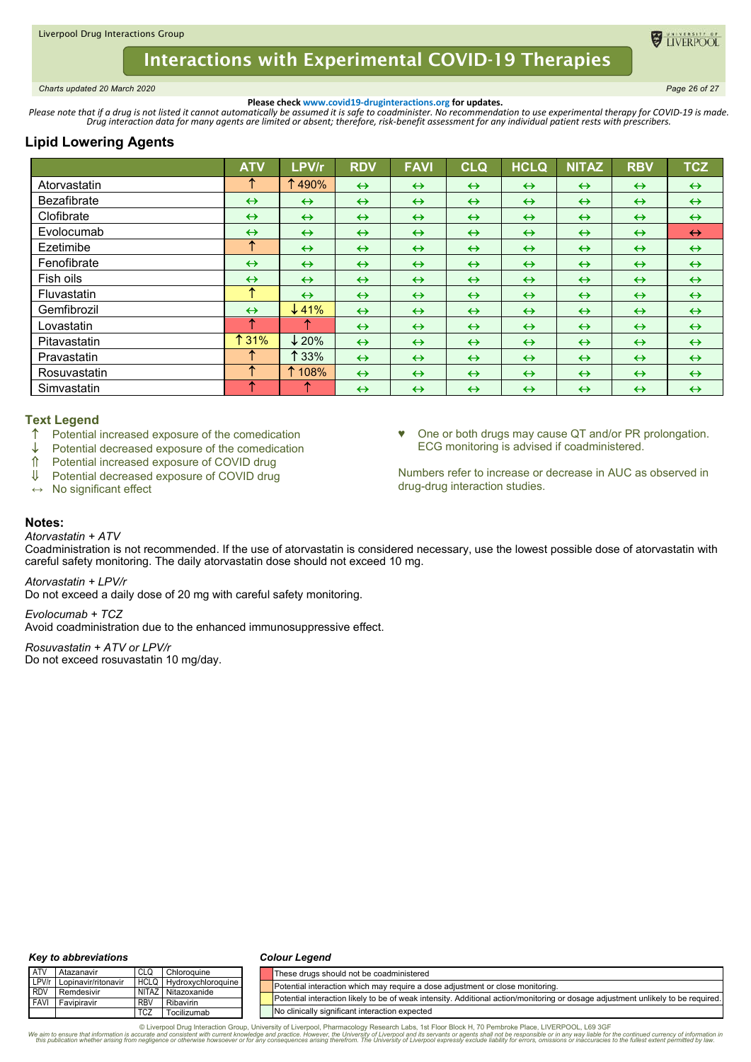<span id="page-25-0"></span>*Charts updated 20 March 2020 Page 26 of 27*

**ELIVERPOO** 

**Please check www.covid19-druginteractions.org for updates.**<br>.Please note that if a drug is not listed it cannot automatically be assumed it is safe to coadminister. No recommendation to use experimental therapy for COVID-

# **Lipid Lowering Agents**

|                    | <b>ATV</b>        | LPV/r             | <b>RDV</b>        | <b>FAVI</b>       | <b>CLQ</b>        | <b>HCLQ</b>       | <b>NITAZ</b>      | <b>RBV</b>        | <b>TCZ</b>        |
|--------------------|-------------------|-------------------|-------------------|-------------------|-------------------|-------------------|-------------------|-------------------|-------------------|
| Atorvastatin       | ᠰ                 | ↑490%             | $\leftrightarrow$ | $\leftrightarrow$ | $\leftrightarrow$ | $\leftrightarrow$ | $\leftrightarrow$ | $\leftrightarrow$ | $\leftrightarrow$ |
| <b>Bezafibrate</b> | $\leftrightarrow$ | $\leftrightarrow$ | $\leftrightarrow$ | $\leftrightarrow$ | $\leftrightarrow$ | $\leftrightarrow$ | $\leftrightarrow$ | $\leftrightarrow$ | $\leftrightarrow$ |
| Clofibrate         | $\leftrightarrow$ | $\leftrightarrow$ | $\leftrightarrow$ | $\leftrightarrow$ | $\leftrightarrow$ | $\leftrightarrow$ | $\leftrightarrow$ | $\leftrightarrow$ | $\leftrightarrow$ |
| Evolocumab         | $\leftrightarrow$ | $\leftrightarrow$ | $\leftrightarrow$ | $\leftrightarrow$ | $\leftrightarrow$ | $\leftrightarrow$ | $\leftrightarrow$ | $\leftrightarrow$ | $\leftrightarrow$ |
| Ezetimibe          | ↑                 | $\leftrightarrow$ | $\leftrightarrow$ | $\leftrightarrow$ | $\leftrightarrow$ | $\leftrightarrow$ | $\leftrightarrow$ | $\leftrightarrow$ | $\leftrightarrow$ |
| Fenofibrate        | $\leftrightarrow$ | $\leftrightarrow$ | $\leftrightarrow$ | $\leftrightarrow$ | $\leftrightarrow$ | $\leftrightarrow$ | $\leftrightarrow$ | $\leftrightarrow$ | $\leftrightarrow$ |
| Fish oils          | $\leftrightarrow$ | $\leftrightarrow$ | $\leftrightarrow$ | $\leftrightarrow$ | $\leftrightarrow$ | $\leftrightarrow$ | $\leftrightarrow$ | $\leftrightarrow$ | $\leftrightarrow$ |
| Fluvastatin        | ᠰ                 | $\leftrightarrow$ | $\leftrightarrow$ | $\leftrightarrow$ | $\leftrightarrow$ | $\leftrightarrow$ | $\leftrightarrow$ | $\leftrightarrow$ | $\leftrightarrow$ |
| Gemfibrozil        | $\leftrightarrow$ | $\downarrow$ 41%  | $\leftrightarrow$ | $\leftrightarrow$ | $\leftrightarrow$ | $\leftrightarrow$ | $\leftrightarrow$ | $\leftrightarrow$ | $\leftrightarrow$ |
| Lovastatin         | ᠰ                 | œ                 | $\leftrightarrow$ | $\leftrightarrow$ | $\leftrightarrow$ | $\leftrightarrow$ | $\leftrightarrow$ | $\leftrightarrow$ | $\leftrightarrow$ |
| Pitavastatin       | ↑ 31%             | $\downarrow$ 20%  | $\leftrightarrow$ | $\leftrightarrow$ | $\leftrightarrow$ | $\leftrightarrow$ | $\leftrightarrow$ | $\leftrightarrow$ | $\leftrightarrow$ |
| Pravastatin        |                   | $\uparrow$ 33%    | $\leftrightarrow$ | $\leftrightarrow$ | $\leftrightarrow$ | $\leftrightarrow$ | $\leftrightarrow$ | $\leftrightarrow$ | $\leftrightarrow$ |
| Rosuvastatin       |                   | 1 108%            | $\leftrightarrow$ | $\leftrightarrow$ | $\leftrightarrow$ | $\leftrightarrow$ | $\leftrightarrow$ | $\leftrightarrow$ | $\leftrightarrow$ |
| Simvastatin        | ᠰ                 |                   | $\leftrightarrow$ | $\leftrightarrow$ | $\leftrightarrow$ | $\leftrightarrow$ | $\leftrightarrow$ | $\leftrightarrow$ | $\leftrightarrow$ |

# **Text Legend**

- Potential increased exposure of the comedication
- $\downarrow$  Potential decreased exposure of the comedication<br>  $\hat{\mathbb{I}}$  Potential increased exposure of COVID drug
- <del>f</del> Potential increased exposure of COVID drug<br>↓ Potential decreased exposure of COVID drug
- Potential decreased exposure of COVID drug

**↔** No significant effect

♥ One or both drugs may cause QT and/or PR prolongation. ECG monitoring is advised if coadministered.

Numbers refer to increase or decrease in AUC as observed in drug-drug interaction studies.

## **Notes:**

*Atorvastatin + ATV*

Coadministration is not recommended. If the use of atorvastatin is considered necessary, use the lowest possible dose of atorvastatin with careful safety monitoring. The daily atorvastatin dose should not exceed 10 mg.

*Atorvastatin + LPV/r*

Do not exceed a daily dose of 20 mg with careful safety monitoring.

*Evolocumab + TCZ*

Avoid coadministration due to the enhanced immunosuppressive effect.

*Rosuvastatin + ATV or LPV/r* Do not exceed rosuvastatin 10 mg/day.

#### *Key to abbreviations*

#### *Colour Legend*

| <b>ATV</b> | Atazanavir          |            | Chloroquine             | These drugs should not be coadministered                                                                                         |
|------------|---------------------|------------|-------------------------|----------------------------------------------------------------------------------------------------------------------------------|
| LPV/r      | Lopinavir/ritonavir |            | HCLQ Hydroxychloroquine | Potential interaction which may require a dose adjustment or close monitoring.                                                   |
| <b>RDV</b> | Remdesivir          |            | NITAZ Nitazoxanide      |                                                                                                                                  |
| FAVI       | Favipiravir         | RBV        | <b>Ribavirin</b>        | Potential interaction likely to be of weak intensity. Additional action/monitoring or dosage adjustment unlikely to be required. |
|            |                     | <b>TCZ</b> | Tocilizumab             | No clinically significant interaction expected                                                                                   |